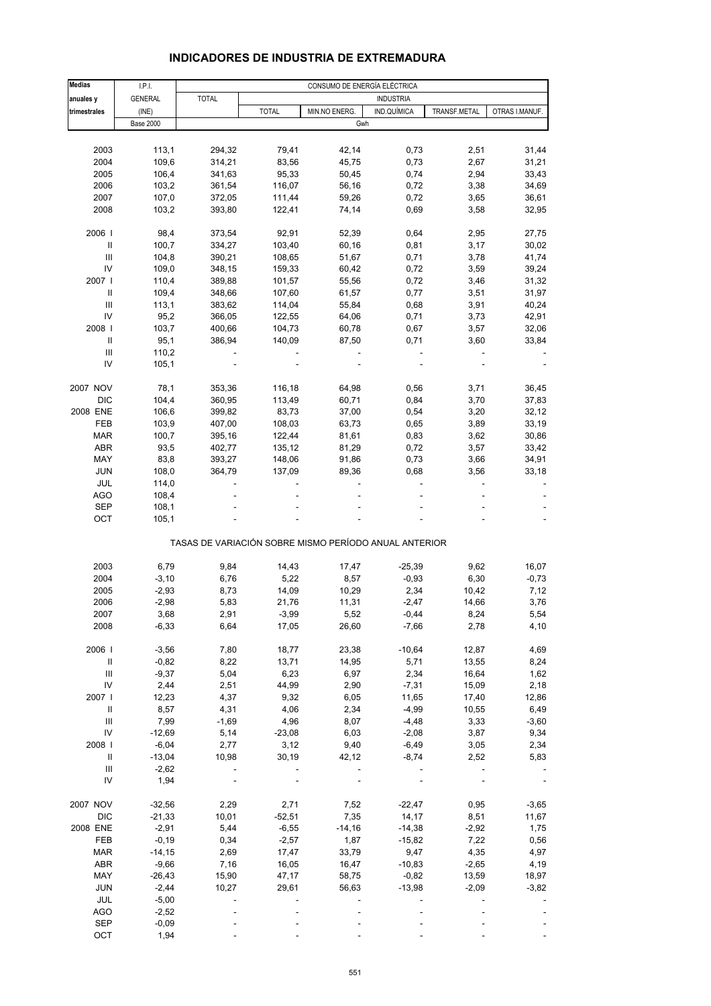# **INDICADORES DE INDUSTRIA DE EXTREMADURA**

| <b>Medias</b>                      | LPL              |              |              | CONSUMO DE ENERGÍA ELÉCTRICA                          |                  |              |                |
|------------------------------------|------------------|--------------|--------------|-------------------------------------------------------|------------------|--------------|----------------|
| anuales y                          | <b>GENERAL</b>   | <b>TOTAL</b> |              |                                                       | <b>INDUSTRIA</b> |              |                |
| trimestrales                       | (INE)            |              | <b>TOTAL</b> | MIN.NO ENERG.                                         | IND.QUÍMICA      | TRANSF.METAL | OTRAS I.MANUF. |
|                                    | <b>Base 2000</b> |              |              | Gwh                                                   |                  |              |                |
|                                    |                  |              |              |                                                       |                  |              |                |
|                                    |                  |              |              |                                                       |                  |              |                |
| 2003                               | 113,1            | 294,32       | 79,41        | 42,14                                                 | 0,73             | 2,51         | 31,44          |
| 2004                               | 109,6            | 314,21       | 83,56        | 45,75                                                 | 0,73             | 2,67         | 31,21          |
| 2005                               | 106,4            | 341,63       | 95,33        | 50,45                                                 | 0,74             | 2,94         | 33,43          |
| 2006                               | 103,2            | 361,54       | 116,07       | 56,16                                                 | 0,72             | 3,38         | 34,69          |
| 2007                               | 107,0            | 372,05       | 111,44       | 59,26                                                 | 0,72             | 3,65         | 36,61          |
| 2008                               | 103,2            | 393,80       | 122,41       | 74,14                                                 | 0,69             | 3,58         | 32,95          |
|                                    |                  |              |              |                                                       |                  |              |                |
| 2006                               | 98,4             | 373,54       | 92,91        | 52,39                                                 | 0,64             | 2,95         | 27,75          |
| $\ensuremath{\mathsf{II}}$         | 100,7            | 334,27       | 103,40       | 60,16                                                 | 0,81             | 3,17         | 30,02          |
| $\mathsf{III}$                     | 104,8            | 390,21       | 108,65       | 51,67                                                 | 0,71             | 3,78         | 41,74          |
| IV                                 | 109,0            | 348,15       | 159,33       | 60,42                                                 | 0,72             | 3,59         | 39,24          |
| 2007 l                             | 110,4            | 389,88       | 101,57       | 55,56                                                 | 0,72             | 3,46         | 31,32          |
| Ш                                  | 109,4            |              | 107,60       | 61,57                                                 | 0,77             | 3,51         | 31,97          |
|                                    |                  | 348,66       |              |                                                       |                  |              |                |
| Ш                                  | 113,1            | 383,62       | 114,04       | 55,84                                                 | 0,68             | 3,91         | 40,24          |
| IV                                 | 95,2             | 366,05       | 122,55       | 64,06                                                 | 0,71             | 3,73         | 42,91          |
| 2008                               | 103,7            | 400,66       | 104,73       | 60,78                                                 | 0,67             | 3,57         | 32,06          |
| Ш                                  | 95,1             | 386,94       | 140,09       | 87,50                                                 | 0,71             | 3,60         | 33,84          |
| $\mathsf{III}$                     | 110,2            |              |              | $\overline{a}$                                        |                  |              |                |
| IV                                 | 105,1            |              |              |                                                       |                  |              |                |
|                                    |                  |              |              |                                                       |                  |              |                |
| 2007 NOV                           | 78,1             | 353,36       | 116,18       | 64,98                                                 | 0,56             | 3,71         | 36,45          |
| <b>DIC</b>                         | 104,4            | 360,95       | 113,49       | 60,71                                                 | 0,84             | 3,70         | 37,83          |
| 2008 ENE                           | 106,6            | 399,82       | 83,73        | 37,00                                                 | 0,54             | 3,20         | 32,12          |
| FEB                                | 103,9            | 407,00       | 108,03       | 63,73                                                 | 0,65             | 3,89         | 33,19          |
| <b>MAR</b>                         | 100,7            | 395,16       | 122,44       | 81,61                                                 | 0,83             | 3,62         | 30,86          |
| ABR                                | 93,5             | 402,77       | 135,12       | 81,29                                                 | 0,72             | 3,57         | 33,42          |
| MAY                                | 83,8             | 393,27       | 148,06       | 91,86                                                 | 0,73             | 3,66         | 34,91          |
|                                    |                  |              |              |                                                       |                  |              |                |
| <b>JUN</b>                         | 108,0            | 364,79       | 137,09       | 89,36                                                 | 0,68             | 3,56         | 33,18          |
| JUL                                | 114,0            |              |              |                                                       |                  |              |                |
| AGO                                | 108,4            |              |              |                                                       |                  |              |                |
| SEP                                | 108,1            |              |              |                                                       |                  |              |                |
| OCT                                | 105,1            |              |              |                                                       |                  |              |                |
|                                    |                  |              |              | TASAS DE VARIACIÓN SOBRE MISMO PERÍODO ANUAL ANTERIOR |                  |              |                |
|                                    |                  |              |              |                                                       |                  |              |                |
| 2003                               | 6,79             | 9,84         | 14,43        | 17,47                                                 | $-25,39$         | 9,62         | 16,07          |
| 2004                               | $-3,10$          | 6,76         | 5,22         | 8,57                                                  | $-0,93$          | 6,30         | $-0,73$        |
| 2005                               | $-2,93$          | 8,73         | 14,09        | 10,29                                                 | 2,34             | 10,42        | 7,12           |
| 2006                               | $-2,98$          | 5,83         | 21,76        | 11,31                                                 | $-2,47$          | 14,66        | 3,76           |
| 2007                               | 3,68             | 2,91         | $-3,99$      | 5,52                                                  | $-0,44$          | 8,24         | 5,54           |
| 2008                               | $-6,33$          | 6,64         | 17,05        | 26,60                                                 | $-7,66$          | 2,78         | 4,10           |
|                                    |                  |              |              |                                                       |                  |              |                |
| 2006                               | $-3,56$          | 7,80         | 18,77        | 23,38                                                 | $-10,64$         | 12,87        | 4,69           |
| Ш                                  | $-0,82$          | 8,22         | 13,71        | 14,95                                                 | 5,71             | 13,55        | 8,24           |
| Ш                                  | $-9,37$          | 5,04         | 6,23         | 6,97                                                  | 2,34             | 16,64        | 1,62           |
| IV                                 | 2,44             | 2,51         | 44,99        | 2,90                                                  | $-7,31$          | 15,09        | 2,18           |
| 2007 l                             | 12,23            | 4,37         | 9,32         | 6,05                                                  | 11,65            | 17,40        | 12,86          |
| Ш                                  | 8,57             | 4,31         | 4,06         | 2,34                                                  | $-4,99$          | 10,55        | 6,49           |
| $\ensuremath{\mathsf{III}}\xspace$ | 7,99             | $-1,69$      | 4,96         | 8,07                                                  | $-4,48$          | 3,33         | $-3,60$        |
| IV                                 | $-12,69$         | 5,14         | $-23,08$     | 6,03                                                  | $-2,08$          | 3,87         | 9,34           |
| 2008                               | $-6,04$          | 2,77         | 3,12         | 9,40                                                  | $-6,49$          | 3,05         | 2,34           |
| Ш                                  | $-13,04$         | 10,98        | 30, 19       | 42,12                                                 | $-8,74$          | 2,52         | 5,83           |
|                                    |                  |              |              |                                                       |                  |              |                |
| Ш                                  | $-2,62$          |              |              |                                                       |                  |              |                |
| IV                                 | 1,94             |              |              |                                                       |                  |              |                |
| 2007 NOV                           | $-32,56$         | 2,29         | 2,71         | 7,52                                                  | $-22,47$         | 0,95         | $-3,65$        |
| <b>DIC</b>                         | $-21,33$         | 10,01        | $-52,51$     | 7,35                                                  | 14,17            | 8,51         | 11,67          |
| 2008 ENE                           | $-2,91$          | 5,44         | $-6,55$      | $-14,16$                                              | $-14,38$         | $-2,92$      | 1,75           |
| FEB                                | $-0,19$          | 0,34         | $-2,57$      | 1,87                                                  | $-15,82$         | 7,22         | 0,56           |
| <b>MAR</b>                         | $-14,15$         | 2,69         | 17,47        | 33,79                                                 | 9,47             | 4,35         | 4,97           |
| ABR                                | $-9,66$          | 7,16         | 16,05        | 16,47                                                 | $-10,83$         | $-2,65$      | 4,19           |
| MAY                                | $-26,43$         | 15,90        | 47,17        | 58,75                                                 | $-0,82$          | 13,59        | 18,97          |
| <b>JUN</b>                         | $-2,44$          | 10,27        | 29,61        | 56,63                                                 | $-13,98$         | $-2,09$      | $-3,82$        |
| JUL                                | $-5,00$          |              |              |                                                       |                  |              |                |
| AGO                                | $-2,52$          |              |              |                                                       |                  |              |                |
|                                    |                  |              |              |                                                       |                  |              |                |
| <b>SEP</b>                         | $-0,09$          |              |              |                                                       |                  |              |                |
| OCT                                | 1,94             |              |              |                                                       |                  |              |                |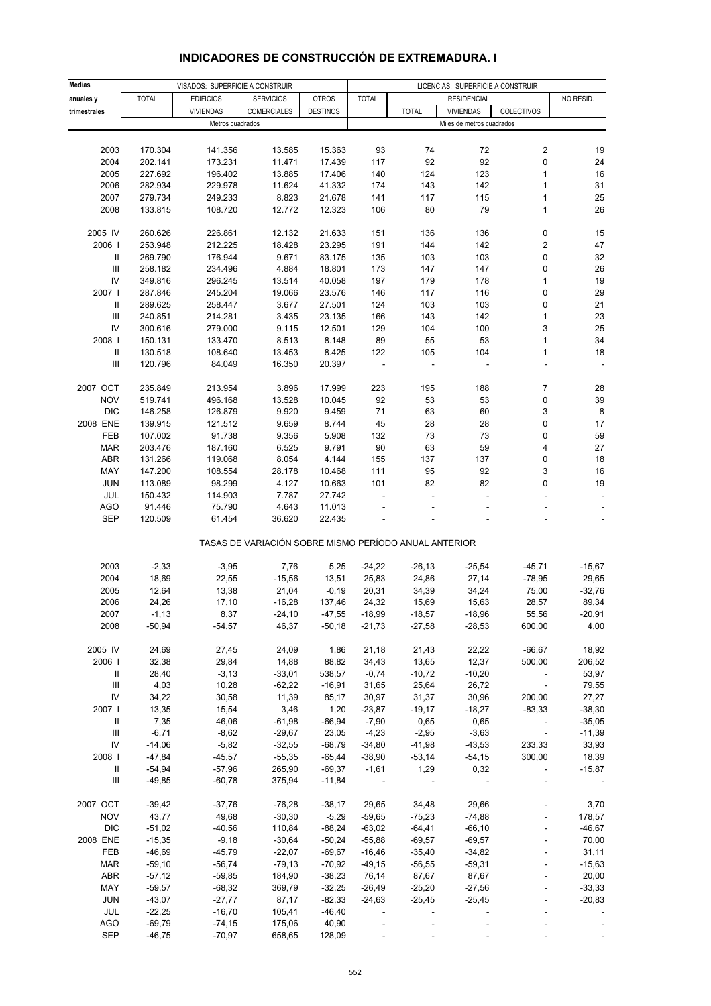# **INDICADORES DE CONSTRUCCIÓN DE EXTREMADURA. I**

| <b>Medias</b>                      |              | VISADOS: SUPERFICIE A CONSTRUIR |                                                       |                 |                          |                          | LICENCIAS: SUPERFICIE A CONSTRUIR |                          |           |
|------------------------------------|--------------|---------------------------------|-------------------------------------------------------|-----------------|--------------------------|--------------------------|-----------------------------------|--------------------------|-----------|
| anuales y                          | <b>TOTAL</b> | <b>EDIFICIOS</b>                | <b>SERVICIOS</b>                                      | <b>OTROS</b>    | <b>TOTAL</b>             |                          | <b>RESIDENCIAL</b>                |                          | NO RESID. |
|                                    |              |                                 |                                                       |                 |                          |                          |                                   |                          |           |
| trimestrales                       |              | <b>VIVIENDAS</b>                | <b>COMERCIALES</b>                                    | <b>DESTINOS</b> |                          | <b>TOTAL</b>             | <b>VIVIENDAS</b>                  | COLECTIVOS               |           |
|                                    |              | Metros cuadrados                |                                                       |                 |                          |                          | Miles de metros cuadrados         |                          |           |
|                                    |              |                                 |                                                       |                 |                          |                          |                                   |                          |           |
| 2003                               | 170.304      | 141.356                         | 13.585                                                | 15.363          | 93                       | 74                       | 72                                | $\overline{\mathbf{c}}$  | 19        |
| 2004                               | 202.141      | 173.231                         | 11.471                                                | 17.439          | 117                      | 92                       | 92                                | $\pmb{0}$                | 24        |
| 2005                               | 227.692      | 196.402                         | 13.885                                                | 17.406          | 140                      | 124                      | 123                               | 1                        | 16        |
| 2006                               | 282.934      | 229.978                         | 11.624                                                | 41.332          | 174                      | 143                      | 142                               | 1                        | 31        |
| 2007                               | 279.734      | 249.233                         | 8.823                                                 | 21.678          | 141                      | 117                      | 115                               | $\mathbf{1}$             | 25        |
| 2008                               | 133.815      | 108.720                         | 12.772                                                | 12.323          | 106                      | 80                       | 79                                | 1                        | 26        |
|                                    |              |                                 |                                                       |                 |                          |                          |                                   |                          |           |
| 2005 IV                            | 260.626      | 226.861                         | 12.132                                                | 21.633          | 151                      | 136                      | 136                               | 0                        | 15        |
| 2006                               |              | 212.225                         | 18.428                                                |                 |                          |                          |                                   | 2                        |           |
|                                    | 253.948      |                                 |                                                       | 23.295          | 191                      | 144                      | 142                               |                          | 47        |
| Ш                                  | 269.790      | 176.944                         | 9.671                                                 | 83.175          | 135                      | 103                      | 103                               | 0                        | 32        |
| $\ensuremath{\mathsf{III}}\xspace$ | 258.182      | 234.496                         | 4.884                                                 | 18.801          | 173                      | 147                      | 147                               | 0                        | 26        |
| ${\sf IV}$                         | 349.816      | 296.245                         | 13.514                                                | 40.058          | 197                      | 179                      | 178                               | 1                        | 19        |
| 2007                               | 287.846      | 245.204                         | 19.066                                                | 23.576          | 146                      | 117                      | 116                               | 0                        | 29        |
| Ш                                  | 289.625      | 258.447                         | 3.677                                                 | 27.501          | 124                      | 103                      | 103                               | 0                        | 21        |
| Ш                                  | 240.851      | 214.281                         | 3.435                                                 | 23.135          | 166                      | 143                      | 142                               | 1                        | 23        |
| IV                                 | 300.616      | 279.000                         | 9.115                                                 | 12.501          | 129                      | 104                      | 100                               | 3                        | 25        |
| 2008                               | 150.131      | 133.470                         | 8.513                                                 | 8.148           | 89                       | 55                       | 53                                | 1                        | 34        |
| $\mathbf{II}$                      | 130.518      | 108.640                         | 13.453                                                | 8.425           | 122                      | 105                      | 104                               | 1                        | 18        |
| $\ensuremath{\mathsf{III}}\xspace$ | 120.796      | 84.049                          | 16.350                                                | 20.397          |                          |                          |                                   | ÷,                       |           |
|                                    |              |                                 |                                                       |                 |                          |                          |                                   |                          |           |
| 2007 OCT                           | 235.849      | 213.954                         | 3.896                                                 | 17.999          | 223                      | 195                      | 188                               | $\overline{7}$           | 28        |
| <b>NOV</b>                         |              | 496.168                         |                                                       |                 | 92                       |                          |                                   | 0                        | 39        |
|                                    | 519.741      |                                 | 13.528                                                | 10.045          |                          | 53                       | 53                                |                          |           |
| <b>DIC</b>                         | 146.258      | 126.879                         | 9.920                                                 | 9.459           | 71                       | 63                       | 60                                | 3                        | 8         |
| 2008 ENE                           | 139.915      | 121.512                         | 9.659                                                 | 8.744           | 45                       | 28                       | 28                                | 0                        | 17        |
| FEB                                | 107.002      | 91.738                          | 9.356                                                 | 5.908           | 132                      | 73                       | 73                                | 0                        | 59        |
| <b>MAR</b>                         | 203.476      | 187.160                         | 6.525                                                 | 9.791           | 90                       | 63                       | 59                                | 4                        | 27        |
| ABR                                | 131.266      | 119.068                         | 8.054                                                 | 4.144           | 155                      | 137                      | 137                               | 0                        | 18        |
| MAY                                | 147.200      | 108.554                         | 28.178                                                | 10.468          | 111                      | 95                       | 92                                | 3                        | 16        |
| <b>JUN</b>                         | 113.089      | 98.299                          | 4.127                                                 | 10.663          | 101                      | 82                       | 82                                | 0                        | 19        |
| JUL                                | 150.432      | 114.903                         | 7.787                                                 | 27.742          |                          |                          |                                   |                          |           |
| AGO                                | 91.446       | 75.790                          | 4.643                                                 | 11.013          |                          |                          |                                   |                          |           |
| SEP                                | 120.509      | 61.454                          | 36.620                                                | 22.435          |                          |                          |                                   |                          |           |
|                                    |              |                                 |                                                       |                 |                          |                          |                                   |                          |           |
|                                    |              |                                 | TASAS DE VARIACIÓN SOBRE MISMO PERÍODO ANUAL ANTERIOR |                 |                          |                          |                                   |                          |           |
|                                    |              |                                 |                                                       |                 |                          |                          |                                   |                          |           |
| 2003                               | $-2,33$      | $-3,95$                         | 7,76                                                  | 5,25            | $-24,22$                 | $-26, 13$                | $-25,54$                          | $-45,71$                 | $-15,67$  |
| 2004                               | 18,69        | 22,55                           | $-15,56$                                              | 13,51           | 25,83                    | 24,86                    | 27,14                             | $-78,95$                 | 29,65     |
| 2005                               | 12,64        | 13,38                           | 21,04                                                 | $-0,19$         | 20,31                    | 34,39                    | 34,24                             | 75,00                    | $-32,76$  |
| 2006                               | 24,26        | 17,10                           | $-16,28$                                              | 137,46          | 24,32                    | 15,69                    | 15,63                             | 28,57                    | 89,34     |
|                                    |              |                                 |                                                       |                 |                          |                          |                                   |                          |           |
| 2007                               | $-1,13$      | 8,37                            | $-24,10$                                              | $-47,55$        | $-18,99$                 | $-18,57$                 | $-18,96$                          | 55,56                    | $-20,91$  |
| 2008                               | $-50,94$     | $-54,57$                        | 46,37                                                 | $-50,18$        | $-21,73$                 | $-27,58$                 | $-28,53$                          | 600,00                   | 4,00      |
|                                    |              |                                 |                                                       |                 |                          |                          |                                   |                          |           |
| 2005 IV                            | 24,69        | 27,45                           | 24,09                                                 | 1,86            | 21,18                    | 21,43                    | 22,22                             | $-66,67$                 | 18,92     |
| 2006                               | 32,38        | 29,84                           | 14,88                                                 | 88,82           | 34,43                    | 13,65                    | 12,37                             | 500,00                   | 206,52    |
| Ш                                  | 28,40        | $-3,13$                         | $-33,01$                                              | 538,57          | $-0,74$                  | $-10,72$                 | $-10,20$                          |                          | 53,97     |
| Ш                                  | 4,03         | 10,28                           | $-62,22$                                              | $-16,91$        | 31,65                    | 25,64                    | 26,72                             | $\overline{\phantom{a}}$ | 79,55     |
| ${\sf IV}$                         | 34,22        | 30,58                           | 11,39                                                 | 85,17           | 30,97                    | 31,37                    | 30,96                             | 200,00                   | 27,27     |
| 2007                               | 13,35        | 15,54                           | 3,46                                                  | 1,20            | $-23,87$                 | $-19,17$                 | $-18,27$                          | $-83,33$                 | $-38,30$  |
| Ш                                  | 7,35         | 46,06                           | $-61,98$                                              | $-66,94$        | $-7,90$                  | 0,65                     | 0,65                              | $\overline{\phantom{a}}$ | $-35,05$  |
| $\ensuremath{\mathsf{III}}\xspace$ | $-6,71$      | $-8,62$                         | $-29,67$                                              | 23,05           | $-4,23$                  | $-2,95$                  | $-3,63$                           | $\omega$                 | $-11,39$  |
| ${\sf IV}$                         | $-14,06$     | $-5,82$                         | $-32,55$                                              | $-68,79$        | $-34,80$                 | $-41,98$                 | $-43,53$                          | 233,33                   | 33,93     |
| 2008                               | $-47,84$     | $-45,57$                        | $-55,35$                                              | $-65,44$        | $-38,90$                 | $-53,14$                 | $-54,15$                          | 300,00                   | 18,39     |
|                                    |              |                                 |                                                       |                 |                          |                          |                                   |                          |           |
| Ш                                  | $-54,94$     | $-57,96$                        | 265,90                                                | $-69,37$        | $-1,61$                  | 1,29                     | 0,32                              |                          | $-15,87$  |
| Ш                                  | $-49,85$     | $-60,78$                        | 375,94                                                | $-11,84$        |                          |                          |                                   |                          |           |
|                                    |              |                                 |                                                       |                 |                          |                          |                                   |                          |           |
| 2007 OCT                           | $-39,42$     | $-37,76$                        | $-76,28$                                              | $-38,17$        | 29,65                    | 34,48                    | 29,66                             |                          | 3,70      |
| <b>NOV</b>                         | 43,77        | 49,68                           | $-30,30$                                              | $-5,29$         | $-59,65$                 | $-75,23$                 | $-74,88$                          |                          | 178,57    |
| <b>DIC</b>                         | $-51,02$     | $-40,56$                        | 110,84                                                | $-88,24$        | $-63,02$                 | $-64,41$                 | $-66, 10$                         |                          | $-46,67$  |
| 2008 ENE                           | $-15,35$     | $-9,18$                         | $-30,64$                                              | $-50,24$        | $-55,88$                 | $-69,57$                 | $-69,57$                          | $\blacksquare$           | 70,00     |
| FEB                                | $-46,69$     | $-45,79$                        | $-22,07$                                              | $-69,67$        | $-16,46$                 | $-35,40$                 | $-34,82$                          |                          | 31,11     |
| <b>MAR</b>                         | $-59,10$     | $-56,74$                        | $-79,13$                                              | $-70,92$        | $-49,15$                 | $-56,55$                 | $-59,31$                          |                          | $-15,63$  |
| ABR                                | $-57,12$     | $-59,85$                        | 184,90                                                | $-38,23$        | 76,14                    | 87,67                    | 87,67                             |                          | 20,00     |
| MAY                                | $-59,57$     | $-68,32$                        | 369,79                                                | $-32,25$        | $-26,49$                 | $-25,20$                 | $-27,56$                          |                          | $-33,33$  |
| <b>JUN</b>                         | $-43,07$     | $-27,77$                        | 87,17                                                 | $-82,33$        | $-24,63$                 | $-25,45$                 | $-25,45$                          |                          | $-20,83$  |
| JUL                                | $-22,25$     | $-16,70$                        | 105,41                                                | $-46,40$        | $\overline{\phantom{a}}$ | $\overline{\phantom{a}}$ |                                   |                          |           |
|                                    |              |                                 |                                                       |                 |                          |                          |                                   |                          |           |
| <b>AGO</b>                         | $-69,79$     | $-74,15$                        | 175,06                                                | 40,90           |                          |                          |                                   |                          |           |
| <b>SEP</b>                         | $-46,75$     | $-70,97$                        | 658,65                                                | 128,09          |                          |                          |                                   |                          |           |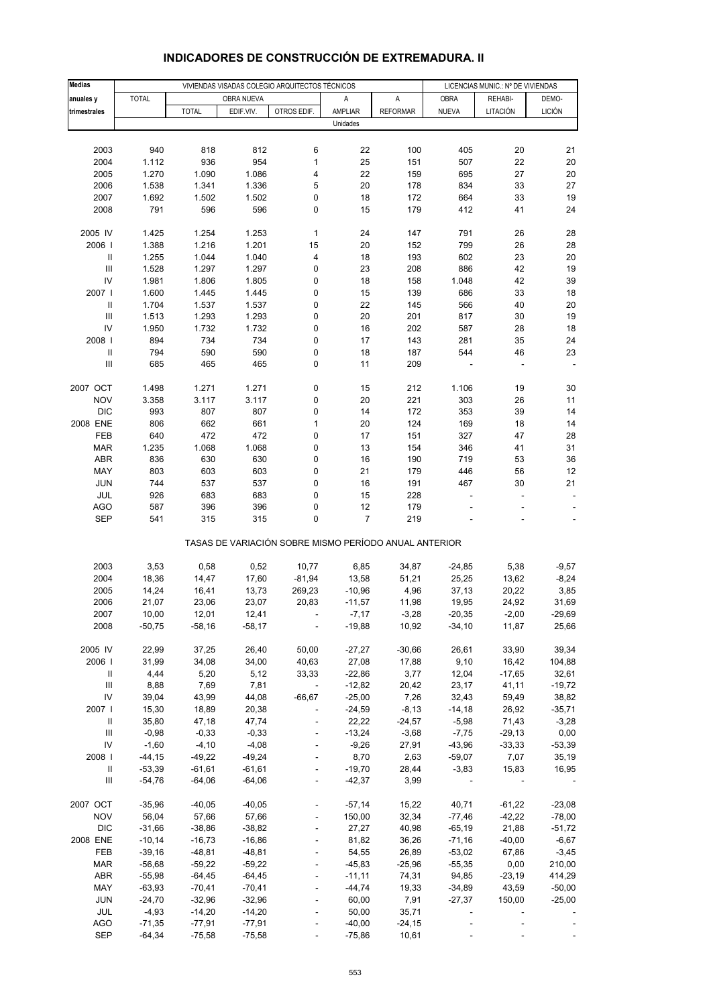| <b>Medias</b>                      |                     |                      |                      | VIVIENDAS VISADAS COLEGIO ARQUITECTOS TÉCNICOS        |                   |                    | LICENCIAS MUNIC.: Nº DE VIVIENDAS |                   |                 |
|------------------------------------|---------------------|----------------------|----------------------|-------------------------------------------------------|-------------------|--------------------|-----------------------------------|-------------------|-----------------|
| anuales y                          | <b>TOTAL</b>        |                      | OBRA NUEVA           |                                                       | Α                 | A                  | <b>OBRA</b>                       | REHABI-           | DEMO-           |
| trimestrales                       |                     | <b>TOTAL</b>         | EDIF.VIV.            | OTROS EDIF.                                           | AMPLIAR           | <b>REFORMAR</b>    | <b>NUEVA</b>                      | LITACIÓN          | <b>LICIÓN</b>   |
|                                    |                     |                      |                      |                                                       | Unidades          |                    |                                   |                   |                 |
|                                    |                     |                      |                      |                                                       |                   |                    |                                   |                   |                 |
| 2003                               | 940                 | 818                  | 812                  | 6                                                     | 22                | 100                | 405                               | 20                | 21              |
| 2004                               | 1.112               | 936                  | 954                  | $\mathbf 1$                                           | 25                | 151                | 507                               | 22                | 20              |
| 2005                               | 1.270               | 1.090                | 1.086                | 4                                                     | 22                | 159                | 695                               | 27                | 20              |
| 2006                               | 1.538               | 1.341                | 1.336                | 5                                                     | 20                | 178                | 834                               | 33                | 27              |
| 2007                               | 1.692               | 1.502                | 1.502                | 0                                                     | 18                | 172                | 664                               | 33                | 19              |
| 2008                               | 791                 | 596                  | 596                  | 0                                                     | 15                | 179                | 412                               | 41                | 24              |
|                                    |                     |                      |                      |                                                       |                   |                    |                                   |                   |                 |
| 2005 IV                            | 1.425               | 1.254                | 1.253                | 1                                                     | 24                | 147                | 791                               | 26                | 28              |
| 2006                               | 1.388               | 1.216                | 1.201                | 15                                                    | 20                | 152                | 799                               | 26                | 28              |
| $\ensuremath{\mathsf{II}}$         | 1.255               | 1.044                | 1.040                | 4                                                     | 18                | 193                | 602                               | 23                | 20              |
| $\ensuremath{\mathsf{III}}\xspace$ | 1.528               | 1.297                | 1.297                | 0                                                     | 23                | 208                | 886                               | 42                | 19              |
| IV<br>2007 l                       | 1.981               | 1.806                | 1.805<br>1.445       | 0<br>0                                                | 18                | 158                | 1.048<br>686                      | 42                | 39<br>18        |
| $\ensuremath{\mathsf{II}}$         | 1.600<br>1.704      | 1.445<br>1.537       | 1.537                | 0                                                     | 15<br>22          | 139<br>145         | 566                               | 33<br>40          | 20              |
| $\ensuremath{\mathsf{III}}\xspace$ | 1.513               | 1.293                | 1.293                | 0                                                     | 20                | 201                | 817                               | 30                | 19              |
| IV                                 | 1.950               | 1.732                | 1.732                | 0                                                     | 16                | 202                | 587                               | 28                | 18              |
| 2008                               | 894                 | 734                  | 734                  | 0                                                     | 17                | 143                | 281                               | 35                | 24              |
| $\sf II$                           | 794                 | 590                  | 590                  | 0                                                     | 18                | 187                | 544                               | 46                | 23              |
| Ш                                  | 685                 | 465                  | 465                  | 0                                                     | 11                | 209                |                                   |                   |                 |
|                                    |                     |                      |                      |                                                       |                   |                    |                                   |                   |                 |
| 2007 OCT                           | 1.498               | 1.271                | 1.271                | 0                                                     | 15                | 212                | 1.106                             | 19                | 30              |
| <b>NOV</b>                         | 3.358               | 3.117                | 3.117                | 0                                                     | 20                | 221                | 303                               | 26                | 11              |
| <b>DIC</b>                         | 993                 | 807                  | 807                  | 0                                                     | 14                | 172                | 353                               | 39                | 14              |
| 2008 ENE                           | 806                 | 662                  | 661                  | 1                                                     | 20                | 124                | 169                               | 18                | 14              |
| FEB                                | 640                 | 472                  | 472                  | 0                                                     | 17                | 151                | 327                               | 47                | 28              |
| <b>MAR</b>                         | 1.235               | 1.068                | 1.068                | 0                                                     | 13                | 154                | 346                               | 41                | 31              |
| ABR                                | 836                 | 630                  | 630                  | 0                                                     | 16                | 190                | 719                               | 53                | 36              |
| MAY                                | 803                 | 603                  | 603                  | 0                                                     | 21                | 179                | 446                               | 56                | 12              |
| <b>JUN</b>                         | 744                 | 537                  | 537                  | 0                                                     | 16                | 191                | 467                               | 30                | 21              |
| JUL                                | 926                 | 683                  | 683                  | 0                                                     | 15                | 228                | ÷,                                | ÷                 |                 |
| <b>AGO</b><br><b>SEP</b>           | 587<br>541          | 396<br>315           | 396<br>315           | 0<br>0                                                | 12<br>7           | 179<br>219         |                                   |                   |                 |
|                                    |                     |                      |                      |                                                       |                   |                    |                                   |                   |                 |
|                                    |                     |                      |                      | TASAS DE VARIACIÓN SOBRE MISMO PERÍODO ANUAL ANTERIOR |                   |                    |                                   |                   |                 |
|                                    |                     |                      |                      |                                                       |                   |                    |                                   |                   |                 |
| 2003                               | 3,53                | 0,58                 | 0,52                 | 10,77                                                 | 6,85              | 34,87              | $-24,85$                          | 5,38              | $-9,57$         |
| 2004                               | 18,36               | 14,47                | 17,60                | $-81,94$                                              | 13,58             | 51,21              | 25,25                             | 13,62             | $-8,24$         |
| 2005                               | 14,24               | 16,41                | 13,73                | 269,23                                                | $-10,96$          | 4,96               | 37,13                             | 20,22             | 3,85            |
| 2006                               | 21,07               | 23,06                | 23,07                | 20,83                                                 | $-11,57$          | 11,98              | 19,95                             | 24,92             | 31,69           |
| 2007                               | 10,00               | 12,01                | 12,41                |                                                       | $-7,17$           | $-3,28$            | $-20,35$                          | $-2,00$           | -29,69          |
| 2008                               | $-50,75$            | $-58,16$             | $-58,17$             |                                                       | $-19,88$          | 10,92              | $-34,10$                          | 11,87             | 25,66           |
|                                    |                     |                      |                      |                                                       |                   |                    |                                   |                   | 39,34           |
| 2005 IV                            | 22,99               | 37,25                | 26,40                | 50,00                                                 | $-27,27$          | $-30,66$           | 26,61                             | 33,90             |                 |
| 2006  <br>Ш                        | 31,99<br>4,44       | 34,08<br>5,20        | 34,00<br>5,12        | 40,63<br>33,33                                        | 27,08<br>$-22,86$ | 17,88<br>3,77      | 9,10<br>12,04                     | 16,42<br>$-17,65$ | 104,88<br>32,61 |
| $\ensuremath{\mathsf{III}}\xspace$ | 8,88                | 7,69                 | 7,81                 | $\overline{\phantom{a}}$                              | $-12,82$          | 20,42              | 23,17                             | 41,11             | $-19,72$        |
| IV                                 | 39,04               | 43,99                | 44,08                | $-66,67$                                              | $-25,00$          | 7,26               | 32,43                             | 59,49             | 38,82           |
| 2007 l                             | 15,30               | 18,89                | 20,38                |                                                       | $-24,59$          | $-8,13$            | $-14,18$                          | 26,92             | $-35,71$        |
| Ш                                  | 35,80               | 47,18                | 47,74                |                                                       | 22,22             | $-24,57$           | $-5,98$                           | 71,43             | $-3,28$         |
| $\ensuremath{\mathsf{III}}\xspace$ | $-0,98$             | $-0,33$              | $-0,33$              |                                                       | $-13,24$          | $-3,68$            | $-7,75$                           | $-29,13$          | 0,00            |
| IV                                 | $-1,60$             | $-4,10$              | $-4,08$              | ÷,                                                    | $-9,26$           | 27,91              | $-43,96$                          | $-33,33$          | $-53,39$        |
| 2008                               | $-44, 15$           | $-49,22$             | $-49,24$             |                                                       | 8,70              | 2,63               | $-59,07$                          | 7,07              | 35,19           |
| Ш                                  | $-53,39$            | $-61,61$             | $-61,61$             |                                                       | $-19,70$          | 28,44              | $-3,83$                           | 15,83             | 16,95           |
| Ш                                  | $-54,76$            | $-64,06$             | $-64,06$             | $\overline{\phantom{a}}$                              | $-42,37$          | 3,99               |                                   |                   |                 |
|                                    |                     |                      |                      |                                                       |                   |                    |                                   |                   |                 |
| 2007 OCT                           | $-35,96$            | $-40,05$             | $-40,05$             |                                                       | $-57,14$          | 15,22              | 40,71                             | $-61,22$          | $-23,08$        |
| <b>NOV</b>                         | 56,04               | 57,66                | 57,66                |                                                       | 150,00            | 32,34              | $-77,46$                          | $-42,22$          | $-78,00$        |
| <b>DIC</b>                         | $-31,66$            | $-38,86$             | $-38,82$             |                                                       | 27,27             | 40,98              | $-65,19$                          | 21,88             | $-51,72$        |
| 2008 ENE                           | $-10,14$            | $-16,73$             | $-16,86$             |                                                       | 81,82             | 36,26              | $-71,16$                          | $-40,00$          | $-6,67$         |
| FEB                                | $-39,16$            | $-48,81$             | $-48,81$             |                                                       | 54,55             | 26,89              | $-53,02$                          | 67,86             | $-3,45$         |
| <b>MAR</b>                         | $-56,68$            | $-59,22$             | $-59,22$             |                                                       | $-45,83$          | $-25,96$           | $-55,35$                          | 0,00              | 210,00          |
| <b>ABR</b>                         | $-55,98$            | $-64,45$             | $-64,45$             | $\overline{a}$                                        | $-11,11$          | 74,31              | 94,85                             | $-23,19$          | 414,29          |
| MAY                                | $-63,93$            | $-70,41$             | $-70,41$             |                                                       | $-44,74$          | 19,33              | $-34,89$                          | 43,59             | $-50,00$        |
| <b>JUN</b>                         | $-24,70$            | $-32,96$             | $-32,96$             | $\overline{a}$                                        | 60,00             | 7,91               | $-27,37$                          | 150,00            | $-25,00$        |
| JUL<br><b>AGO</b>                  | $-4,93$<br>$-71,35$ | $-14,20$<br>$-77,91$ | $-14,20$<br>$-77,91$ |                                                       | 50,00<br>$-40,00$ | 35,71<br>$-24, 15$ |                                   |                   |                 |
| SEP                                | $-64,34$            | $-75,58$             | $-75,58$             |                                                       | $-75,86$          | 10,61              |                                   |                   |                 |
|                                    |                     |                      |                      |                                                       |                   |                    |                                   |                   |                 |

# **INDICADORES DE CONSTRUCCIÓN DE EXTREMADURA. II**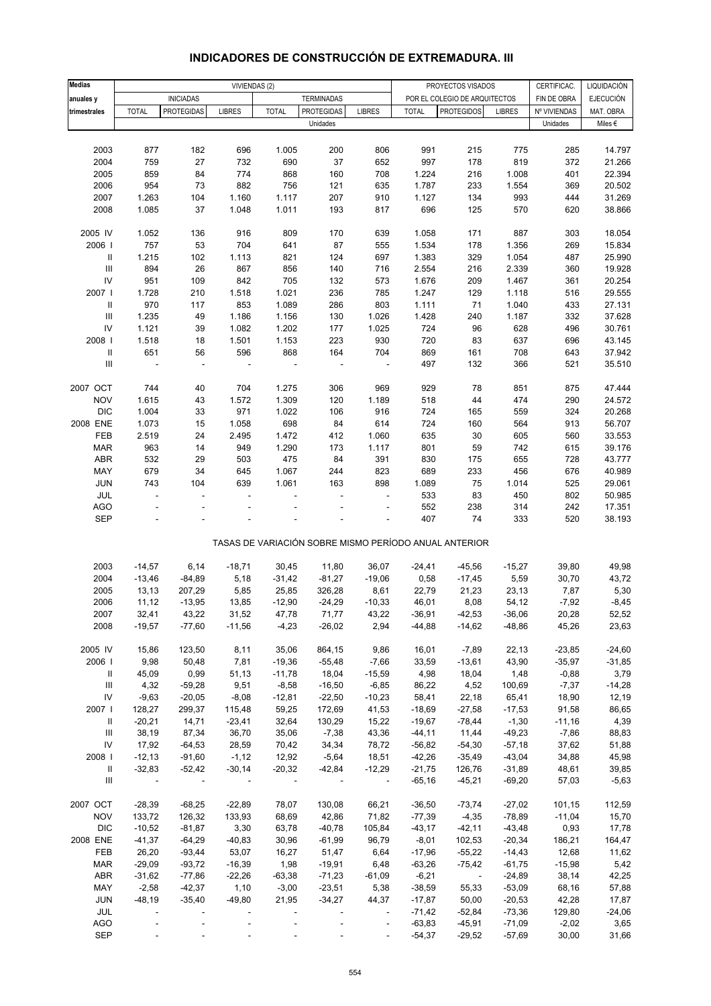| <b>Medias</b>                      |                          |                   | VIVIENDAS (2) |              |                   |                          |              | PROYECTOS VISADOS                                     |                      | CERTIFICAC.  | LIQUIDACIÓN      |
|------------------------------------|--------------------------|-------------------|---------------|--------------|-------------------|--------------------------|--------------|-------------------------------------------------------|----------------------|--------------|------------------|
|                                    |                          | <b>INICIADAS</b>  |               |              | <b>TERMINADAS</b> |                          |              | POR EL COLEGIO DE ARQUITECTOS                         |                      | FIN DE OBRA  | <b>EJECUCIÓN</b> |
| anuales y<br>trimestrales          | <b>TOTAL</b>             | <b>PROTEGIDAS</b> | <b>LIBRES</b> | <b>TOTAL</b> | <b>PROTEGIDAS</b> | <b>LIBRES</b>            | <b>TOTAL</b> | <b>PROTEGIDOS</b>                                     | <b>LIBRES</b>        | Nº VIVIENDAS | MAT. OBRA        |
|                                    |                          |                   |               |              | Unidades          |                          |              |                                                       |                      | Unidades     | Miles $\epsilon$ |
|                                    |                          |                   |               |              |                   |                          |              |                                                       |                      |              |                  |
| 2003                               | 877                      | 182               | 696           | 1.005        | 200               | 806                      | 991          | 215                                                   | 775                  | 285          | 14.797           |
| 2004                               | 759                      | 27                | 732           | 690          | 37                | 652                      | 997          | 178                                                   | 819                  | 372          | 21.266           |
| 2005                               | 859                      | 84                | 774           | 868          | 160               | 708                      | 1.224        | 216                                                   | 1.008                | 401          | 22.394           |
| 2006                               | 954                      | 73                | 882           | 756          | 121               |                          | 1.787        | 233                                                   | 1.554                | 369          | 20.502           |
| 2007                               | 1.263                    | 104               | 1.160         | 1.117        | 207               | 635<br>910               | 1.127        | 134                                                   | 993                  | 444          | 31.269           |
| 2008                               | 1.085                    | 37                | 1.048         | 1.011        | 193               | 817                      | 696          | 125                                                   | 570                  | 620          | 38.866           |
|                                    |                          |                   |               |              |                   |                          |              |                                                       |                      |              |                  |
| 2005 IV                            | 1.052                    | 136               | 916           | 809          | 170               | 639                      | 1.058        | 171                                                   | 887                  | 303          | 18.054           |
| 2006                               | 757                      | 53                | 704           | 641          | 87                | 555                      | 1.534        | 178                                                   | 1.356                | 269          | 15.834           |
| Ш                                  | 1.215                    | 102               | 1.113         | 821          | 124               | 697                      | 1.383        | 329                                                   | 1.054                | 487          | 25.990           |
| $\ensuremath{\mathsf{III}}\xspace$ | 894                      | 26                | 867           | 856          | 140               | 716                      | 2.554        | 216                                                   | 2.339                | 360          | 19.928           |
| ${\sf IV}$                         | 951                      | 109               | 842           | 705          | 132               | 573                      | 1.676        | 209                                                   | 1.467                | 361          | 20.254           |
| 2007                               | 1.728                    | 210               | 1.518         | 1.021        | 236               | 785                      | 1.247        | 129                                                   | 1.118                | 516          | 29.555           |
| $\mathbf{II}$                      | 970                      | 117               | 853           | 1.089        | 286               | 803                      | 1.111        | 71                                                    | 1.040                | 433          | 27.131           |
| $\ensuremath{\mathsf{III}}\xspace$ | 1.235                    | 49                | 1.186         | 1.156        | 130               | 1.026                    | 1.428        | 240                                                   | 1.187                | 332          | 37.628           |
| ${\sf IV}$                         | 1.121                    | 39                | 1.082         | 1.202        | 177               | 1.025                    | 724          | 96                                                    | 628                  | 496          | 30.761           |
| 2008                               | 1.518                    | 18                | 1.501         | 1.153        | 223               | 930                      | 720          | 83                                                    | 637                  | 696          | 43.145           |
| $\ensuremath{\mathsf{II}}$         | 651                      | 56                | 596           | 868          | 164               | 704                      | 869          | 161                                                   | 708                  | 643          | 37.942           |
| $\ensuremath{\mathsf{III}}\xspace$ | $\overline{\phantom{a}}$ | ÷,                | ÷,            |              |                   | $\overline{\phantom{a}}$ | 497          | 132                                                   | 366                  | 521          | 35.510           |
|                                    |                          |                   |               |              |                   |                          |              |                                                       |                      |              |                  |
| 2007 OCT                           | 744                      | 40                | 704           | 1.275        | 306               | 969                      | 929          | 78                                                    | 851                  | 875          | 47.444           |
| <b>NOV</b>                         | 1.615                    | 43                | 1.572         | 1.309        | 120               | 1.189                    | 518          | 44                                                    | 474                  | 290          | 24.572           |
| <b>DIC</b>                         | 1.004                    | 33                | 971           |              | 106               | 916                      | 724          | 165                                                   | 559                  | 324          | 20.268           |
| 2008 ENE                           | 1.073                    | 15                | 1.058         | 1.022<br>698 | 84                | 614                      | 724          | 160                                                   | 564                  | 913          | 56.707           |
| FEB                                | 2.519                    | 24                | 2.495         | 1.472        | 412               | 1.060                    | 635          | 30                                                    | 605                  | 560          | 33.553           |
| <b>MAR</b>                         | 963                      | 14                | 949           | 1.290        | 173               | 1.117                    | 801          | 59                                                    | 742                  | 615          | 39.176           |
| ABR                                | 532                      | 29                | 503           | 475          | 84                | 391                      | 830          | 175                                                   | 655                  | 728          | 43.777           |
| MAY                                | 679                      | 34                | 645           | 1.067        | 244               | 823                      | 689          | 233                                                   | 456                  | 676          | 40.989           |
| JUN                                | 743                      | 104               | 639           | 1.061        | 163               | 898                      | 1.089        | 75                                                    | 1.014                | 525          | 29.061           |
| JUL                                | ä,                       | L.                | ä,            |              |                   | ÷.                       | 533          | 83                                                    | 450                  | 802          | 50.985           |
| <b>AGO</b>                         |                          |                   |               |              |                   | ä,                       | 552          | 238                                                   | 314                  | 242          | 17.351           |
| <b>SEP</b>                         |                          |                   |               |              |                   |                          | 407          | 74                                                    | 333                  | 520          | 38.193           |
|                                    |                          |                   |               |              |                   |                          |              |                                                       |                      |              |                  |
|                                    |                          |                   |               |              |                   |                          |              | TASAS DE VARIACIÓN SOBRE MISMO PERÍODO ANUAL ANTERIOR |                      |              |                  |
|                                    |                          |                   |               |              |                   |                          |              |                                                       |                      |              |                  |
| 2003                               | $-14,57$                 | 6,14              | $-18,71$      | 30,45        | 11,80             | 36,07                    | $-24,41$     | $-45,56$                                              | $-15,27$             | 39,80        | 49,98            |
| 2004                               | $-13,46$                 | $-84,89$          | 5,18          | $-31,42$     | $-81,27$          | $-19,06$                 | 0,58         | $-17,45$                                              | 5,59                 | 30,70        | 43,72            |
| 2005                               | 13,13                    | 207,29            | 5,85          | 25,85        | 326,28            | 8,61                     | 22,79        | 21,23                                                 | 23,13                | 7,87         | 5,30             |
| 2006                               | 11,12                    | $-13,95$          | 13,85         | $-12,90$     | $-24,29$          | $-10,33$                 | 46,01        | 8,08                                                  | 54,12                | $-7,92$      | $-8,45$          |
| 2007                               | 32,41                    | 43,22             | 31,52         | 47,78        | 71,77             | 43,22                    | $-36,91$     | $-42,53$                                              | $-36,06$             | 20,28        | 52,52            |
| 2008                               | $-19,57$                 | $-77,60$          | $-11,56$      | $-4,23$      | $-26,02$          | 2,94                     | $-44,88$     | $-14,62$                                              | $-48,86$             | 45,26        | 23,63            |
| 2005 IV                            | 15,86                    | 123,50            | 8,11          | 35,06        | 864,15            | 9,86                     | 16,01        | $-7,89$                                               | 22,13                | $-23,85$     | $-24,60$         |
| 2006                               | 9,98                     | 50,48             | 7,81          | $-19,36$     | $-55,48$          | $-7,66$                  | 33,59        | $-13,61$                                              | 43,90                | $-35,97$     | $-31,85$         |
| Ш                                  | 45,09                    | 0,99              | 51,13         | $-11,78$     | 18,04             | $-15,59$                 | 4,98         | 18,04                                                 | 1,48                 | $-0,88$      | 3,79             |
| $\ensuremath{\mathsf{III}}\xspace$ | 4,32                     | $-59,28$          | 9,51          | $-8,58$      | $-16,50$          | $-6,85$                  | 86,22        | 4,52                                                  | 100,69               | $-7,37$      | $-14,28$         |
| ${\sf IV}$                         | $-9,63$                  | $-20,05$          | $-8,08$       | $-12,81$     | $-22,50$          | $-10,23$                 | 58,41        | 22,18                                                 | 65,41                | 18,90        | 12,19            |
| 2007                               | 128,27                   | 299,37            | 115,48        | 59,25        | 172,69            | 41,53                    | $-18,69$     | $-27,58$                                              | $-17,53$             | 91,58        | 86,65            |
| Ш                                  | $-20,21$                 | 14,71             | $-23,41$      | 32,64        | 130,29            | 15,22                    | $-19,67$     | $-78,44$                                              | $-1,30$              | $-11,16$     | 4,39             |
| Ш                                  | 38,19                    | 87,34             | 36,70         | 35,06        | $-7,38$           | 43,36                    | $-44, 11$    | 11,44                                                 | $-49,23$             | $-7,86$      |                  |
| ${\sf IV}$                         | 17,92                    | $-64,53$          | 28,59         | 70,42        | 34,34             | 78,72                    | $-56,82$     | $-54,30$                                              | $-57,18$             | 37,62        | 88,83<br>51,88   |
| 2008                               | $-12,13$                 | $-91,60$          | $-1,12$       | 12,92        | $-5,64$           | 18,51                    | $-42,26$     | $-35,49$                                              | $-43,04$             | 34,88        | 45,98            |
| Ш                                  | $-32,83$                 | $-52,42$          | $-30,14$      | $-20,32$     | $-42,84$          | $-12,29$                 | $-21,75$     | 126,76                                                |                      | 48,61        | 39,85            |
| Ш                                  | $\overline{\phantom{a}}$ | $\blacksquare$    |               |              |                   | $\overline{\phantom{a}}$ | $-65,16$     | $-45,21$                                              | $-31,89$<br>$-69,20$ | 57,03        | $-5,63$          |
|                                    |                          |                   |               |              |                   |                          |              |                                                       |                      |              |                  |
| 2007 OCT                           | $-28,39$                 | $-68,25$          | $-22,89$      | 78,07        | 130,08            | 66,21                    | $-36,50$     | $-73,74$                                              | $-27,02$             | 101,15       | 112,59           |
| <b>NOV</b>                         | 133,72                   | 126,32            | 133,93        | 68,69        | 42,86             | 71,82                    | $-77,39$     | $-4,35$                                               | $-78,89$             | $-11,04$     | 15,70            |
| <b>DIC</b>                         | $-10,52$                 | $-81,87$          | 3,30          | 63,78        | $-40,78$          | 105,84                   | $-43,17$     | $-42,11$                                              | $-43,48$             | 0,93         | 17,78            |
| 2008 ENE                           | $-41,37$                 | $-64,29$          | $-40,83$      | 30,96        | $-61,99$          | 96,79                    | $-8,01$      | 102,53                                                | $-20,34$             | 186,21       | 164,47           |
| FEB                                | 26,20                    | $-93,44$          | 53,07         | 16,27        | 51,47             | 6,64                     | $-17,96$     | $-55,22$                                              | $-14,43$             | 12,68        | 11,62            |
| <b>MAR</b>                         | $-29,09$                 | $-93,72$          | $-16,39$      | 1,98         | $-19,91$          | 6,48                     | $-63,26$     | $-75,42$                                              | $-61,75$             | $-15,98$     | 5,42             |
| ABR                                | $-31,62$                 | $-77,86$          | $-22,26$      | $-63,38$     | $-71,23$          | $-61,09$                 | $-6,21$      | $\sim$                                                | $-24,89$             | 38,14        | 42,25            |
| MAY                                | $-2,58$                  | $-42,37$          | 1,10          | $-3,00$      | $-23,51$          | 5,38                     | $-38,59$     | 55,33                                                 | $-53,09$             | 68,16        | 57,88            |
| <b>JUN</b>                         | $-48,19$                 | $-35,40$          | $-49,80$      | 21,95        | $-34,27$          | 44,37                    | $-17,87$     | 50,00                                                 | $-20,53$             | 42,28        | 17,87            |
| JUL                                |                          |                   |               |              |                   | $\overline{\phantom{a}}$ | $-71,42$     | $-52,84$                                              | $-73,36$             | 129,80       | $-24,06$         |
| <b>AGO</b>                         |                          |                   |               |              |                   | $\overline{\phantom{a}}$ | $-63,83$     | $-45,91$                                              | $-71,09$             | $-2,02$      | 3,65             |
| <b>SEP</b>                         |                          |                   |               |              |                   |                          | $-54,37$     | $-29,52$                                              | $-57,69$             | 30,00        | 31,66            |

### **INDICADORES DE CONSTRUCCIÓN DE EXTREMADURA. III**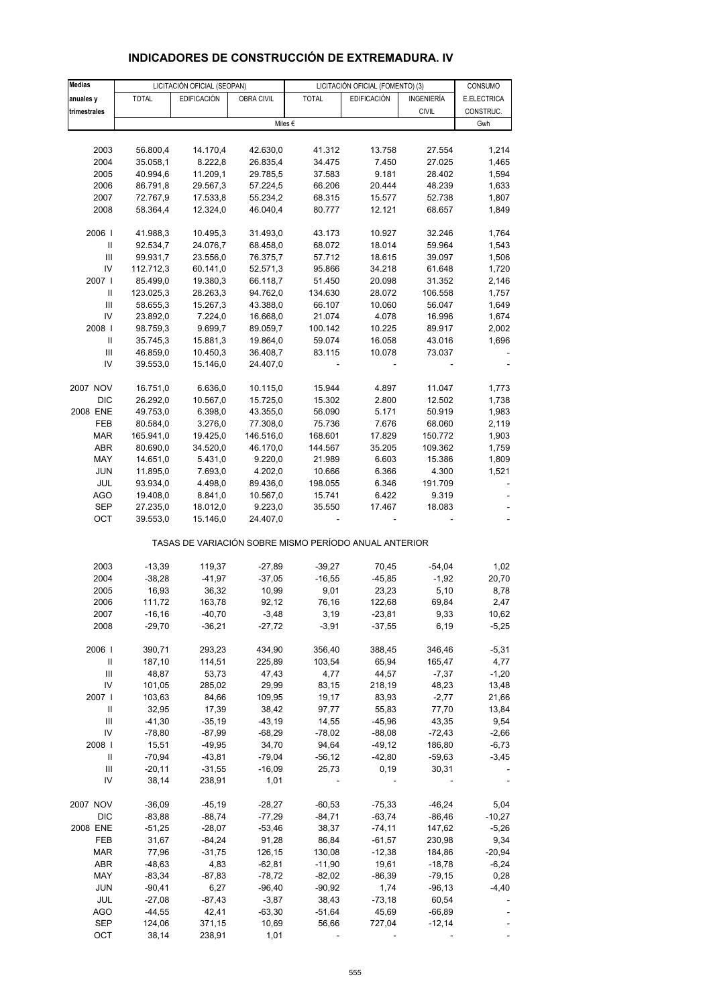| <b>Medias</b>                      |              | LICITACIÓN OFICIAL (SEOPAN) |                   | LICITACIÓN OFICIAL (FOMENTO) (3)                      |                    |              | CONSUMO     |
|------------------------------------|--------------|-----------------------------|-------------------|-------------------------------------------------------|--------------------|--------------|-------------|
| anuales y                          | <b>TOTAL</b> | <b>EDIFICACIÓN</b>          | <b>OBRA CIVIL</b> | <b>TOTAL</b>                                          | <b>EDIFICACIÓN</b> | INGENIERÍA   | E.ELECTRICA |
| trimestrales                       |              |                             |                   |                                                       |                    | <b>CIVIL</b> | CONSTRUC.   |
|                                    |              |                             |                   | Miles $\epsilon$                                      |                    |              | Gwh         |
|                                    |              |                             |                   |                                                       |                    |              |             |
| 2003                               | 56.800,4     | 14.170,4                    | 42.630,0          | 41.312                                                | 13.758             | 27.554       | 1,214       |
| 2004                               | 35.058,1     | 8.222,8                     | 26.835,4          | 34.475                                                | 7.450              | 27.025       | 1,465       |
| 2005                               | 40.994,6     | 11.209,1                    | 29.785,5          | 37.583                                                | 9.181              | 28.402       | 1,594       |
| 2006                               | 86.791,8     | 29.567,3                    | 57.224,5          | 66.206                                                | 20.444             | 48.239       | 1,633       |
| 2007                               | 72.767,9     | 17.533,8                    | 55.234,2          | 68.315                                                |                    | 52.738       | 1,807       |
|                                    |              |                             |                   |                                                       | 15.577             |              |             |
| 2008                               | 58.364,4     | 12.324,0                    | 46.040,4          | 80.777                                                | 12.121             | 68.657       | 1,849       |
| 2006                               | 41.988,3     | 10.495,3                    | 31.493,0          | 43.173                                                | 10.927             | 32.246       | 1,764       |
| Ш                                  | 92.534,7     | 24.076,7                    | 68.458,0          | 68.072                                                | 18.014             | 59.964       | 1,543       |
| Ш                                  | 99.931,7     | 23.556,0                    | 76.375,7          | 57.712                                                | 18.615             | 39.097       | 1,506       |
| IV                                 | 112.712,3    | 60.141,0                    | 52.571,3          | 95.866                                                | 34.218             | 61.648       | 1,720       |
| 2007 l                             | 85.499,0     | 19.380,3                    | 66.118,7          | 51.450                                                | 20.098             | 31.352       | 2,146       |
| Ш                                  | 123.025,3    | 28.263,3                    | 94.762,0          | 134.630                                               | 28.072             | 106.558      | 1,757       |
| Ш                                  | 58.655,3     | 15.267,3                    | 43.388,0          | 66.107                                                | 10.060             | 56.047       | 1,649       |
| IV                                 | 23.892,0     | 7.224,0                     | 16.668,0          | 21.074                                                | 4.078              | 16.996       | 1,674       |
| 2008                               |              |                             |                   |                                                       |                    |              |             |
|                                    | 98.759,3     | 9.699,7                     | 89.059,7          | 100.142                                               | 10.225             | 89.917       | 2,002       |
| $\ensuremath{\mathsf{II}}$         | 35.745,3     | 15.881,3                    | 19.864,0          | 59.074                                                | 16.058             | 43.016       | 1,696       |
| $\ensuremath{\mathsf{III}}\xspace$ | 46.859,0     | 10.450,3                    | 36.408,7          | 83.115                                                | 10.078             | 73.037       |             |
| IV                                 | 39.553,0     | 15.146,0                    | 24.407,0          |                                                       |                    |              |             |
| 2007 NOV                           | 16.751,0     | 6.636,0                     | 10.115,0          | 15.944                                                | 4.897              | 11.047       | 1,773       |
| DIC                                | 26.292,0     | 10.567,0                    | 15.725,0          | 15.302                                                | 2.800              | 12.502       | 1,738       |
| 2008 ENE                           | 49.753,0     | 6.398,0                     | 43.355,0          | 56.090                                                | 5.171              | 50.919       | 1,983       |
| FEB                                | 80.584,0     | 3.276,0                     | 77.308,0          | 75.736                                                | 7.676              | 68.060       | 2,119       |
| <b>MAR</b>                         | 165.941,0    | 19.425,0                    | 146.516,0         | 168.601                                               | 17.829             | 150.772      | 1,903       |
| ABR                                | 80.690,0     | 34.520,0                    | 46.170,0          | 144.567                                               | 35.205             | 109.362      | 1,759       |
|                                    |              |                             |                   |                                                       |                    |              |             |
| MAY                                | 14.651,0     | 5.431,0                     | 9.220,0           | 21.989                                                | 6.603              | 15.386       | 1,809       |
| <b>JUN</b>                         | 11.895,0     | 7.693,0                     | 4.202,0           | 10.666                                                | 6.366              | 4.300        | 1,521       |
| JUL                                | 93.934,0     | 4.498,0                     | 89.436,0          | 198.055                                               | 6.346              | 191.709      |             |
| <b>AGO</b>                         | 19.408,0     | 8.841,0                     | 10.567,0          | 15.741                                                | 6.422              | 9.319        |             |
| <b>SEP</b>                         | 27.235,0     | 18.012,0                    | 9.223,0           | 35.550                                                | 17.467             | 18.083       |             |
| OCT                                | 39.553,0     | 15.146,0                    | 24.407,0          |                                                       |                    |              |             |
|                                    |              |                             |                   | TASAS DE VARIACIÓN SOBRE MISMO PERÍODO ANUAL ANTERIOR |                    |              |             |
| 2003                               | $-13,39$     | 119,37                      | $-27,89$          | $-39,27$                                              | 70,45              | $-54,04$     | 1,02        |
| 2004                               | $-38,28$     | $-41,97$                    | $-37,05$          | $-16,55$                                              | $-45,85$           | $-1,92$      | 20,70       |
| 2005                               | 16,93        | 36,32                       | 10,99             | 9,01                                                  | 23,23              | 5,10         | 8,78        |
|                                    |              |                             |                   |                                                       |                    |              |             |
| 2006                               | 111,72       | 163,78                      | 92,12             | 76,16                                                 | 122,68             | 69,84        | 2,47        |
| 2007                               | -16,16       | -40,70                      | -3,48             | 3,19                                                  | $-23,81$           | 9,33         | 10,62       |
| 2008                               | $-29,70$     | $-36,21$                    | $-27,72$          | $-3,91$                                               | $-37,55$           | 6,19         | $-5,25$     |
| 2006                               | 390,71       | 293,23                      | 434,90            | 356,40                                                | 388,45             | 346,46       | -5,31       |
| Ш                                  | 187,10       | 114,51                      | 225,89            | 103,54                                                | 65,94              | 165,47       | 4,77        |
| $\ensuremath{\mathsf{III}}\xspace$ | 48,87        | 53,73                       | 47,43             | 4,77                                                  | 44,57              | $-7,37$      | $-1,20$     |
| IV                                 | 101,05       | 285,02                      | 29,99             | 83,15                                                 | 218,19             | 48,23        | 13,48       |
| 2007                               | 103,63       | 84,66                       | 109,95            | 19,17                                                 | 83,93              | $-2,77$      | 21,66       |
| Ш                                  | 32,95        | 17,39                       | 38,42             | 97,77                                                 | 55,83              | 77,70        | 13,84       |
| Ш                                  | $-41,30$     | $-35,19$                    | $-43,19$          | 14,55                                                 | $-45,96$           | 43,35        | 9,54        |
| IV                                 | $-78,80$     | $-87,99$                    | $-68,29$          | $-78,02$                                              | $-88,08$           | $-72,43$     |             |
|                                    |              |                             | 34,70             | 94,64                                                 |                    |              | $-2,66$     |
| 2008                               | 15,51        | $-49,95$                    |                   |                                                       | $-49,12$           | 186,80       | $-6,73$     |
| Ш                                  | $-70,94$     | $-43,81$                    | $-79,04$          | $-56, 12$                                             | $-42,80$           | $-59,63$     | $-3,45$     |
| Ш                                  | $-20,11$     | $-31,55$                    | $-16,09$          | 25,73                                                 | 0, 19              | 30,31        |             |
| IV                                 | 38,14        | 238,91                      | 1,01              |                                                       |                    |              |             |
| 2007 NOV                           | $-36,09$     | $-45,19$                    | $-28,27$          | $-60,53$                                              | $-75,33$           | $-46,24$     | 5,04        |
| DIC                                | $-83,88$     | $-88,74$                    | $-77,29$          | $-84,71$                                              | $-63,74$           | $-86,46$     | $-10,27$    |
| 2008 ENE                           | -51,25       | $-28,07$                    | $-53,46$          | 38,37                                                 | $-74, 11$          | 147,62       | $-5,26$     |
| FEB                                | 31,67        | $-84,24$                    | 91,28             | 86,84                                                 | $-61,57$           | 230,98       | 9,34        |
| <b>MAR</b>                         | 77,96        | $-31,75$                    | 126,15            | 130,08                                                | $-12,38$           | 184,86       | $-20,94$    |
| ABR                                | $-48,63$     | 4,83                        | $-62,81$          | -11,90                                                | 19,61              | $-18,78$     | $-6,24$     |
| MAY                                | $-83,34$     | $-87,83$                    | $-78,72$          | $-82,02$                                              | $-86,39$           | $-79,15$     | 0,28        |
| JUN                                | $-90,41$     | 6,27                        | $-96,40$          | $-90,92$                                              | 1,74               | $-96, 13$    | $-4,40$     |
| JUL                                | $-27,08$     | $-87,43$                    | $-3,87$           | 38,43                                                 | $-73,18$           | 60,54        |             |
| <b>AGO</b>                         | -44,55       | 42,41                       | $-63,30$          | $-51,64$                                              | 45,69              | $-66,89$     |             |

## **INDICADORES DE CONSTRUCCIÓN DE EXTREMADURA. IV**

 SEP 124,06 371,15 10,69 56,66 727,04 -12,14 - OCT 38,14 238,91 1,01 - - - - - -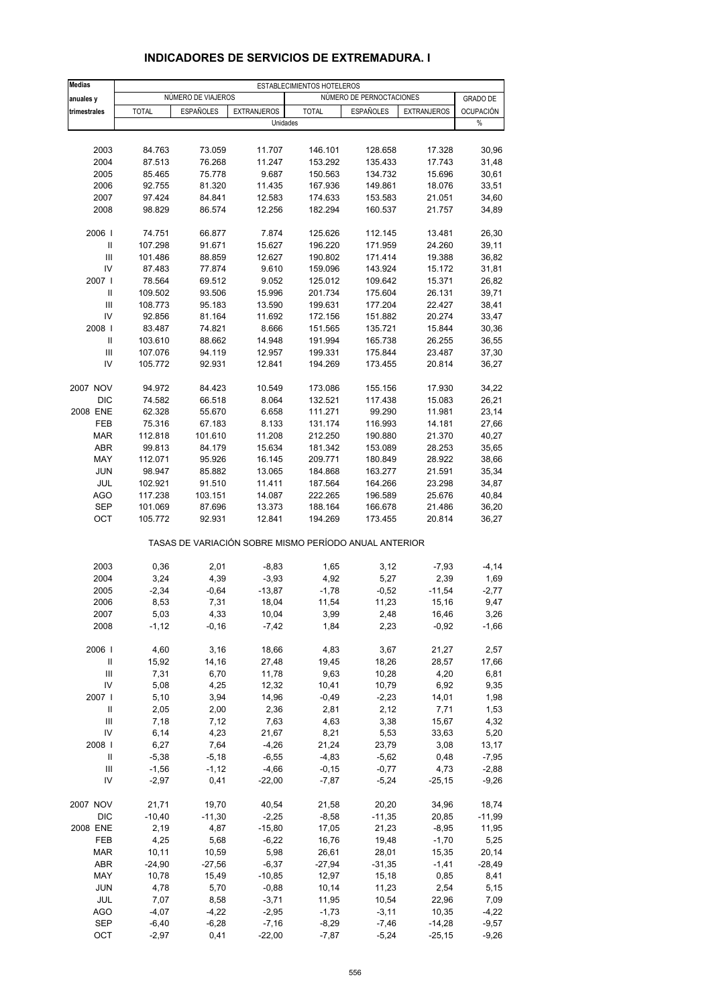| Medias                             | ESTABLECIMIENTOS HOTELEROS |                    |                    |                                                       |                          |                    |                  |  |  |
|------------------------------------|----------------------------|--------------------|--------------------|-------------------------------------------------------|--------------------------|--------------------|------------------|--|--|
| anuales y                          |                            | NÚMERO DE VIAJEROS |                    |                                                       | NÚMERO DE PERNOCTACIONES |                    | <b>GRADO DE</b>  |  |  |
| trimestrales                       | <b>TOTAL</b>               | <b>ESPAÑOLES</b>   | <b>EXTRANJEROS</b> | <b>TOTAL</b>                                          | <b>ESPAÑOLES</b>         | <b>EXTRANJEROS</b> | <b>OCUPACIÓN</b> |  |  |
|                                    |                            |                    |                    | Unidades                                              |                          |                    | $\%$             |  |  |
|                                    |                            |                    |                    |                                                       |                          |                    |                  |  |  |
| 2003                               | 84.763                     | 73.059             | 11.707             | 146.101                                               | 128.658                  | 17.328             | 30,96            |  |  |
| 2004                               | 87.513                     | 76.268             | 11.247             | 153.292                                               | 135.433                  | 17.743             | 31,48            |  |  |
| 2005                               | 85.465                     | 75.778             | 9.687              | 150.563                                               | 134.732                  | 15.696             | 30,61            |  |  |
| 2006                               | 92.755                     | 81.320             | 11.435             | 167.936                                               | 149.861                  | 18.076             | 33,51            |  |  |
| 2007                               | 97.424                     | 84.841             | 12.583             | 174.633                                               | 153.583                  | 21.051             | 34,60            |  |  |
| 2008                               | 98.829                     | 86.574             | 12.256             | 182.294                                               | 160.537                  | 21.757             | 34,89            |  |  |
| 2006                               | 74.751                     | 66.877             | 7.874              | 125.626                                               | 112.145                  | 13.481             | 26,30            |  |  |
| Ш                                  | 107.298                    | 91.671             | 15.627             | 196.220                                               | 171.959                  | 24.260             | 39,11            |  |  |
| Ш                                  | 101.486                    | 88.859             | 12.627             | 190.802                                               | 171.414                  | 19.388             | 36,82            |  |  |
| IV                                 | 87.483                     | 77.874             | 9.610              | 159.096                                               | 143.924                  | 15.172             | 31,81            |  |  |
| 2007                               | 78.564                     | 69.512             | 9.052              | 125.012                                               | 109.642                  | 15.371             | 26,82            |  |  |
| Ш                                  | 109.502                    | 93.506             | 15.996             | 201.734                                               | 175.604                  | 26.131             | 39,71            |  |  |
| Ш                                  | 108.773                    | 95.183             | 13.590             | 199.631                                               | 177.204                  | 22.427             | 38,41            |  |  |
| IV                                 | 92.856                     | 81.164             | 11.692             | 172.156                                               | 151.882                  | 20.274             | 33,47            |  |  |
| 2008                               | 83.487                     | 74.821             | 8.666              | 151.565                                               | 135.721                  | 15.844             | 30,36            |  |  |
| Ш                                  | 103.610                    | 88.662             | 14.948             | 191.994                                               | 165.738                  | 26.255             | 36,55            |  |  |
| Ш                                  | 107.076                    | 94.119             | 12.957             | 199.331                                               | 175.844                  | 23.487             | 37,30            |  |  |
| IV                                 | 105.772                    | 92.931             | 12.841             | 194.269                                               | 173.455                  | 20.814             | 36,27            |  |  |
| 2007 NOV                           | 94.972                     | 84.423             | 10.549             | 173.086                                               | 155.156                  | 17.930             | 34,22            |  |  |
| <b>DIC</b>                         | 74.582                     | 66.518             | 8.064              | 132.521                                               | 117.438                  | 15.083             | 26,21            |  |  |
| 2008 ENE                           | 62.328                     | 55.670             | 6.658              | 111.271                                               | 99.290                   | 11.981             | 23,14            |  |  |
| FEB                                | 75.316                     | 67.183             | 8.133              | 131.174                                               | 116.993                  | 14.181             | 27,66            |  |  |
| <b>MAR</b>                         | 112.818                    | 101.610            | 11.208             | 212.250                                               | 190.880                  | 21.370             | 40,27            |  |  |
| ABR                                | 99.813                     | 84.179             | 15.634             | 181.342                                               | 153.089                  | 28.253             | 35,65            |  |  |
| MAY                                | 112.071                    | 95.926             | 16.145             | 209.771                                               | 180.849                  | 28.922             | 38,66            |  |  |
| <b>JUN</b>                         | 98.947                     | 85.882             | 13.065             | 184.868                                               | 163.277                  | 21.591             | 35,34            |  |  |
| JUL                                | 102.921                    | 91.510             | 11.411             | 187.564                                               | 164.266                  | 23.298             | 34,87            |  |  |
| <b>AGO</b>                         | 117.238                    | 103.151            | 14.087             | 222.265                                               | 196.589                  | 25.676             | 40,84            |  |  |
| <b>SEP</b>                         | 101.069                    | 87.696             | 13.373             | 188.164                                               | 166.678                  | 21.486             | 36,20            |  |  |
| OCT                                | 105.772                    | 92.931             | 12.841             | 194.269                                               | 173.455                  | 20.814             | 36,27            |  |  |
|                                    |                            |                    |                    | TASAS DE VARIACIÓN SOBRE MISMO PERÍODO ANUAL ANTERIOR |                          |                    |                  |  |  |
|                                    |                            |                    |                    |                                                       |                          |                    |                  |  |  |
| 2003                               | 0,36                       | 2,01               | $-8,83$            | 1,65                                                  | 3,12                     | $-7,93$            | $-4, 14$         |  |  |
| 2004                               | 3,24                       | 4,39               | $-3,93$            | 4,92                                                  | 5,27                     | 2,39               | 1,69             |  |  |
| 2005                               | $-2,34$                    | $-0,64$            | $-13,87$           | $-1,78$                                               | $-0,52$                  | $-11,54$           | $-2,77$          |  |  |
| 2006<br>2007                       | 8,53<br>5,03               | 7,31               | 18,04              | 11,54                                                 | 11,23                    | 15,16              | 9,47             |  |  |
| 2008                               | $-1, 12$                   | 4,33<br>$-0,16$    | 10,04<br>$-7,42$   | 3,99<br>1,84                                          | 2,48<br>2,23             | 16,46<br>$-0,92$   | 3,26<br>$-1,66$  |  |  |
|                                    |                            |                    |                    |                                                       |                          |                    |                  |  |  |
| 2006                               | 4,60                       | 3,16               | 18,66              | 4,83                                                  | 3,67                     | 21,27              | 2,57             |  |  |
| $\sf II$                           | 15,92                      | 14,16              | 27,48              | 19,45                                                 | 18,26                    | 28,57              | 17,66            |  |  |
| $\ensuremath{\mathsf{III}}\xspace$ | 7,31                       | 6,70               | 11,78              | 9,63                                                  | 10,28                    | 4,20               | 6,81             |  |  |
| IV                                 | 5,08                       | 4,25               | 12,32              | 10,41                                                 | 10,79                    | 6,92               | 9,35             |  |  |
| 2007 l                             | 5,10                       | 3,94               | 14,96              | $-0,49$                                               | $-2,23$                  | 14,01              | 1,98             |  |  |
| Ш                                  | 2,05                       | 2,00               | 2,36               | 2,81                                                  | 2,12                     | 7,71               | 1,53             |  |  |
| Ш                                  | 7,18                       | 7,12               | 7,63               | 4,63                                                  | 3,38                     | 15,67              | 4,32             |  |  |
| IV                                 | 6,14                       | 4,23               | 21,67              | 8,21                                                  | 5,53                     | 33,63              | 5,20             |  |  |
| 2008                               | 6,27                       | 7,64               | $-4,26$            | 21,24                                                 | 23,79                    | 3,08               | 13,17            |  |  |
| Ш                                  | $-5,38$                    | $-5,18$            | $-6,55$            | $-4,83$                                               | $-5,62$                  | 0,48               | $-7,95$          |  |  |
| $\ensuremath{\mathsf{III}}\xspace$ | $-1,56$                    | $-1, 12$           | $-4,66$            | $-0,15$                                               | $-0,77$                  | 4,73               | $-2,88$          |  |  |
| IV                                 | $-2,97$                    | 0,41               | $-22,00$           | $-7,87$                                               | $-5,24$                  | $-25,15$           | $-9,26$          |  |  |
| 2007 NOV                           | 21,71                      | 19,70              | 40,54              | 21,58                                                 | 20,20                    | 34,96              | 18,74            |  |  |
| <b>DIC</b>                         | $-10,40$                   | $-11,30$           | $-2,25$            | $-8,58$                                               | $-11,35$                 | 20,85              | $-11,99$         |  |  |
| 2008 ENE                           | 2,19                       | 4,87               | $-15,80$           | 17,05                                                 | 21,23                    | $-8,95$            | 11,95            |  |  |
| FEB                                | 4,25                       | 5,68               | $-6,22$            | 16,76                                                 | 19,48                    | $-1,70$            | 5,25             |  |  |
| <b>MAR</b>                         | 10, 11                     | 10,59              | 5,98               | 26,61                                                 | 28,01                    | 15,35              | 20,14            |  |  |
| ABR                                | $-24,90$                   | $-27,56$           | $-6,37$            | $-27,94$                                              | $-31,35$                 | $-1,41$            | -28,49           |  |  |
| MAY                                | 10,78                      | 15,49              | $-10,85$           | 12,97                                                 | 15,18                    | 0,85               | 8,41             |  |  |
| JUN                                | 4,78                       | 5,70               | $-0,88$            | 10,14                                                 | 11,23                    | 2,54               | 5,15             |  |  |
| JUL                                | 7,07                       | 8,58               | $-3,71$            | 11,95                                                 | 10,54                    | 22,96              | 7,09             |  |  |
| <b>AGO</b>                         | $-4,07$                    | $-4,22$            | $-2,95$            | $-1,73$                                               | $-3, 11$                 | 10,35              | $-4,22$          |  |  |
| <b>SEP</b>                         | $-6,40$                    | $-6,28$            | $-7,16$            | $-8,29$                                               | $-7,46$                  | $-14,28$           | $-9,57$          |  |  |
| OCT                                | $-2,97$                    | 0,41               | $-22,00$           | $-7,87$                                               | $-5,24$                  | $-25,15$           | $-9,26$          |  |  |

## **INDICADORES DE SERVICIOS DE EXTREMADURA. I**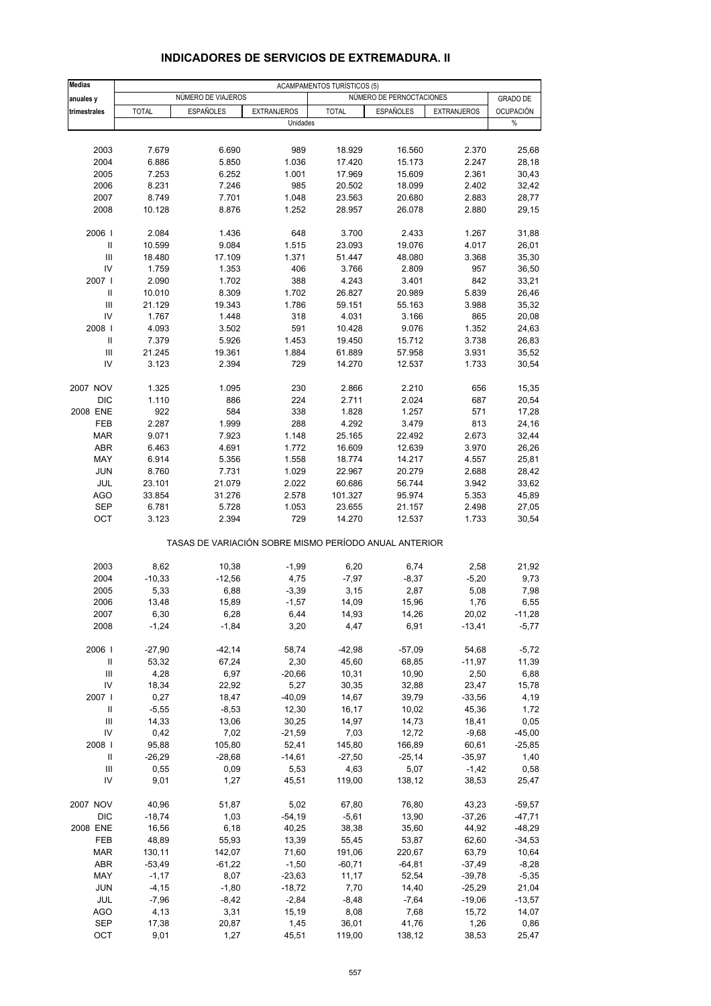#### **Medias** ACAMPAMENTOS TURÍSTICOS (5) **anuales y NÚMERO DE VIAJEROS NÚMERO DE VIAJEROS NÚMERO DE PERNOCTACIONES GRADO DE trimestrales** TOTAL ESPAÑOLES EXTRANJEROS TOTAL ESPAÑOLES EXTRANJEROS OCUPACIÓN Unidades % 2003 7.679 6.690 989 18.929 16.560 2.370 25,68 2004 6.886 5.850 1.036 17.420 15.173 2.247 28,18 2005 7.253 6.252 1.001 17.969 15.609 2.361 30,43 2006 8.231 7.246 985 20.502 18.099 2.402 32,42 2007 8.749 7.701 1.048 23.563 20.680 2.883 28,77 2008 10.128 8.876 1.252 28.957 26.078 2.880 29,15 2006 I 2.084 1.436 648 3.700 2.433 1.267 31,88 II 10.599 9.084 1.515 23.093 19.076 4.017 26,01 III 18.480 17.109 1.371 51.447 48.080 3.368 35,30 IV 1.759 1.353 406 3.766 2.809 957 36,50 2007 I 2.090 1.702 388 4.243 3.401 842 33,21 II 10.010 8.309 1.702 26.827 20.989 5.839 26,46 III 21.129 19.343 1.786 59.151 55.163 3.988 35,32 IV 1.767 1.448 318 4.031 3.166 865 20,08 2008 I 4.093 3.502 591 10.428 9.076 1.352 24,63 II 7.379 5.926 1.453 19.450 15.712 3.738 26,83 III 21.245 19.361 1.884 61.889 57.958 3.931 35,52 IV 3.123 2.394 729 14.270 12.537 1.733 30,54 2007 NOV 1.325 1.095 230 2.866 2.210 656 15,35 DIC 1.110 886 224 2.711 2.024 687 20,54 2008 ENE 922 584 338 1.828 1.257 571 17,28 FEB 2.287 1.999 288 4.292 3.479 813 24,16 MAR 9.071 7.923 1.148 25.165 22.492 2.673 32,44 ABR 6.463 4.691 1.772 16.609 12.639 3.970 26,26 MAY 6.914 5.356 1.558 18.774 14.217 4.557 25,81 JUN 8.760 7.731 1.029 22.967 20.279 2.688 28,42 JUL 23.101 21.079 2.022 60.686 56.744 3.942 33,62 AGO 33.854 31.276 2.578 101.327 95.974 5.353 45,89 SEP 6.781 5.728 1.053 23.655 21.157 2.498 27,05 OCT 3.123 2.394 729 14.270 12.537 1.733 30,54 TASAS DE VARIACIÓN SOBRE MISMO PERÍODO ANUAL ANTERIOR 2003 8,62 10,38 -1,99 6,20 6,74 2,58 21,92 2004 -10,33 -12,56 4,75 -7,97 -8,37 -5,20 9,73 2005 5,33 6,88 -3,39 3,15 2,87 5,08 7,98 2006 13,48 15,89 -1,57 14,09 15,96 1,76 6,55 2007 6,30 6,28 6,44 14,93 14,26 20,02 -11,28 2008 -1,24 -1,84 3,20 4,47 6,91 -13,41 -5,77 2006 I -27,90 -42,14 58,74 -42,98 -57,09 54,68 -5,72 II 53,32 67,24 2,30 45,60 68,85 -11,97 11,39 III 4,28 6,97 -20,66 10,31 10,90 2,50 6,88 IV 18,34 22,92 5,27 30,35 32,88 23,47 15,78 2007 I 0,27 18,47 -40,09 14,67 39,79 -33,56 4,19 II -5,55 -8,53 12,30 16,17 10,02 45,36 1,72 III 14,33 13,06 30,25 14,97 14,73 18,41 0,05 IV 0,42 7,02 -21,59 7,03 12,72 -9,68 -45,00 2008 I 95,88 105,80 52,41 145,80 166,89 60,61 -25,85 II -26,29 -28,68 -14,61 -27,50 -25,14 -35,97 1,40 III 0,55 0,09 5,53 4,63 5,07 -1,42 0,58 IV 9,01 1,27 45,51 119,00 138,12 38,53 25,47 2007 NOV 40,96 51,87 5,02 67,80 76,80 43,23 -59,57 DIC -18,74 1,03 -54,19 -5,61 13,90 -37,26 -47,71 2008 ENE 16,56 6,18 40,25 38,38 35,60 44,92 -48,29 FEB 48,89 55,93 13,39 55,45 53,87 62,60 -34,53 MAR 130,11 142,07 71,60 191,06 220,67 63,79 10,64 ABR -53,49 -61,22 -1,50 -60,71 -64,81 -37,49 -8,28 MAY -1,17 8,07 -23,63 11,17 52,54 -39,78 -5,35 JUN -4,15 -1,80 -18,72 7,70 14,40 -25,29 21,04 JUL -7,96 -8,42 -2,84 -8,48 -7,64 -19,06 -13,57 AGO 4,13 3,31 15,19 8,08 7,68 15,72 14,07 SEP 17,38 20,87 1,45 36,01 41,76 1,26 0,86

#### **INDICADORES DE SERVICIOS DE EXTREMADURA. II**

OCT 9,01 1,27 45,51 119,00 138,12 38,53 25,47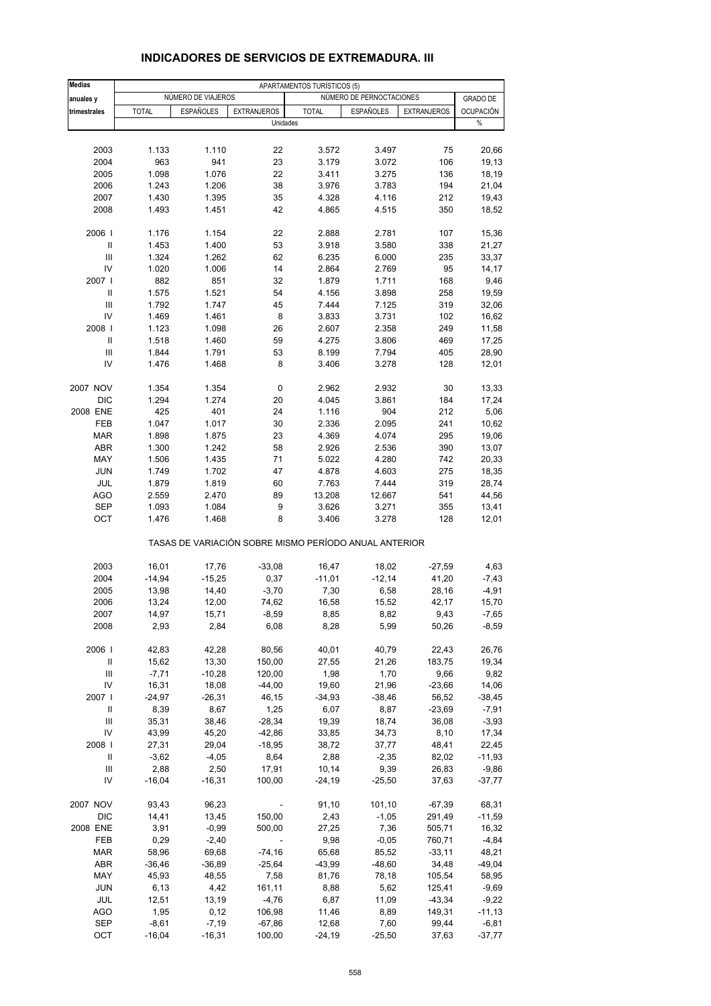| <b>Medias</b>                      |                  |                    |                                                       | APARTAMENTOS TURÍSTICOS (5) |                          |                    |                          |
|------------------------------------|------------------|--------------------|-------------------------------------------------------|-----------------------------|--------------------------|--------------------|--------------------------|
| anuales y                          |                  | NÚMERO DE VIAJEROS |                                                       |                             | NÚMERO DE PERNOCTACIONES |                    | <b>GRADO DE</b>          |
| trimestrales                       | <b>TOTAL</b>     | <b>ESPAÑOLES</b>   | <b>EXTRANJEROS</b><br>Unidades                        | <b>TOTAL</b>                | <b>ESPAÑOLES</b>         | <b>EXTRANJEROS</b> | <b>OCUPACIÓN</b><br>$\%$ |
|                                    |                  |                    |                                                       |                             |                          |                    |                          |
| 2003                               | 1.133            | 1.110              | 22                                                    | 3.572                       | 3.497                    | 75                 | 20,66                    |
| 2004                               | 963              | 941                | 23                                                    | 3.179                       | 3.072                    | 106                | 19,13                    |
| 2005                               | 1.098            | 1.076              | 22                                                    | 3.411                       | 3.275                    | 136                | 18,19                    |
| 2006                               | 1.243            | 1.206              | 38                                                    | 3.976                       | 3.783                    | 194                | 21,04                    |
| 2007                               | 1.430            | 1.395              | 35                                                    | 4.328                       | 4.116                    | 212                | 19,43                    |
| 2008                               | 1.493            | 1.451              | 42                                                    | 4.865                       | 4.515                    | 350                | 18,52                    |
| 2006                               | 1.176            | 1.154              | 22                                                    | 2.888                       | 2.781                    | 107                | 15,36                    |
| Ш                                  | 1.453            | 1.400              | 53                                                    | 3.918                       | 3.580                    | 338                | 21,27                    |
| Ш                                  | 1.324            | 1.262              | 62                                                    | 6.235                       | 6.000                    | 235                | 33,37                    |
| IV                                 | 1.020            | 1.006              | 14                                                    | 2.864                       | 2.769                    | 95                 | 14,17                    |
| 2007 l                             | 882              | 851                | 32                                                    | 1.879                       | 1.711                    | 168                | 9,46                     |
| Ш                                  | 1.575            | 1.521              | 54                                                    | 4.156                       | 3.898                    | 258                | 19,59                    |
| Ш                                  | 1.792            | 1.747              | 45                                                    | 7.444                       | 7.125                    | 319                | 32,06                    |
| IV                                 | 1.469            | 1.461              | 8                                                     | 3.833                       | 3.731                    | 102                | 16,62                    |
| 2008                               | 1.123            | 1.098              | 26                                                    | 2.607                       | 2.358                    | 249                | 11,58                    |
| Ш                                  | 1.518            | 1.460              | 59                                                    | 4.275                       | 3.806                    | 469                | 17,25                    |
| Ш                                  | 1.844            | 1.791              | 53                                                    | 8.199                       | 7.794                    | 405                | 28,90                    |
| IV                                 | 1.476            | 1.468              | 8                                                     | 3.406                       | 3.278                    | 128                | 12,01                    |
| 2007 NOV                           | 1.354            | 1.354              | 0                                                     | 2.962                       | 2.932                    | 30                 | 13,33                    |
| DIC                                | 1.294            | 1.274              | 20                                                    | 4.045                       | 3.861                    | 184                | 17,24                    |
| 2008 ENE                           | 425              | 401                | 24                                                    | 1.116                       | 904                      | 212                | 5,06                     |
| FEB                                | 1.047<br>1.898   | 1.017              | 30<br>23                                              | 2.336                       | 2.095                    | 241                | 10,62                    |
| <b>MAR</b><br>ABR                  | 1.300            | 1.875<br>1.242     | 58                                                    | 4.369<br>2.926              | 4.074<br>2.536           | 295<br>390         | 19,06<br>13,07           |
| MAY                                | 1.506            | 1.435              | 71                                                    | 5.022                       | 4.280                    | 742                | 20,33                    |
| <b>JUN</b>                         | 1.749            | 1.702              | 47                                                    | 4.878                       | 4.603                    | 275                | 18,35                    |
| JUL                                | 1.879            | 1.819              | 60                                                    | 7.763                       | 7.444                    | 319                | 28,74                    |
| AGO                                | 2.559            | 2.470              | 89                                                    | 13.208                      | 12.667                   | 541                | 44,56                    |
| <b>SEP</b>                         | 1.093            | 1.084              | 9                                                     | 3.626                       | 3.271                    | 355                | 13,41                    |
| OCT                                | 1.476            | 1.468              | 8                                                     | 3.406                       | 3.278                    | 128                | 12,01                    |
|                                    |                  |                    | TASAS DE VARIACIÓN SOBRE MISMO PERÍODO ANUAL ANTERIOR |                             |                          |                    |                          |
| 2003                               | 16,01            | 17,76              | $-33,08$                                              | 16,47                       | 18,02                    | $-27,59$           | 4,63                     |
| 2004                               | $-14,94$         | $-15,25$           | 0,37                                                  | $-11,01$                    | $-12,14$                 | 41,20              | $-7,43$                  |
| 2005                               | 13,98            | 14,40              | $-3,70$                                               | 7,30                        | 6,58                     | 28,16              | $-4,91$                  |
| 2006                               | 13,24            | 12,00              | 74,62                                                 | 16,58                       | 15,52                    | 42,17              | 15,70                    |
| 2007                               | 14,97            | 15,71              | $-8,59$                                               | 8,85                        | 8,82                     | 9,43               | $-7,65$                  |
| 2008                               | 2,93             | 2,84               | 6,08                                                  | 8,28                        | 5,99                     | 50,26              | $-8,59$                  |
| 2006                               | 42,83            | 42,28              | 80,56                                                 | 40,01                       | 40,79                    | 22,43              | 26,76                    |
| $\ensuremath{\mathsf{II}}$         | 15,62            | 13,30              | 150,00                                                | 27,55                       | 21,26                    | 183,75             | 19,34                    |
| $\ensuremath{\mathsf{III}}\xspace$ | $-7,71$          | $-10,28$           | 120,00                                                | 1,98                        | 1,70                     | 9,66               | 9,82                     |
| IV                                 | 16,31            | 18,08              | $-44,00$                                              | 19,60                       | 21,96                    | $-23,66$           | 14,06                    |
| 2007                               | $-24,97$         | $-26,31$           | 46,15                                                 | $-34,93$                    | $-38,46$                 | 56,52              | $-38,45$                 |
| Ш                                  | 8,39             | 8,67               | 1,25                                                  | 6,07                        | 8,87                     | $-23,69$           | $-7,91$                  |
| Ш                                  | 35,31            | 38,46              | $-28,34$                                              | 19,39                       | 18,74                    | 36,08              | $-3,93$                  |
| IV                                 | 43,99            | 45,20              | $-42,86$                                              | 33,85                       | 34,73                    | 8,10               | 17,34                    |
| 2008                               | 27,31            | 29,04              | $-18,95$                                              | 38,72                       | 37,77                    | 48,41              | 22,45                    |
| Ш                                  | $-3,62$          | $-4,05$            | 8,64                                                  | 2,88                        | $-2,35$                  | 82,02              | $-11,93$                 |
| Ш<br>IV                            | 2,88<br>$-16,04$ | 2,50<br>$-16,31$   | 17,91<br>100,00                                       | 10,14<br>$-24,19$           | 9,39<br>$-25,50$         | 26,83<br>37,63     | $-9,86$<br>$-37,77$      |
|                                    |                  |                    |                                                       |                             |                          |                    |                          |
| 2007 NOV                           | 93,43            | 96,23              |                                                       | 91,10                       | 101,10                   | $-67,39$           | 68,31                    |
| DIC<br>2008 ENE                    | 14,41            | 13,45              | 150,00                                                | 2,43                        | $-1,05$                  | 291,49             | $-11,59$                 |
| FEB                                | 3,91<br>0,29     | $-0,99$<br>$-2,40$ | 500,00                                                | 27,25<br>9,98               | 7,36<br>$-0,05$          | 505,71<br>760,71   | 16,32                    |
| <b>MAR</b>                         | 58,96            | 69,68              | $-74,16$                                              | 65,68                       | 85,52                    | $-33,11$           | $-4,84$<br>48,21         |
| ABR                                | $-36,46$         | $-36,89$           | $-25,64$                                              | $-43,99$                    | $-48,60$                 | 34,48              | $-49,04$                 |
| MAY                                | 45,93            | 48,55              | 7,58                                                  | 81,76                       | 78,18                    | 105,54             | 58,95                    |
| JUN                                | 6,13             | 4,42               | 161,11                                                | 8,88                        | 5,62                     | 125,41             | $-9,69$                  |
| JUL                                | 12,51            | 13,19              | $-4,76$                                               | 6,87                        | 11,09                    | $-43,34$           | $-9,22$                  |
| <b>AGO</b>                         | 1,95             | 0,12               | 106,98                                                | 11,46                       | 8,89                     | 149,31             | $-11,13$                 |
| SEP                                | $-8,61$          | $-7,19$            | $-67,86$                                              | 12,68                       | 7,60                     | 99,44              | $-6,81$                  |
| OCT                                | $-16,04$         | $-16,31$           | 100,00                                                | $-24,19$                    | $-25,50$                 | 37,63              | $-37,77$                 |
|                                    |                  |                    |                                                       |                             |                          |                    |                          |

### **INDICADORES DE SERVICIOS DE EXTREMADURA. III**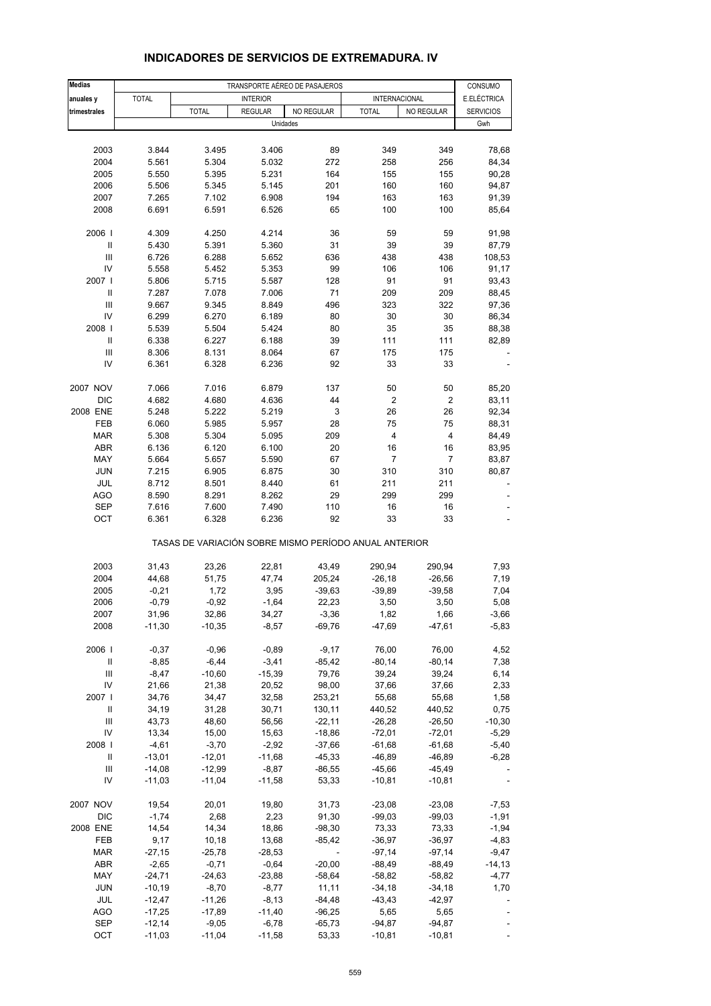| <b>Medias</b>                      | TRANSPORTE AÉREO DE PASAJEROS |                                                       |                 |            |                      |            |                        |  |
|------------------------------------|-------------------------------|-------------------------------------------------------|-----------------|------------|----------------------|------------|------------------------|--|
| anuales y                          | <b>TOTAL</b>                  |                                                       | <b>INTERIOR</b> |            | <b>INTERNACIONAL</b> |            | CONSUMO<br>E.ELÉCTRICA |  |
| trimestrales                       |                               | <b>TOTAL</b>                                          | <b>REGULAR</b>  | NO REGULAR | <b>TOTAL</b>         | NO REGULAR | <b>SERVICIOS</b>       |  |
|                                    |                               |                                                       |                 | Unidades   |                      |            | Gwh                    |  |
|                                    |                               |                                                       |                 |            |                      |            |                        |  |
| 2003                               | 3.844                         | 3.495                                                 | 3.406           | 89         | 349                  | 349        | 78,68                  |  |
| 2004                               | 5.561                         | 5.304                                                 | 5.032           | 272        | 258                  | 256        | 84,34                  |  |
| 2005                               | 5.550                         | 5.395                                                 | 5.231           | 164        | 155                  | 155        | 90,28                  |  |
| 2006                               | 5.506                         | 5.345                                                 | 5.145           | 201        | 160                  | 160        | 94,87                  |  |
| 2007                               | 7.265                         | 7.102                                                 | 6.908           | 194        | 163                  | 163        | 91,39                  |  |
| 2008                               | 6.691                         | 6.591                                                 | 6.526           | 65         | 100                  | 100        | 85,64                  |  |
|                                    |                               |                                                       |                 |            |                      |            |                        |  |
| 2006                               | 4.309                         | 4.250                                                 | 4.214           | 36         | 59                   | 59         | 91,98                  |  |
| $\mathbf{I}$                       | 5.430                         | 5.391                                                 | 5.360           | 31         | 39                   | 39         | 87,79                  |  |
| Ш                                  | 6.726                         | 6.288                                                 | 5.652           | 636        | 438                  | 438        | 108,53                 |  |
| IV                                 | 5.558                         | 5.452                                                 | 5.353           | 99         | 106                  | 106        | 91,17                  |  |
| 2007 l                             | 5.806                         | 5.715                                                 | 5.587           | 128        | 91                   | 91         | 93,43                  |  |
| $\mathbf{I}$                       | 7.287                         | 7.078                                                 | 7.006           | 71         | 209                  | 209        | 88,45                  |  |
| Ш                                  | 9.667                         | 9.345                                                 | 8.849           | 496        | 323                  | 322        | 97,36                  |  |
| IV                                 | 6.299                         | 6.270                                                 | 6.189           | 80         | 30                   | 30         | 86,34                  |  |
| 2008                               | 5.539                         | 5.504                                                 | 5.424           | 80         | 35                   | 35         | 88,38                  |  |
| $\ensuremath{\mathsf{II}}$         | 6.338                         | 6.227                                                 | 6.188           | 39         | 111                  | 111        | 82,89                  |  |
| III                                | 8.306                         | 8.131                                                 | 8.064           | 67         | 175                  | 175        |                        |  |
| IV                                 | 6.361                         | 6.328                                                 | 6.236           | 92         | 33                   | 33         |                        |  |
|                                    |                               |                                                       |                 |            |                      |            |                        |  |
| 2007 NOV                           | 7.066                         | 7.016                                                 | 6.879           | 137        | 50                   | 50         | 85,20                  |  |
| <b>DIC</b>                         | 4.682                         | 4.680                                                 | 4.636           | 44         | $\mathbf 2$          | 2          | 83,11                  |  |
| 2008 ENE                           | 5.248                         | 5.222                                                 | 5.219           | 3          | 26                   | 26         | 92,34                  |  |
| FEB                                | 6.060                         | 5.985                                                 | 5.957           | 28         | 75                   | 75         | 88,31                  |  |
| <b>MAR</b>                         | 5.308                         | 5.304                                                 | 5.095           | 209        | 4                    | 4          | 84,49                  |  |
| ABR                                | 6.136                         | 6.120                                                 | 6.100           | 20         | 16                   | 16         | 83,95                  |  |
| MAY                                | 5.664                         | 5.657                                                 | 5.590           | 67         | $\overline{7}$       | 7          | 83,87                  |  |
| <b>JUN</b>                         | 7.215                         | 6.905                                                 | 6.875           | 30         | 310                  | 310        | 80,87                  |  |
| JUL                                | 8.712                         | 8.501                                                 | 8.440           | 61         | 211                  | 211        |                        |  |
| <b>AGO</b>                         | 8.590                         | 8.291                                                 | 8.262           | 29         | 299                  | 299        |                        |  |
| <b>SEP</b>                         | 7.616                         | 7.600                                                 | 7.490           | 110        | 16                   | 16         |                        |  |
| OCT                                | 6.361                         | 6.328                                                 | 6.236           | 92         | 33                   | 33         |                        |  |
|                                    |                               | TASAS DE VARIACIÓN SOBRE MISMO PERÍODO ANUAL ANTERIOR |                 |            |                      |            |                        |  |
| 2003                               | 31,43                         | 23,26                                                 | 22,81           | 43,49      | 290,94               | 290,94     | 7,93                   |  |
| 2004                               | 44,68                         | 51,75                                                 | 47,74           | 205,24     | $-26,18$             | $-26,56$   | 7,19                   |  |
| 2005                               | $-0,21$                       | 1,72                                                  | 3,95            | $-39,63$   | $-39,89$             | $-39,58$   | 7,04                   |  |
| 2006                               | $-0,79$                       | $-0,92$                                               | $-1,64$         | 22,23      | 3,50                 | 3,50       | 5,08                   |  |
| 2007                               | 31,96                         | 32,86                                                 | 34,27           | -3,36      | 1,82                 | 1,66       | -3,66                  |  |
| 2008                               | $-11,30$                      | $-10,35$                                              | $-8,57$         | $-69,76$   | $-47,69$             | $-47,61$   | $-5,83$                |  |
|                                    |                               |                                                       |                 |            |                      |            |                        |  |
| 2006                               | $-0,37$                       | $-0,96$                                               | $-0,89$         | $-9,17$    | 76,00                | 76,00      | 4,52                   |  |
| $\ensuremath{\mathsf{II}}$         | $-8,85$                       | $-6,44$                                               | $-3,41$         | $-85,42$   | $-80,14$             | $-80,14$   | 7,38                   |  |
| $\ensuremath{\mathsf{III}}\xspace$ | $-8,47$                       | $-10,60$                                              | $-15,39$        | 79,76      | 39,24                | 39,24      | 6,14                   |  |
| IV                                 | 21,66                         | 21,38                                                 | 20,52           | 98,00      | 37,66                | 37,66      | 2,33                   |  |
| 2007 l                             | 34,76                         | 34,47                                                 | 32,58           | 253,21     | 55,68                | 55,68      | 1,58                   |  |
| Ш                                  | 34,19                         | 31,28                                                 | 30,71           | 130,11     | 440,52               | 440,52     | 0,75                   |  |
| Ш                                  | 43,73                         | 48,60                                                 | 56,56           | $-22,11$   | $-26,28$             | $-26,50$   | $-10,30$               |  |
| IV                                 | 13,34                         | 15,00                                                 | 15,63           | $-18,86$   | $-72,01$             | $-72,01$   | $-5,29$                |  |
| 2008                               | $-4,61$                       | $-3,70$                                               | $-2,92$         | $-37,66$   | $-61,68$             | $-61,68$   | $-5,40$                |  |
| Ш                                  | $-13,01$                      | $-12,01$                                              | $-11,68$        | $-45,33$   | $-46,89$             | $-46,89$   | $-6,28$                |  |
| Ш                                  | $-14,08$                      | $-12,99$                                              | $-8,87$         | $-86,55$   | $-45,66$             | $-45,49$   |                        |  |
| IV                                 | $-11,03$                      | $-11,04$                                              | $-11,58$        | 53,33      | $-10,81$             | $-10,81$   |                        |  |
| 2007 NOV                           | 19,54                         | 20,01                                                 | 19,80           | 31,73      | $-23,08$             | $-23,08$   | $-7,53$                |  |
| DIC                                | $-1,74$                       | 2,68                                                  | 2,23            | 91,30      | $-99,03$             | $-99,03$   | $-1,91$                |  |
| 2008 ENE                           | 14,54                         | 14,34                                                 | 18,86           | $-98,30$   | 73,33                | 73,33      | $-1,94$                |  |
| FEB                                | 9,17                          | 10, 18                                                | 13,68           | $-85,42$   | $-36,97$             | $-36,97$   | $-4,83$                |  |
| <b>MAR</b>                         | $-27,15$                      | $-25,78$                                              | $-28,53$        |            | $-97,14$             | $-97,14$   | $-9,47$                |  |
| ABR                                | $-2,65$                       | $-0,71$                                               | $-0,64$         | $-20,00$   | $-88,49$             | $-88,49$   | $-14, 13$              |  |
| MAY                                | $-24,71$                      | $-24,63$                                              | $-23,88$        | $-58,64$   | $-58,82$             | $-58,82$   | $-4,77$                |  |
| <b>JUN</b>                         | $-10,19$                      | $-8,70$                                               | $-8,77$         | 11,11      | $-34,18$             | $-34,18$   | 1,70                   |  |
| JUL                                | $-12,47$                      | $-11,26$                                              | $-8,13$         | $-84,48$   | $-43,43$             | $-42,97$   |                        |  |
| AGO                                | $-17,25$                      | $-17,89$                                              | $-11,40$        | -96,25     | 5,65                 | 5,65       |                        |  |
| <b>SEP</b>                         | $-12,14$                      | $-9,05$                                               | $-6,78$         | $-65,73$   | $-94,87$             | $-94,87$   |                        |  |
| OCT                                | $-11,03$                      | $-11,04$                                              | $-11,58$        | 53,33      | $-10,81$             | $-10,81$   |                        |  |

## **INDICADORES DE SERVICIOS DE EXTREMADURA. IV**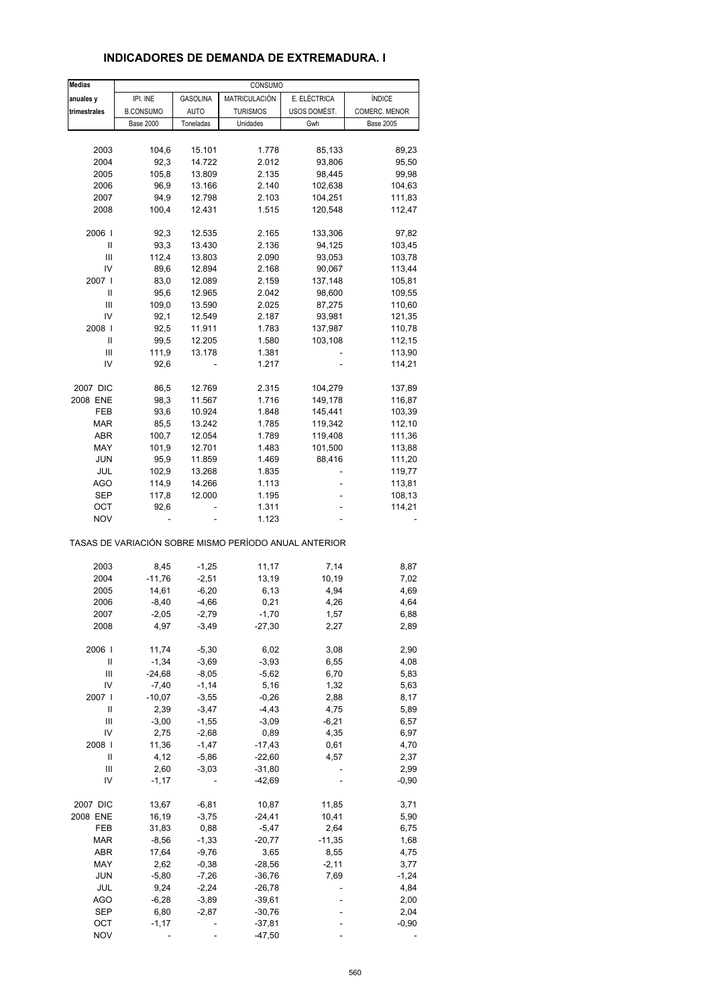| <b>Medias</b>  |                  |                 | CONSUMO         |                                                       |                  |
|----------------|------------------|-----------------|-----------------|-------------------------------------------------------|------------------|
| anuales y      | IPI. INE         | <b>GASOLINA</b> | MATRICULACIÓN   | E. ELÉCTRICA                                          | ÍNDICE           |
| trimestrales   | <b>B.CONSUMO</b> | <b>AUTO</b>     | <b>TURISMOS</b> | USOS DOMÉST.                                          | COMERC. MENOR    |
|                | <b>Base 2000</b> | Toneladas       | Unidades        | Gwh                                                   | <b>Base 2005</b> |
|                |                  |                 |                 |                                                       |                  |
| 2003           | 104,6            | 15.101          | 1.778           | 85,133                                                | 89,23            |
| 2004           | 92,3             | 14.722          | 2.012           | 93,806                                                | 95,50            |
| 2005           | 105,8            | 13.809          | 2.135           | 98,445                                                | 99,98            |
| 2006           | 96,9             |                 |                 |                                                       |                  |
|                |                  | 13.166          | 2.140           | 102,638                                               | 104,63           |
| 2007           | 94,9             | 12.798          | 2.103           | 104,251                                               | 111,83           |
| 2008           | 100,4            | 12.431          | 1.515           | 120,548                                               | 112,47           |
| 2006           | 92,3             | 12.535          | 2.165           | 133,306                                               | 97,82            |
| Ш              | 93,3             | 13.430          | 2.136           | 94,125                                                | 103,45           |
| Ш              | 112,4            | 13.803          | 2.090           | 93,053                                                | 103,78           |
| IV             | 89,6             | 12.894          | 2.168           | 90,067                                                | 113,44           |
| 2007           | 83,0             | 12.089          | 2.159           |                                                       |                  |
|                |                  |                 |                 | 137,148                                               | 105,81           |
| Ш              | 95,6             | 12.965          | 2.042           | 98,600                                                | 109,55           |
| Ш              | 109,0            | 13.590          | 2.025           | 87,275                                                | 110,60           |
| IV             | 92,1             | 12.549          | 2.187           | 93,981                                                | 121,35           |
| 2008           | 92,5             | 11.911          | 1.783           | 137,987                                               | 110,78           |
| Ш              | 99,5             | 12.205          | 1.580           | 103,108                                               | 112,15           |
| $\mathsf{III}$ | 111,9            | 13.178          | 1.381           |                                                       | 113,90           |
| IV             | 92,6             |                 | 1.217           |                                                       | 114,21           |
|                |                  |                 |                 |                                                       |                  |
| 2007 DIC       | 86,5             | 12.769          | 2.315           | 104,279                                               | 137,89           |
| 2008 ENE       | 98,3             | 11.567          | 1.716           | 149,178                                               | 116,87           |
| FEB            | 93,6             | 10.924          | 1.848           | 145,441                                               | 103,39           |
| <b>MAR</b>     | 85,5             | 13.242          | 1.785           | 119,342                                               | 112,10           |
| ABR            | 100,7            | 12.054          | 1.789           | 119,408                                               | 111,36           |
| MAY            | 101,9            | 12.701          | 1.483           | 101,500                                               | 113,88           |
| <b>JUN</b>     | 95,9             | 11.859          | 1.469           | 88,416                                                | 111,20           |
| JUL            | 102,9            | 13.268          | 1.835           |                                                       | 119,77           |
|                |                  |                 |                 |                                                       |                  |
| <b>AGO</b>     | 114,9            | 14.266          | 1.113           |                                                       | 113,81           |
| SEP            | 117,8            | 12.000          | 1.195           |                                                       | 108,13           |
| ост            | 92,6             |                 | 1.311           |                                                       | 114,21           |
| <b>NOV</b>     |                  |                 | 1.123           | TASAS DE VARIACIÓN SOBRE MISMO PERÍODO ANUAL ANTERIOR |                  |
|                |                  |                 |                 |                                                       |                  |
| 2003           | 8,45             | $-1,25$         | 11,17           | 7,14                                                  | 8,87             |
| 2004           | $-11,76$         | $-2,51$         | 13,19           | 10,19                                                 | 7,02             |
| 2005           | 14,61            | $-6,20$         | 6,13            | 4,94                                                  | 4,69             |
| 2006           | $-8,40$          | $-4,66$         | 0,21            | 4,26                                                  | 4,64             |
| 2007           | $-2,05$          | $-2,79$         | $-1,70$         | 1,57                                                  | 6,88             |
| 2008           | 4,97             | $-3,49$         | $-27,30$        | 2,27                                                  | 2,89             |
|                |                  |                 |                 |                                                       |                  |
| 2006           | 11,74            | $-5,30$         | 6,02            | 3,08                                                  | 2,90             |
| Ш              | $-1,34$          | $-3,69$         | $-3,93$         | 6,55                                                  | 4,08             |
| Ш              | $-24,68$         | $-8,05$         | $-5,62$         | 6,70                                                  | 5,83             |
| IV             | $-7,40$          | $-1,14$         | 5,16            | 1,32                                                  | 5,63             |
| 2007 l         | $-10,07$         | $-3,55$         | $-0,26$         | 2,88                                                  | 8,17             |
| Ш              | 2,39             | $-3,47$         | $-4,43$         | 4,75                                                  | 5,89             |
| Ш              | $-3,00$          | $-1,55$         | $-3,09$         | $-6,21$                                               | 6,57             |
| IV             | 2,75             | $-2,68$         | 0,89            | 4,35                                                  | 6,97             |
|                |                  |                 |                 |                                                       |                  |
| 2008           | 11,36            | $-1,47$         | $-17,43$        | 0,61                                                  | 4,70             |
| Ш              | 4,12             | $-5,86$         | $-22,60$        | 4,57                                                  | 2,37             |
| Ш              | 2,60             | $-3,03$         | $-31,80$        |                                                       | 2,99             |
| IV             | $-1,17$          |                 | $-42,69$        |                                                       | $-0,90$          |
| 2007 DIC       | 13,67            | $-6, 81$        | 10,87           | 11,85                                                 | 3,71             |
| 2008 ENE       | 16,19            | $-3,75$         | $-24,41$        | 10,41                                                 | 5,90             |
| FEB            | 31,83            | 0,88            | $-5,47$         | 2,64                                                  | 6,75             |
|                |                  |                 |                 |                                                       |                  |
| <b>MAR</b>     | $-8,56$          | $-1,33$         | $-20,77$        | $-11,35$                                              | 1,68             |
| ABR            | 17,64            | $-9,76$         | 3,65            | 8,55                                                  | 4,75             |
| MAY            | 2,62             | $-0,38$         | $-28,56$        | $-2,11$                                               | 3,77             |
| <b>JUN</b>     | $-5,80$          | $-7,26$         | $-36,76$        | 7,69                                                  | $-1,24$          |
| JUL            | 9,24             | $-2,24$         | $-26,78$        |                                                       | 4,84             |
| AGO            | $-6,28$          | $-3,89$         | $-39,61$        |                                                       | 2,00             |
| <b>SEP</b>     | 6,80             | $-2,87$         | $-30,76$        |                                                       | 2,04             |
|                |                  |                 |                 |                                                       |                  |
| OCT            | $-1,17$          |                 | $-37,81$        |                                                       | $-0,90$          |
| <b>NOV</b>     |                  |                 | $-47,50$        |                                                       |                  |

# **INDICADORES DE DEMANDA DE EXTREMADURA. I**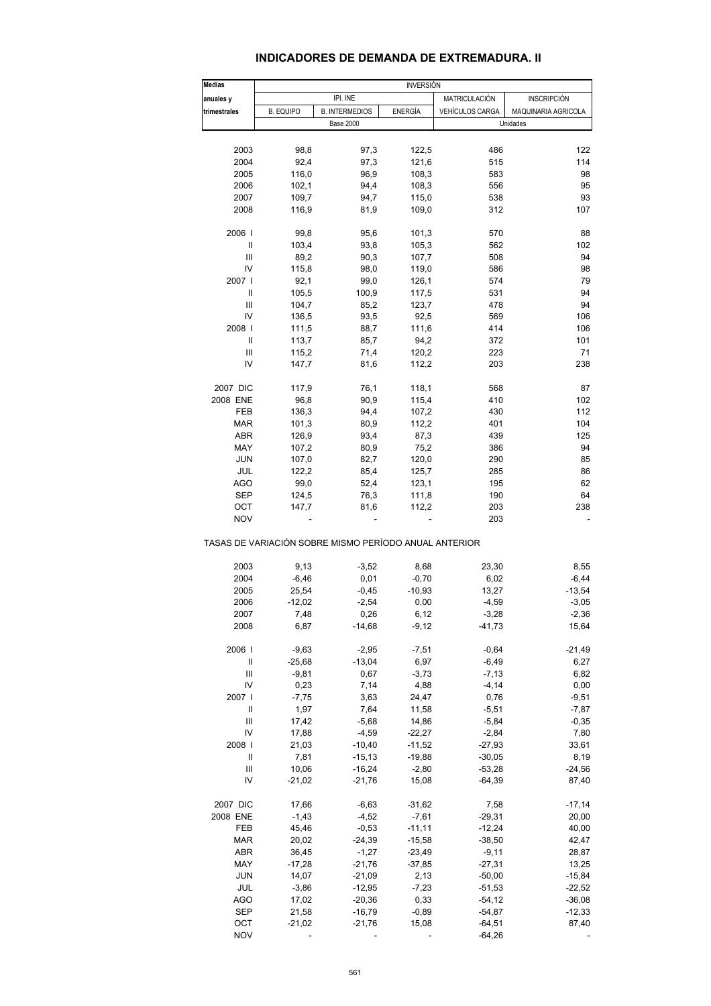### **INDICADORES DE DEMANDA DE EXTREMADURA. II**

| <b>Medias</b>                      |                                                       |                       | <b>INVERSIÓN</b> |                     |                     |
|------------------------------------|-------------------------------------------------------|-----------------------|------------------|---------------------|---------------------|
| anuales y                          |                                                       | IPI. INE              |                  | MATRICULACIÓN       | <b>INSCRIPCIÓN</b>  |
| trimestrales                       | <b>B. EQUIPO</b>                                      | <b>B. INTERMEDIOS</b> | ENERGÍA          | VEHÍCULOS CARGA     | MAQUINARIA AGRICOLA |
|                                    |                                                       | <b>Base 2000</b>      |                  |                     | Unidades            |
|                                    |                                                       |                       |                  |                     |                     |
| 2003                               | 98,8                                                  | 97,3                  | 122,5            | 486                 | 122                 |
| 2004                               | 92,4                                                  | 97,3                  | 121,6            | 515                 | 114                 |
| 2005                               | 116,0                                                 | 96,9                  | 108,3            | 583                 | 98                  |
|                                    |                                                       |                       |                  |                     | 95                  |
| 2006                               | 102,1                                                 | 94,4                  | 108,3            | 556                 |                     |
| 2007                               | 109,7                                                 | 94,7                  | 115,0            | 538                 | 93                  |
| 2008                               | 116,9                                                 | 81,9                  | 109,0            | 312                 | 107                 |
| 2006                               | 99,8                                                  | 95,6                  | 101,3            | 570                 | 88                  |
| Ш                                  | 103,4                                                 | 93,8                  | 105,3            | 562                 | 102                 |
| $\mathbf{III}$                     | 89,2                                                  | 90,3                  | 107,7            | 508                 | 94                  |
| IV                                 | 115,8                                                 | 98,0                  | 119,0            | 586                 | 98                  |
| 2007 l                             |                                                       |                       |                  |                     | 79                  |
|                                    | 92,1                                                  | 99,0                  | 126,1            | 574                 |                     |
| Ш                                  | 105,5                                                 | 100,9                 | 117,5            | 531                 | 94                  |
| Ш                                  | 104,7                                                 | 85,2                  | 123,7            | 478                 | 94                  |
| IV                                 | 136,5                                                 | 93,5                  | 92,5             | 569                 | 106                 |
| 2008                               | 111,5                                                 | 88,7                  | 111,6            | 414                 | 106                 |
| Ш                                  | 113,7                                                 | 85,7                  | 94,2             | 372                 | 101                 |
| Ш                                  | 115,2                                                 | 71,4                  | 120,2            | 223                 | 71                  |
| IV                                 | 147,7                                                 | 81,6                  | 112,2            | 203                 | 238                 |
|                                    |                                                       |                       |                  |                     |                     |
| 2007 DIC                           | 117,9                                                 | 76,1                  | 118,1            | 568                 | 87                  |
| 2008 ENE                           | 96,8                                                  | 90,9                  | 115,4            | 410                 | 102                 |
| FEB                                | 136,3                                                 | 94,4                  | 107,2            | 430                 | 112                 |
| MAR                                | 101,3                                                 | 80,9                  | 112,2            | 401                 | 104                 |
| ABR                                | 126,9                                                 | 93,4                  | 87,3             | 439                 | 125                 |
| MAY                                | 107,2                                                 | 80,9                  | 75,2             | 386                 | 94                  |
|                                    |                                                       |                       |                  |                     |                     |
| <b>JUN</b>                         | 107,0                                                 | 82,7                  | 120,0            | 290                 | 85                  |
| JUL                                | 122,2                                                 | 85,4                  | 125,7            | 285                 | 86                  |
| AGO                                | 99,0                                                  | 52,4                  | 123,1            | 195                 | 62                  |
| SEP                                | 124,5                                                 | 76,3                  | 111,8            | 190                 | 64                  |
| OCT                                | 147,7                                                 | 81,6                  | 112,2            | 203                 | 238                 |
| <b>NOV</b>                         |                                                       |                       |                  | 203                 |                     |
|                                    | TASAS DE VARIACIÓN SOBRE MISMO PERÍODO ANUAL ANTERIOR |                       |                  |                     |                     |
| 2003                               | 9,13                                                  | $-3,52$               | 8,68             | 23,30               | 8,55                |
| 2004                               | $-6,46$                                               | 0,01                  | $-0,70$          | 6,02                | $-6,44$             |
| 2005                               | 25,54                                                 | $-0,45$               | $-10,93$         | 13,27               | $-13,54$            |
| 2006                               | $-12,02$                                              | $-2,54$               | 0,00             | $-4,59$             | $-3,05$             |
|                                    |                                                       |                       | 6,12             |                     | $-2,36$             |
| 2007<br>2008                       | 7,48<br>6,87                                          | 0,26<br>$-14,68$      | $-9,12$          | $-3,28$<br>$-41,73$ | 15,64               |
|                                    |                                                       |                       |                  |                     |                     |
| 2006                               | $-9,63$                                               | $-2,95$               | $-7,51$          | $-0,64$             | $-21,49$            |
| Ш                                  | $-25,68$                                              | $-13,04$              | 6,97             | $-6,49$             | 6,27                |
| Ш                                  | $-9,81$                                               | 0,67                  | $-3,73$          | $-7, 13$            | 6,82                |
| IV                                 | 0,23                                                  | 7,14                  | 4,88             | $-4, 14$            | 0,00                |
| 2007 l                             | $-7,75$                                               | 3,63                  | 24,47            | 0,76                | $-9,51$             |
| Ш                                  | 1,97                                                  | 7,64                  | 11,58            | $-5,51$             | $-7,87$             |
| $\ensuremath{\mathsf{III}}\xspace$ |                                                       |                       |                  |                     |                     |
|                                    | 17,42                                                 | $-5,68$               | 14,86            | $-5,84$             | $-0,35$             |
| IV                                 | 17,88                                                 | $-4,59$               | $-22,27$         | $-2,84$             | 7,80                |
| 2008                               | 21,03                                                 | $-10,40$              | $-11,52$         | $-27,93$            | 33,61               |
| Ш                                  | 7,81                                                  | $-15,13$              | $-19,88$         | $-30,05$            | 8,19                |
| Ш                                  | 10,06                                                 | $-16,24$              | $-2,80$          | $-53,28$            | $-24,56$            |
| IV                                 | $-21,02$                                              | $-21,76$              | 15,08            | $-64,39$            | 87,40               |
| 2007 DIC                           |                                                       |                       | $-31,62$         | 7,58                | $-17,14$            |
|                                    | 17,66                                                 | $-6,63$               |                  |                     |                     |
| 2008 ENE                           | $-1,43$                                               | $-4,52$               | $-7,61$          | $-29,31$            | 20,00               |
| FEB                                | 45,46                                                 | $-0,53$               | $-11,11$         | $-12,24$            | 40,00               |
| MAR                                | 20,02                                                 | $-24,39$              | $-15,58$         | $-38,50$            | 42,47               |
| <b>ABR</b>                         | 36,45                                                 | $-1,27$               | $-23,49$         | $-9,11$             | 28,87               |
| MAY                                | $-17,28$                                              | $-21,76$              | $-37,85$         | $-27,31$            | 13,25               |
| <b>JUN</b>                         | 14,07                                                 | $-21,09$              | 2,13             | $-50,00$            | $-15,84$            |
|                                    |                                                       |                       |                  |                     |                     |
| JUL                                | $-3,86$                                               | $-12,95$              | $-7,23$          | $-51,53$            | $-22,52$            |
| <b>AGO</b>                         | 17,02                                                 | $-20,36$              | 0,33             | $-54,12$            | $-36,08$            |
| <b>SEP</b>                         | 21,58                                                 | $-16,79$              | $-0,89$          | $-54,87$            | $-12,33$            |
| OCT                                | $-21,02$                                              | $-21,76$              | 15,08            | $-64,51$            | 87,40               |
| <b>NOV</b>                         |                                                       |                       |                  | $-64,26$            |                     |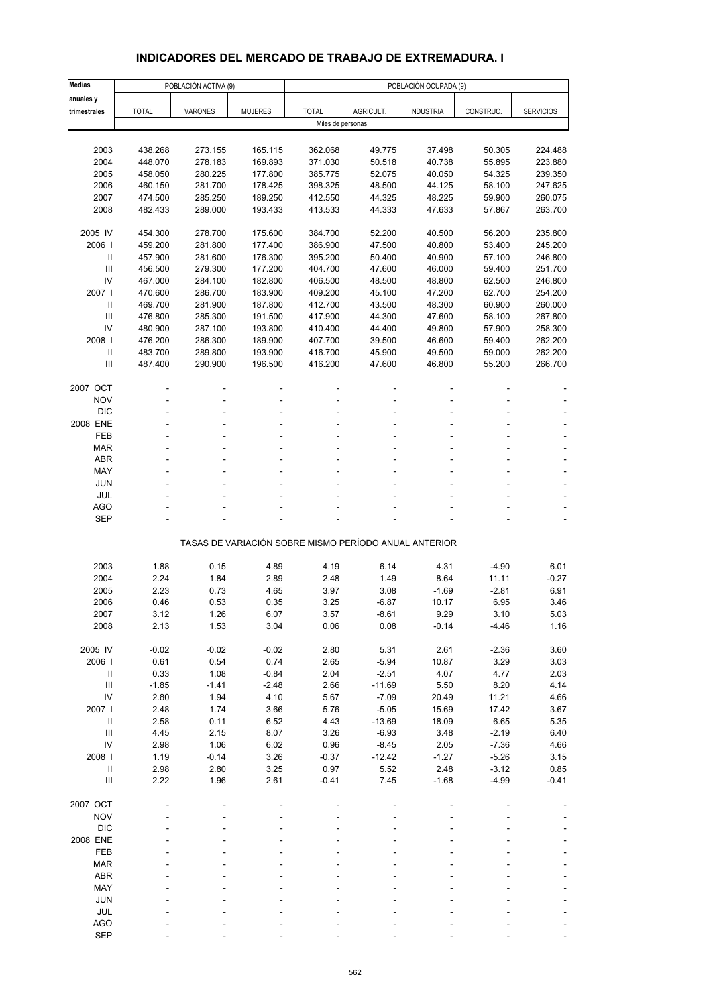# **INDICADORES DEL MERCADO DE TRABAJO DE EXTREMADURA. I**

| <b>Medias</b>                      |                    | POBLACIÓN ACTIVA (9) |                    | POBLACIÓN OCUPADA (9) |                                                       |                  |                  |                    |  |  |  |
|------------------------------------|--------------------|----------------------|--------------------|-----------------------|-------------------------------------------------------|------------------|------------------|--------------------|--|--|--|
| anuales y                          |                    |                      |                    |                       |                                                       |                  |                  |                    |  |  |  |
| trimestrales                       | <b>TOTAL</b>       | <b>VARONES</b>       | <b>MUJERES</b>     | <b>TOTAL</b>          | AGRICULT.                                             | <b>INDUSTRIA</b> | CONSTRUC.        | <b>SERVICIOS</b>   |  |  |  |
|                                    |                    |                      |                    | Miles de personas     |                                                       |                  |                  |                    |  |  |  |
|                                    |                    |                      |                    |                       |                                                       |                  |                  |                    |  |  |  |
| 2003                               | 438.268            | 273.155              | 165.115            | 362.068               | 49.775                                                | 37.498           | 50.305           | 224.488            |  |  |  |
| 2004                               | 448.070            | 278.183              | 169.893            | 371.030               | 50.518                                                | 40.738           | 55.895           | 223.880            |  |  |  |
| 2005                               | 458.050            | 280.225              | 177.800            | 385.775               | 52.075                                                | 40.050           | 54.325           | 239.350            |  |  |  |
| 2006                               | 460.150            | 281.700              | 178.425            | 398.325               | 48.500                                                | 44.125           | 58.100           | 247.625            |  |  |  |
| 2007                               | 474.500            | 285.250              | 189.250            | 412.550               | 44.325                                                | 48.225           | 59.900           | 260.075            |  |  |  |
| 2008                               | 482.433            | 289.000              | 193.433            | 413.533               | 44.333                                                | 47.633           | 57.867           | 263.700            |  |  |  |
|                                    |                    |                      |                    |                       |                                                       |                  |                  |                    |  |  |  |
| 2005 IV                            | 454.300            | 278.700              | 175.600            | 384.700               | 52.200                                                | 40.500           | 56.200           | 235.800            |  |  |  |
| 2006  <br>Ш                        | 459.200<br>457.900 | 281.800<br>281.600   | 177.400<br>176.300 | 386.900<br>395.200    | 47.500<br>50.400                                      | 40.800<br>40.900 | 53.400<br>57.100 | 245.200<br>246.800 |  |  |  |
| $\mathbf{III}$                     | 456.500            | 279.300              | 177.200            | 404.700               | 47.600                                                | 46.000           | 59.400           | 251.700            |  |  |  |
| IV                                 | 467.000            | 284.100              | 182.800            | 406.500               | 48.500                                                | 48.800           | 62.500           | 246.800            |  |  |  |
| 2007 l                             | 470.600            | 286.700              | 183.900            | 409.200               | 45.100                                                | 47.200           | 62.700           | 254.200            |  |  |  |
| $\mathbf{II}$                      | 469.700            | 281.900              | 187.800            | 412.700               | 43.500                                                | 48.300           | 60.900           | 260.000            |  |  |  |
| $\mathbf{III}$                     | 476.800            | 285.300              | 191.500            | 417.900               | 44.300                                                | 47.600           | 58.100           | 267.800            |  |  |  |
| IV                                 | 480.900            | 287.100              | 193.800            | 410.400               | 44.400                                                | 49.800           | 57.900           | 258.300            |  |  |  |
| 2008                               | 476.200            | 286.300              | 189.900            | 407.700               | 39.500                                                | 46.600           | 59.400           | 262.200            |  |  |  |
| $\, \parallel$                     | 483.700            | 289.800              | 193.900            | 416.700               | 45.900                                                | 49.500           | 59.000           | 262.200            |  |  |  |
| Ш                                  | 487.400            | 290.900              | 196.500            | 416.200               | 47.600                                                | 46.800           | 55.200           | 266.700            |  |  |  |
|                                    |                    |                      |                    |                       |                                                       |                  |                  |                    |  |  |  |
| 2007 OCT                           |                    |                      |                    |                       |                                                       |                  |                  |                    |  |  |  |
| <b>NOV</b>                         |                    |                      |                    |                       |                                                       |                  |                  |                    |  |  |  |
| <b>DIC</b>                         |                    |                      |                    |                       |                                                       |                  |                  |                    |  |  |  |
| 2008 ENE                           |                    |                      |                    |                       |                                                       |                  |                  |                    |  |  |  |
| FEB                                |                    |                      |                    |                       |                                                       |                  |                  |                    |  |  |  |
| <b>MAR</b>                         |                    |                      |                    |                       |                                                       |                  |                  |                    |  |  |  |
| <b>ABR</b>                         | ٠                  |                      |                    |                       |                                                       |                  |                  |                    |  |  |  |
| MAY                                |                    |                      |                    |                       |                                                       |                  |                  |                    |  |  |  |
| JUN                                |                    |                      |                    |                       |                                                       |                  |                  |                    |  |  |  |
| <b>JUL</b><br><b>AGO</b>           |                    |                      |                    |                       |                                                       |                  |                  |                    |  |  |  |
| <b>SEP</b>                         |                    |                      |                    |                       |                                                       |                  |                  |                    |  |  |  |
|                                    |                    |                      |                    |                       |                                                       |                  |                  |                    |  |  |  |
|                                    |                    |                      |                    |                       | TASAS DE VARIACIÓN SOBRE MISMO PERÍODO ANUAL ANTERIOR |                  |                  |                    |  |  |  |
|                                    |                    |                      |                    |                       |                                                       |                  |                  |                    |  |  |  |
| 2003                               | 1.88               | 0.15                 | 4.89               | 4.19                  | 6.14                                                  | 4.31             | $-4.90$          | 6.01               |  |  |  |
| 2004                               | 2.24               | 1.84                 | 2.89               | 2.48                  | 1.49                                                  | 8.64             | 11.11            | $-0.27$            |  |  |  |
| 2005                               | 2.23               | 0.73                 | 4.65               | 3.97                  | 3.08                                                  | $-1.69$          | $-2.81$          | 6.91               |  |  |  |
| 2006                               | 0.46               | 0.53                 | 0.35               | 3.25                  | $-6.87$                                               | 10.17            | 6.95             | 3.46               |  |  |  |
| 2007                               | 3.12               | 1.26                 | 6.07               | 3.57                  | -8.61                                                 | 9.29             | 3.10             | 5.03               |  |  |  |
| 2008                               | 2.13               | 1.53                 | 3.04               | 0.06                  | 0.08                                                  | $-0.14$          | $-4.46$          | 1.16               |  |  |  |
| 2005 IV                            | $-0.02$            | $-0.02$              | $-0.02$            | 2.80                  | 5.31                                                  | 2.61             | $-2.36$          | 3.60               |  |  |  |
| 2006                               | 0.61               | 0.54                 | 0.74               | 2.65                  | $-5.94$                                               | 10.87            | 3.29             | 3.03               |  |  |  |
| $\, \parallel$                     | 0.33               | 1.08                 | $-0.84$            | 2.04                  | $-2.51$                                               | 4.07             | 4.77             | 2.03               |  |  |  |
| Ш                                  | $-1.85$            | $-1.41$              | $-2.48$            | 2.66                  | $-11.69$                                              | 5.50             | 8.20             | 4.14               |  |  |  |
| IV                                 | 2.80               | 1.94                 | 4.10               | 5.67                  | $-7.09$                                               | 20.49            | 11.21            | 4.66               |  |  |  |
| 2007 l                             | 2.48               | 1.74                 | 3.66               | 5.76                  | $-5.05$                                               | 15.69            | 17.42            | 3.67               |  |  |  |
| $\, \parallel$                     | 2.58               | 0.11                 | 6.52               | 4.43                  | $-13.69$                                              | 18.09            | 6.65             | 5.35               |  |  |  |
| $\ensuremath{\mathsf{III}}\xspace$ | 4.45               | 2.15                 | 8.07               | 3.26                  | $-6.93$                                               | 3.48             | $-2.19$          | 6.40               |  |  |  |
| IV                                 | 2.98               | 1.06                 | 6.02               | 0.96                  | $-8.45$                                               | 2.05             | $-7.36$          | 4.66               |  |  |  |
| 2008                               | 1.19               | $-0.14$              | 3.26               | $-0.37$               | $-12.42$                                              | $-1.27$          | $-5.26$          | 3.15               |  |  |  |
| $\mathbf{II}$                      | 2.98               | 2.80                 | 3.25               | 0.97                  | 5.52                                                  | 2.48             | $-3.12$          | 0.85               |  |  |  |
| Ш                                  | 2.22               | 1.96                 | 2.61               | $-0.41$               | 7.45                                                  | $-1.68$          | $-4.99$          | $-0.41$            |  |  |  |
|                                    |                    |                      |                    |                       |                                                       |                  |                  |                    |  |  |  |
| 2007 OCT                           |                    |                      |                    |                       |                                                       |                  |                  |                    |  |  |  |
| <b>NOV</b>                         |                    |                      |                    |                       |                                                       |                  |                  |                    |  |  |  |
| <b>DIC</b>                         |                    |                      |                    |                       |                                                       |                  |                  |                    |  |  |  |
| 2008 ENE                           |                    |                      |                    |                       |                                                       |                  |                  |                    |  |  |  |
| FEB                                |                    |                      |                    |                       |                                                       |                  |                  |                    |  |  |  |
| <b>MAR</b>                         |                    |                      |                    |                       |                                                       |                  |                  |                    |  |  |  |
| <b>ABR</b>                         |                    |                      |                    |                       |                                                       |                  |                  |                    |  |  |  |
| MAY                                |                    |                      |                    |                       |                                                       |                  |                  |                    |  |  |  |
| <b>JUN</b>                         |                    |                      |                    |                       |                                                       |                  |                  |                    |  |  |  |
| JUL<br><b>AGO</b>                  |                    |                      |                    |                       |                                                       |                  |                  |                    |  |  |  |
| <b>SEP</b>                         |                    |                      |                    |                       |                                                       |                  |                  |                    |  |  |  |
|                                    |                    |                      |                    |                       |                                                       |                  |                  |                    |  |  |  |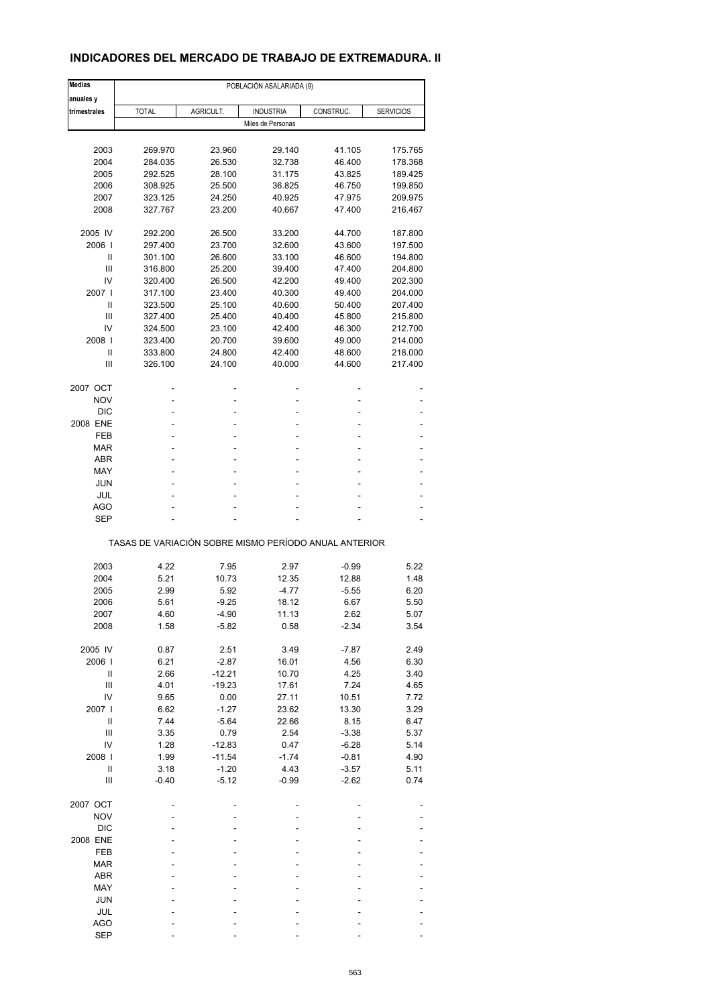## **INDICADORES DEL MERCADO DE TRABAJO DE EXTREMADURA. II**

| <b>Medias</b>       | POBLACIÓN ASALARIADA (9) |           |                                                       |           |                  |  |  |  |
|---------------------|--------------------------|-----------|-------------------------------------------------------|-----------|------------------|--|--|--|
| anuales y           |                          |           |                                                       |           |                  |  |  |  |
| trimestrales        | <b>TOTAL</b>             | AGRICULT. | <b>INDUSTRIA</b>                                      | CONSTRUC. | <b>SERVICIOS</b> |  |  |  |
|                     |                          |           | Miles de Personas                                     |           |                  |  |  |  |
|                     |                          |           |                                                       |           |                  |  |  |  |
| 2003                | 269.970                  | 23.960    | 29.140                                                | 41.105    | 175.765          |  |  |  |
| 2004                | 284.035                  | 26.530    | 32.738                                                | 46.400    | 178.368          |  |  |  |
| 2005                | 292.525                  | 28.100    | 31.175                                                | 43.825    | 189.425          |  |  |  |
| 2006                | 308.925                  | 25.500    | 36.825                                                | 46.750    | 199.850          |  |  |  |
| 2007                | 323.125                  | 24.250    | 40.925                                                | 47.975    | 209.975          |  |  |  |
| 2008                | 327.767                  | 23.200    | 40.667                                                | 47.400    | 216.467          |  |  |  |
| 2005 IV             | 292.200                  | 26.500    | 33.200                                                | 44.700    | 187.800          |  |  |  |
| 2006                | 297.400                  | 23.700    | 32.600                                                | 43.600    | 197.500          |  |  |  |
| Ш                   | 301.100                  | 26.600    | 33.100                                                | 46.600    | 194.800          |  |  |  |
| Ш                   | 316.800                  | 25.200    | 39.400                                                | 47.400    | 204.800          |  |  |  |
| IV                  | 320.400                  | 26.500    | 42.200                                                | 49.400    | 202.300          |  |  |  |
| 2007                | 317.100                  | 23.400    | 40.300                                                | 49.400    | 204.000          |  |  |  |
| Ш                   | 323.500                  | 25.100    | 40.600                                                | 50.400    | 207.400          |  |  |  |
| Ш                   | 327.400                  | 25.400    | 40.400                                                | 45.800    | 215.800          |  |  |  |
| IV                  |                          | 23.100    | 42.400                                                |           | 212.700          |  |  |  |
|                     | 324.500                  |           |                                                       | 46.300    |                  |  |  |  |
| 2008                | 323.400                  | 20.700    | 39.600                                                | 49.000    | 214.000          |  |  |  |
| Ш                   | 333.800                  | 24.800    | 42.400                                                | 48.600    | 218.000          |  |  |  |
| Ш                   | 326.100                  | 24.100    | 40.000                                                | 44.600    | 217.400          |  |  |  |
| 2007 OCT            |                          | ä,        |                                                       |           |                  |  |  |  |
| <b>NOV</b>          |                          |           | ۰                                                     |           |                  |  |  |  |
| <b>DIC</b>          |                          |           | ۰                                                     |           |                  |  |  |  |
| 2008 ENE            |                          |           | ÷,                                                    |           |                  |  |  |  |
| FEB                 |                          |           | ä,                                                    |           |                  |  |  |  |
| MAR                 |                          |           | ٠                                                     |           |                  |  |  |  |
|                     |                          |           |                                                       |           |                  |  |  |  |
| <b>ABR</b>          |                          |           | ÷,                                                    |           |                  |  |  |  |
| MAY                 |                          |           | ä,                                                    |           |                  |  |  |  |
| <b>JUN</b>          |                          |           | ä,                                                    |           |                  |  |  |  |
| JUL                 |                          |           |                                                       |           |                  |  |  |  |
| <b>AGO</b>          |                          |           | ۰                                                     |           |                  |  |  |  |
| <b>SEP</b>          |                          |           |                                                       |           |                  |  |  |  |
|                     |                          |           | TASAS DE VARIACIÓN SOBRE MISMO PERÍODO ANUAL ANTERIOR |           |                  |  |  |  |
|                     |                          |           |                                                       |           |                  |  |  |  |
| 2003                | 4.22                     | 7.95      | 2.97                                                  | $-0.99$   | 5.22             |  |  |  |
| 2004                | 5.21                     | 10.73     | 12.35                                                 | 12.88     | 1.48             |  |  |  |
| 2005                | 2.99                     | 5.92      | $-4.77$                                               | $-5.55$   | 6.20             |  |  |  |
| 2006                | 5.61                     | $-9.25$   | 18.12                                                 | 6.67      | 5.50             |  |  |  |
| 2007                | 4.60                     | -4.90     | 11.13                                                 | 2.62      | 5.07             |  |  |  |
| 2008                | 1.58                     | $-5.82$   | 0.58                                                  | $-2.34$   | 3.54             |  |  |  |
| 2005 IV             | 0.87                     | 2.51      | 3.49                                                  | $-7.87$   | 2.49             |  |  |  |
| 2006                | 6.21                     | $-2.87$   | 16.01                                                 | 4.56      | 6.30             |  |  |  |
|                     |                          |           |                                                       |           |                  |  |  |  |
| Ш<br>$\mathbf{III}$ | 2.66                     | $-12.21$  | 10.70                                                 | 4.25      | 3.40             |  |  |  |
|                     | 4.01                     | $-19.23$  | 17.61                                                 | 7.24      | 4.65             |  |  |  |
| IV                  | 9.65                     | 0.00      | 27.11                                                 | 10.51     | 7.72             |  |  |  |
| 2007 l              | 6.62                     | $-1.27$   | 23.62                                                 | 13.30     | 3.29             |  |  |  |
| $\sf II$            | 7.44                     | $-5.64$   | 22.66                                                 | 8.15      | 6.47             |  |  |  |
| Ш                   | 3.35                     | 0.79      | 2.54                                                  | $-3.38$   | 5.37             |  |  |  |
| IV                  | 1.28                     | $-12.83$  | 0.47                                                  | $-6.28$   | 5.14             |  |  |  |
| 2008                | 1.99                     | $-11.54$  | $-1.74$                                               | $-0.81$   | 4.90             |  |  |  |
| Ш                   | 3.18                     | $-1.20$   | 4.43                                                  | $-3.57$   | 5.11             |  |  |  |
| $\mathbf{III}$      | $-0.40$                  | $-5.12$   | $-0.99$                                               | $-2.62$   | 0.74             |  |  |  |
| 2007 OCT            |                          |           |                                                       |           |                  |  |  |  |
| <b>NOV</b>          |                          |           |                                                       |           |                  |  |  |  |
| <b>DIC</b>          |                          |           |                                                       |           |                  |  |  |  |
| 2008 ENE            |                          |           |                                                       |           |                  |  |  |  |
|                     |                          |           |                                                       |           |                  |  |  |  |
| FEB                 |                          |           |                                                       |           |                  |  |  |  |
| <b>MAR</b>          |                          |           |                                                       |           |                  |  |  |  |
| ABR                 |                          |           |                                                       |           |                  |  |  |  |
| MAY                 |                          |           |                                                       |           |                  |  |  |  |
| JUN                 |                          |           |                                                       |           |                  |  |  |  |
| JUL                 |                          |           |                                                       |           |                  |  |  |  |
| <b>AGO</b>          |                          |           |                                                       |           |                  |  |  |  |
| <b>SEP</b>          |                          |           |                                                       |           |                  |  |  |  |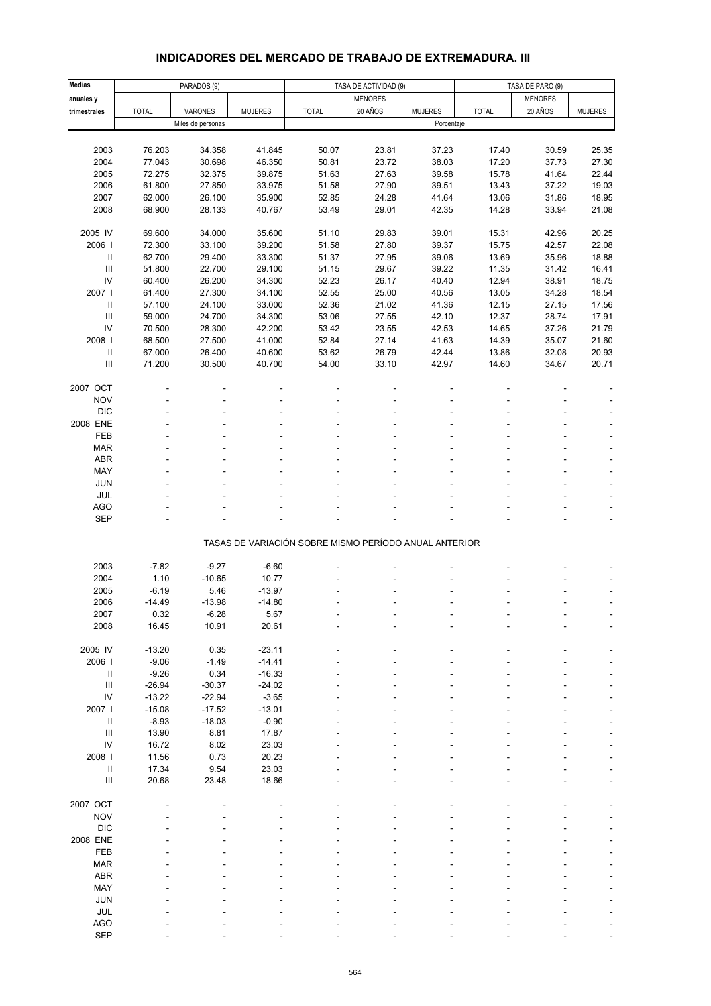# **INDICADORES DEL MERCADO DE TRABAJO DE EXTREMADURA. III**

| <b>Medias</b>                         |              | PARADOS (9)       |                |                                                       | TASA DE ACTIVIDAD (9) |                | TASA DE PARO (9) |                |                |
|---------------------------------------|--------------|-------------------|----------------|-------------------------------------------------------|-----------------------|----------------|------------------|----------------|----------------|
| anuales y                             |              |                   |                |                                                       | <b>MENORES</b>        |                |                  | <b>MENORES</b> |                |
| trimestrales                          | <b>TOTAL</b> | VARONES           | <b>MUJERES</b> | <b>TOTAL</b>                                          | 20 AÑOS               | <b>MUJERES</b> | <b>TOTAL</b>     | 20 AÑOS        | <b>MUJERES</b> |
|                                       |              | Miles de personas |                |                                                       |                       | Porcentaje     |                  |                |                |
|                                       |              |                   |                |                                                       |                       |                |                  |                |                |
| 2003                                  | 76.203       | 34.358            | 41.845         | 50.07                                                 | 23.81                 | 37.23          | 17.40            | 30.59          | 25.35          |
| 2004                                  | 77.043       | 30.698            | 46.350         | 50.81                                                 | 23.72                 | 38.03          | 17.20            | 37.73          | 27.30          |
| 2005                                  | 72.275       | 32.375            | 39.875         | 51.63                                                 | 27.63                 | 39.58          | 15.78            | 41.64          | 22.44          |
| 2006                                  | 61.800       | 27.850            | 33.975         | 51.58                                                 | 27.90                 | 39.51          | 13.43            | 37.22          | 19.03          |
| 2007                                  | 62.000       | 26.100            | 35.900         | 52.85                                                 | 24.28                 | 41.64          | 13.06            | 31.86          | 18.95          |
| 2008                                  | 68.900       | 28.133            | 40.767         | 53.49                                                 | 29.01                 | 42.35          | 14.28            | 33.94          | 21.08          |
|                                       |              |                   |                |                                                       |                       |                |                  |                |                |
| 2005 IV                               | 69.600       | 34.000            | 35.600         | 51.10                                                 | 29.83                 | 39.01          | 15.31            | 42.96          | 20.25          |
| 2006                                  | 72.300       | 33.100            | 39.200         | 51.58                                                 | 27.80                 | 39.37          | 15.75            | 42.57          | 22.08          |
| Ш                                     | 62.700       | 29.400            | 33.300         | 51.37                                                 | 27.95                 | 39.06          | 13.69            | 35.96          | 18.88          |
| $\ensuremath{\mathsf{III}}\xspace$    | 51.800       | 22.700            | 29.100         | 51.15                                                 | 29.67                 | 39.22          | 11.35            | 31.42          | 16.41          |
| IV                                    | 60.400       | 26.200            | 34.300         | 52.23                                                 | 26.17                 | 40.40          | 12.94            | 38.91          | 18.75          |
| 2007                                  | 61.400       | 27.300            | 34.100         | 52.55                                                 | 25.00                 | 40.56          | 13.05            | 34.28          | 18.54          |
| $\ensuremath{\mathsf{II}}\xspace$     | 57.100       | 24.100            | 33.000         | 52.36                                                 | 21.02                 | 41.36          | 12.15            | 27.15          | 17.56          |
| $\ensuremath{\mathsf{III}}\xspace$    | 59.000       | 24.700            | 34.300         | 53.06                                                 | 27.55                 | 42.10          | 12.37            | 28.74          | 17.91          |
| IV                                    | 70.500       | 28.300            | 42.200         | 53.42                                                 | 23.55                 | 42.53          | 14.65            | 37.26          | 21.79          |
| 2008                                  | 68.500       | 27.500            | 41.000         | 52.84                                                 | 27.14                 | 41.63          | 14.39            | 35.07          | 21.60          |
| $\ensuremath{\mathsf{II}}\xspace$     | 67.000       | 26.400            | 40.600         | 53.62                                                 | 26.79                 | 42.44          | 13.86            | 32.08          | 20.93          |
| $\begin{array}{c} \hline \end{array}$ | 71.200       | 30.500            | 40.700         | 54.00                                                 | 33.10                 | 42.97          | 14.60            | 34.67          | 20.71          |
|                                       |              |                   |                |                                                       |                       |                |                  |                |                |
| 2007 OCT                              |              |                   |                |                                                       |                       |                |                  |                |                |
|                                       |              |                   |                |                                                       |                       |                |                  |                |                |
| <b>NOV</b>                            |              |                   |                |                                                       |                       |                |                  |                |                |
| <b>DIC</b>                            |              |                   |                |                                                       |                       |                |                  |                |                |
| 2008 ENE                              |              |                   |                |                                                       |                       |                |                  |                |                |
| FEB                                   |              |                   |                |                                                       |                       |                |                  |                |                |
| <b>MAR</b>                            |              |                   |                |                                                       |                       |                |                  |                |                |
| ABR                                   |              |                   |                |                                                       |                       |                |                  |                | ÷,             |
| MAY                                   |              |                   |                |                                                       |                       |                |                  |                |                |
| JUN                                   |              |                   |                |                                                       |                       |                |                  |                |                |
| JUL                                   |              |                   |                |                                                       |                       |                |                  |                | ÷,             |
| AGO                                   |              |                   |                |                                                       |                       |                |                  |                |                |
| <b>SEP</b>                            |              |                   |                |                                                       |                       |                |                  |                |                |
|                                       |              |                   |                | TASAS DE VARIACIÓN SOBRE MISMO PERÍODO ANUAL ANTERIOR |                       |                |                  |                |                |
|                                       |              |                   |                |                                                       |                       |                |                  |                |                |
| 2003                                  | $-7.82$      | $-9.27$           | $-6.60$        |                                                       |                       |                |                  |                |                |
| 2004                                  | 1.10         | $-10.65$          | 10.77          |                                                       |                       |                |                  |                |                |
| 2005                                  | $-6.19$      | 5.46              | $-13.97$       |                                                       |                       |                |                  |                |                |
| 2006                                  | $-14.49$     | $-13.98$          | $-14.80$       |                                                       |                       |                |                  |                |                |
| 2007                                  | 0.32         | -6.28             | 5.67           |                                                       |                       |                |                  |                |                |
| 2008                                  | 16.45        | 10.91             | 20.61          |                                                       |                       |                |                  |                |                |
|                                       |              |                   |                |                                                       |                       |                |                  |                |                |
| 2005 IV                               | $-13.20$     | 0.35              | $-23.11$       |                                                       |                       |                |                  |                |                |
| 2006                                  | $-9.06$      | $-1.49$           | $-14.41$       |                                                       |                       |                |                  |                |                |
| Ш                                     | $-9.26$      | 0.34              | $-16.33$       |                                                       |                       |                |                  |                |                |
| $\ensuremath{\mathsf{III}}\xspace$    | $-26.94$     | $-30.37$          | $-24.02$       |                                                       |                       |                |                  |                |                |
| ${\sf IV}$                            | $-13.22$     | $-22.94$          | $-3.65$        |                                                       |                       |                |                  |                |                |
| 2007                                  | $-15.08$     | $-17.52$          | $-13.01$       |                                                       |                       |                |                  |                |                |
| $\ensuremath{\mathsf{II}}$            | $-8.93$      | $-18.03$          | $-0.90$        |                                                       |                       |                |                  |                |                |
| $\ensuremath{\mathsf{III}}\xspace$    | 13.90        | 8.81              | 17.87          |                                                       |                       |                |                  |                |                |
| IV                                    | 16.72        | 8.02              | 23.03          |                                                       |                       |                |                  |                |                |
| 2008                                  | 11.56        | 0.73              | 20.23          |                                                       |                       |                |                  |                |                |
| $\ensuremath{\mathsf{II}}\xspace$     | 17.34        | 9.54              | 23.03          |                                                       |                       |                |                  |                |                |
| $\ensuremath{\mathsf{III}}\xspace$    | 20.68        | 23.48             | 18.66          |                                                       |                       |                |                  |                |                |
|                                       |              |                   |                |                                                       |                       |                |                  |                |                |
| 2007 OCT                              |              |                   |                |                                                       |                       |                |                  |                |                |
| <b>NOV</b>                            |              |                   |                |                                                       |                       |                |                  |                |                |
| <b>DIC</b>                            |              |                   |                |                                                       |                       |                |                  |                |                |
| 2008 ENE                              |              |                   |                |                                                       |                       |                |                  |                |                |
| FEB                                   |              |                   |                |                                                       |                       |                |                  |                |                |
| <b>MAR</b>                            |              |                   |                |                                                       |                       |                |                  |                |                |
| ABR                                   |              |                   |                |                                                       |                       |                |                  |                |                |
| MAY                                   |              |                   |                |                                                       |                       |                |                  |                |                |
| JUN                                   |              |                   |                |                                                       |                       |                |                  |                |                |
| JUL                                   |              |                   |                |                                                       |                       |                |                  |                |                |
| <b>AGO</b>                            |              |                   |                |                                                       |                       |                |                  |                |                |
| SEP                                   |              |                   |                |                                                       |                       |                |                  |                |                |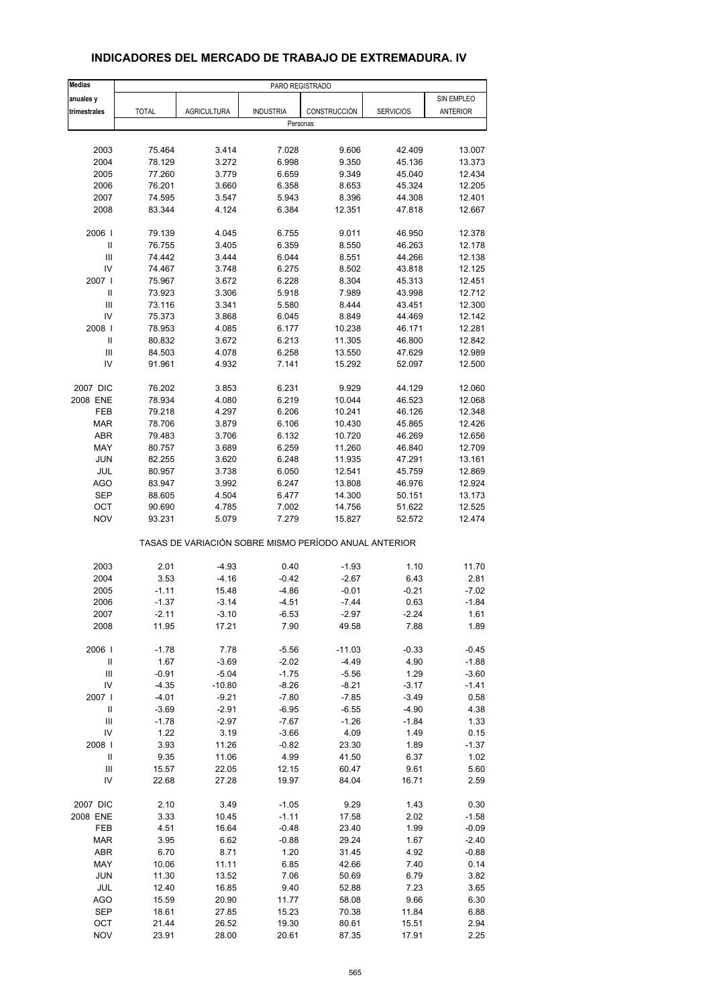| <b>Medias</b>                      | PARO REGISTRADO |                                                       |                  |              |                  |            |
|------------------------------------|-----------------|-------------------------------------------------------|------------------|--------------|------------------|------------|
| anuales y                          |                 |                                                       |                  |              |                  | SIN EMPLEO |
| trimestrales                       | <b>TOTAL</b>    | <b>AGRICULTURA</b>                                    | <b>INDUSTRIA</b> | CONSTRUCCIÓN | <b>SERVICIOS</b> | ANTERIOR   |
|                                    |                 |                                                       | Personas         |              |                  |            |
|                                    |                 |                                                       |                  |              |                  |            |
| 2003                               | 75.464          | 3.414                                                 | 7.028            | 9.606        | 42.409           | 13.007     |
| 2004                               | 78.129          | 3.272                                                 | 6.998            | 9.350        | 45.136           | 13.373     |
| 2005                               | 77.260          | 3.779                                                 | 6.659            | 9.349        | 45.040           | 12.434     |
| 2006                               | 76.201          | 3.660                                                 | 6.358            | 8.653        | 45.324           | 12.205     |
| 2007                               | 74.595          | 3.547                                                 | 5.943            | 8.396        | 44.308           | 12.401     |
| 2008                               | 83.344          | 4.124                                                 | 6.384            | 12.351       | 47.818           | 12.667     |
| 2006                               | 79.139          | 4.045                                                 | 6.755            | 9.011        | 46.950           | 12.378     |
| $\sf II$                           | 76.755          | 3.405                                                 | 6.359            | 8.550        | 46.263           | 12.178     |
| Ш                                  | 74.442          | 3.444                                                 | 6.044            | 8.551        | 44.266           | 12.138     |
| IV                                 | 74.467          | 3.748                                                 | 6.275            | 8.502        | 43.818           | 12.125     |
| 2007 l                             | 75.967          | 3.672                                                 | 6.228            | 8.304        | 45.313           | 12.451     |
| Ш                                  | 73.923          | 3.306                                                 | 5.918            | 7.989        | 43.998           | 12.712     |
| Ш                                  | 73.116          | 3.341                                                 | 5.580            | 8.444        | 43.451           | 12.300     |
| IV                                 | 75.373          | 3.868                                                 | 6.045            | 8.849        | 44.469           | 12.142     |
| 2008                               | 78.953          | 4.085                                                 | 6.177            | 10.238       | 46.171           | 12.281     |
| $\ensuremath{\mathsf{II}}$         | 80.832          | 3.672                                                 | 6.213            | 11.305       | 46.800           | 12.842     |
| Ш                                  | 84.503          | 4.078                                                 | 6.258            | 13.550       | 47.629           | 12.989     |
| IV                                 | 91.961          | 4.932                                                 | 7.141            | 15.292       | 52.097           | 12.500     |
|                                    |                 |                                                       |                  |              |                  |            |
| 2007 DIC<br>2008 ENE               | 76.202          | 3.853                                                 | 6.231            | 9.929        | 44.129           | 12.060     |
|                                    | 78.934          | 4.080                                                 | 6.219            | 10.044       | 46.523           | 12.068     |
| FEB                                | 79.218          | 4.297                                                 | 6.206            | 10.241       | 46.126           | 12.348     |
| <b>MAR</b>                         | 78.706          | 3.879                                                 | 6.106            | 10.430       | 45.865           | 12.426     |
| <b>ABR</b>                         | 79.483          | 3.706                                                 | 6.132            | 10.720       | 46.269           | 12.656     |
| MAY                                | 80.757          | 3.689                                                 | 6.259            | 11.260       | 46.840           | 12.709     |
| <b>JUN</b>                         | 82.255          | 3.620                                                 | 6.248            | 11.935       | 47.291           | 13.161     |
| JUL                                | 80.957          | 3.738                                                 | 6.050            | 12.541       | 45.759           | 12.869     |
| <b>AGO</b>                         | 83.947          | 3.992                                                 | 6.247            | 13.808       | 46.976           | 12.924     |
| <b>SEP</b>                         | 88.605          | 4.504                                                 | 6.477            | 14.300       | 50.151           | 13.173     |
| OCT                                | 90.690          | 4.785                                                 | 7.002            | 14.756       | 51.622           | 12.525     |
| <b>NOV</b>                         | 93.231          | 5.079                                                 | 7.279            | 15.827       | 52.572           | 12.474     |
|                                    |                 | TASAS DE VARIACIÓN SOBRE MISMO PERÍODO ANUAL ANTERIOR |                  |              |                  |            |
| 2003                               | 2.01            | $-4.93$                                               | 0.40             | $-1.93$      | 1.10             | 11.70      |
| 2004                               | 3.53            | $-4.16$                                               | $-0.42$          | $-2.67$      | 6.43             | 2.81       |
| 2005                               | $-1.11$         | 15.48                                                 | -4.86            | $-0.01$      | $-0.21$          | $-7.02$    |
| 2006                               | $-1.37$         | $-3.14$                                               | -4.51            | $-7.44$      | 0.63             | $-1.84$    |
| 2007                               | -2.11           | $-3.10$                                               | -6.53            | -2.97        | -2.24            | 1.61       |
| 2008                               | 11.95           | 17.21                                                 | 7.90             | 49.58        | 7.88             | 1.89       |
|                                    |                 |                                                       |                  |              |                  |            |
| 2006                               | $-1.78$         | 7.78                                                  | -5.56            | $-11.03$     | $-0.33$          | $-0.45$    |
| $\ensuremath{\mathsf{II}}$         | 1.67            | $-3.69$                                               | $-2.02$          | $-4.49$      | 4.90             | $-1.88$    |
| $\ensuremath{\mathsf{III}}\xspace$ | $-0.91$         | $-5.04$                                               | $-1.75$          | $-5.56$      | 1.29             | $-3.60$    |
| IV                                 | $-4.35$         | $-10.80$                                              | $-8.26$          | $-8.21$      | $-3.17$          | $-1.41$    |
| 2007                               | $-4.01$         | $-9.21$                                               | $-7.80$          | $-7.85$      | $-3.49$          | 0.58       |
| $\ensuremath{\mathsf{II}}$         | $-3.69$         | $-2.91$                                               | $-6.95$          | $-6.55$      | $-4.90$          | 4.38       |
| $\ensuremath{\mathsf{III}}\xspace$ | $-1.78$         | $-2.97$                                               | $-7.67$          | $-1.26$      | $-1.84$          | 1.33       |
| IV                                 | 1.22            | 3.19                                                  | $-3.66$          | 4.09         | 1.49             | 0.15       |
| 2008                               | 3.93            | 11.26                                                 | $-0.82$          | 23.30        | 1.89             | $-1.37$    |
| Ш                                  | 9.35            | 11.06                                                 | 4.99             | 41.50        | 6.37             | 1.02       |
| $\ensuremath{\mathsf{III}}\xspace$ | 15.57           | 22.05                                                 | 12.15            | 60.47        | 9.61             | 5.60       |
| IV                                 | 22.68           | 27.28                                                 | 19.97            | 84.04        | 16.71            | 2.59       |
| 2007 DIC                           | 2.10            | 3.49                                                  | $-1.05$          | 9.29         | 1.43             | 0.30       |
| 2008 ENE                           | 3.33            | 10.45                                                 | $-1.11$          | 17.58        | 2.02             | $-1.58$    |
| FEB                                | 4.51            | 16.64                                                 | $-0.48$          | 23.40        | 1.99             | $-0.09$    |
| <b>MAR</b>                         | 3.95            | 6.62                                                  | $-0.88$          | 29.24        | 1.67             | $-2.40$    |
| ABR                                | 6.70            | 8.71                                                  | 1.20             | 31.45        | 4.92             | $-0.88$    |
| MAY                                | 10.06           | 11.11                                                 | 6.85             | 42.66        | 7.40             | 0.14       |
| <b>JUN</b>                         | 11.30           | 13.52                                                 | 7.06             | 50.69        | 6.79             | 3.82       |
| JUL                                | 12.40           | 16.85                                                 | 9.40             | 52.88        | 7.23             | 3.65       |
| AGO                                | 15.59           | 20.90                                                 | 11.77            | 58.08        | 9.66             | 6.30       |
| SEP                                | 18.61           | 27.85                                                 | 15.23            | 70.38        | 11.84            | 6.88       |
| OCT                                | 21.44           | 26.52                                                 | 19.30            | 80.61        | 15.51            | 2.94       |
| <b>NOV</b>                         | 23.91           | 28.00                                                 | 20.61            | 87.35        | 17.91            | 2.25       |

## **INDICADORES DEL MERCADO DE TRABAJO DE EXTREMADURA. IV**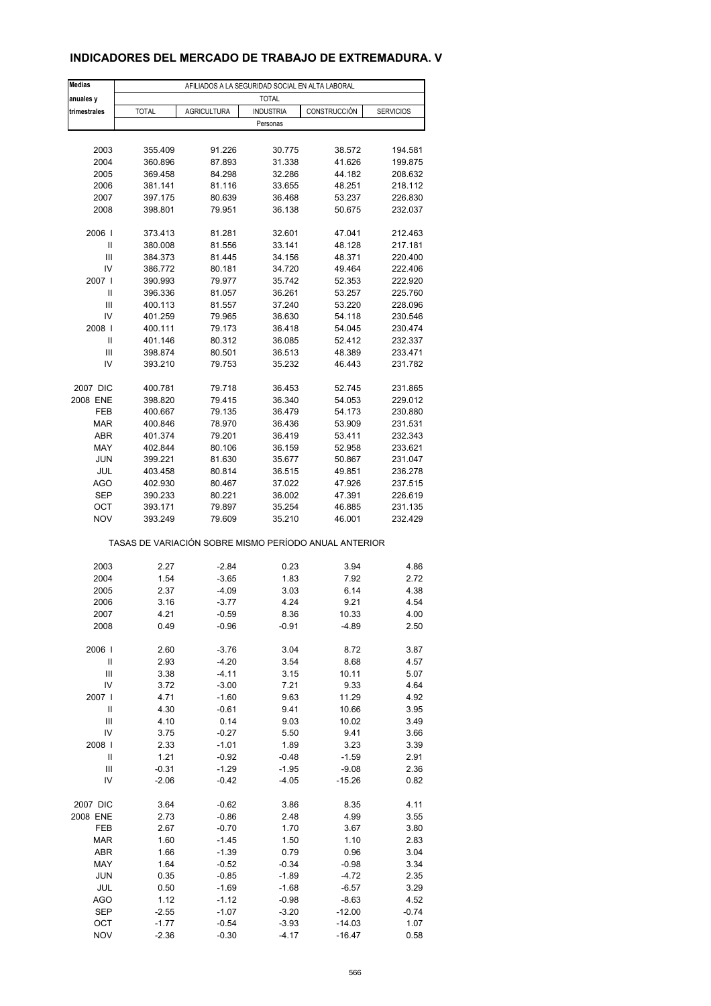## **INDICADORES DEL MERCADO DE TRABAJO DE EXTREMADURA. V**

| <b>Medias</b>      | AFILIADOS A LA SEGURIDAD SOCIAL EN ALTA LABORAL       |                    |                  |                  |                    |  |  |  |
|--------------------|-------------------------------------------------------|--------------------|------------------|------------------|--------------------|--|--|--|
| anuales y          |                                                       |                    | <b>TOTAL</b>     |                  |                    |  |  |  |
| trimestrales       | <b>TOTAL</b>                                          | <b>AGRICULTURA</b> | <b>INDUSTRIA</b> | CONSTRUCCIÓN     | <b>SERVICIOS</b>   |  |  |  |
|                    |                                                       |                    | Personas         |                  |                    |  |  |  |
|                    |                                                       |                    |                  |                  |                    |  |  |  |
| 2003               | 355.409                                               | 91.226             | 30.775           | 38.572           | 194.581            |  |  |  |
| 2004               | 360.896                                               | 87.893             | 31.338           | 41.626           | 199.875            |  |  |  |
| 2005               | 369.458                                               | 84.298             | 32.286           | 44.182           | 208.632            |  |  |  |
| 2006               | 381.141                                               | 81.116             | 33.655           | 48.251           | 218.112            |  |  |  |
| 2007               | 397.175                                               | 80.639             | 36.468           | 53.237           | 226.830            |  |  |  |
| 2008               | 398.801                                               | 79.951             | 36.138           | 50.675           | 232.037            |  |  |  |
| 2006               | 373.413                                               | 81.281             | 32.601           | 47.041           | 212.463            |  |  |  |
| Ш                  | 380.008                                               | 81.556             | 33.141           | 48.128           | 217.181            |  |  |  |
| Ш                  | 384.373                                               | 81.445             | 34.156           | 48.371           | 220.400            |  |  |  |
| IV                 | 386.772                                               | 80.181             | 34.720           | 49.464           | 222.406            |  |  |  |
| 2007 l             | 390.993                                               | 79.977             | 35.742           | 52.353           | 222.920            |  |  |  |
| Ш                  | 396.336                                               | 81.057             | 36.261           | 53.257           | 225.760            |  |  |  |
| Ш                  | 400.113                                               | 81.557             | 37.240           | 53.220           | 228.096            |  |  |  |
| IV                 | 401.259                                               | 79.965             | 36.630           | 54.118           | 230.546            |  |  |  |
| 2008               | 400.111                                               | 79.173             | 36.418           | 54.045           | 230.474            |  |  |  |
| Ш                  | 401.146                                               | 80.312             | 36.085           | 52.412           | 232.337            |  |  |  |
| Ш                  | 398.874                                               | 80.501             | 36.513           | 48.389           | 233.471            |  |  |  |
| IV                 | 393.210                                               | 79.753             | 35.232           | 46.443           | 231.782            |  |  |  |
|                    |                                                       |                    |                  |                  |                    |  |  |  |
| 2007 DIC           | 400.781                                               | 79.718             | 36.453           | 52.745           | 231.865            |  |  |  |
| 2008 ENE           | 398.820                                               | 79.415<br>79.135   | 36.340           | 54.053           | 229.012            |  |  |  |
| FEB<br><b>MAR</b>  | 400.667<br>400.846                                    | 78.970             | 36.479<br>36.436 | 54.173<br>53.909 | 230.880<br>231.531 |  |  |  |
| ABR                | 401.374                                               | 79.201             | 36.419           | 53.411           | 232.343            |  |  |  |
| MAY                | 402.844                                               | 80.106             | 36.159           | 52.958           | 233.621            |  |  |  |
| <b>JUN</b>         | 399.221                                               | 81.630             | 35.677           | 50.867           | 231.047            |  |  |  |
| JUL                | 403.458                                               | 80.814             | 36.515           | 49.851           | 236.278            |  |  |  |
| AGO                | 402.930                                               | 80.467             | 37.022           | 47.926           | 237.515            |  |  |  |
| <b>SEP</b>         | 390.233                                               | 80.221             | 36.002           | 47.391           | 226.619            |  |  |  |
| OCT                | 393.171                                               | 79.897             | 35.254           | 46.885           | 231.135            |  |  |  |
| <b>NOV</b>         | 393.249                                               | 79.609             | 35.210           | 46.001           | 232.429            |  |  |  |
|                    | TASAS DE VARIACIÓN SOBRE MISMO PERÍODO ANUAL ANTERIOR |                    |                  |                  |                    |  |  |  |
| 2003               | 2.27                                                  | $-2.84$            | 0.23             | 3.94             | 4.86               |  |  |  |
| 2004               | 1.54                                                  | $-3.65$            | 1.83             | 7.92             | 2.72               |  |  |  |
| 2005               | 2.37                                                  | $-4.09$            | 3.03             | 6.14             | 4.38               |  |  |  |
| 2006               | 3.16                                                  | $-3.77$            | 4.24             | 9.21             | 4.54               |  |  |  |
| 2007               | 4.21                                                  | $-0.59$            | 8.36             | 10.33            | 4.00               |  |  |  |
| 2008               | 0.49                                                  | $-0.96$            | $-0.91$          | $-4.89$          | 2.50               |  |  |  |
|                    |                                                       |                    |                  |                  |                    |  |  |  |
| 2006               | 2.60                                                  | $-3.76$            | 3.04             | 8.72             | 3.87               |  |  |  |
| Ш                  | 2.93                                                  | $-4.20$            | 3.54             | 8.68             | 4.57               |  |  |  |
| $\mathbf{III}$     | 3.38                                                  | $-4.11$            | 3.15             | 10.11            | 5.07               |  |  |  |
| IV                 | 3.72                                                  | $-3.00$            | 7.21             | 9.33             | 4.64               |  |  |  |
| 2007               | 4.71                                                  | $-1.60$            | 9.63             | 11.29            | 4.92               |  |  |  |
| $\mathsf{II}$<br>Ш | 4.30<br>4.10                                          | $-0.61$            | 9.41<br>9.03     | 10.66<br>10.02   | 3.95<br>3.49       |  |  |  |
| IV                 | 3.75                                                  | 0.14<br>$-0.27$    | 5.50             | 9.41             | 3.66               |  |  |  |
| 2008               | 2.33                                                  | $-1.01$            | 1.89             | 3.23             | 3.39               |  |  |  |
| Ш                  | 1.21                                                  | $-0.92$            | -0.48            | $-1.59$          | 2.91               |  |  |  |
| Ш                  | $-0.31$                                               | $-1.29$            | $-1.95$          | $-9.08$          | 2.36               |  |  |  |
| IV                 | $-2.06$                                               | $-0.42$            | $-4.05$          | $-15.26$         | 0.82               |  |  |  |
|                    |                                                       |                    |                  |                  |                    |  |  |  |
| 2007 DIC           | 3.64                                                  | $-0.62$            | 3.86             | 8.35             | 4.11               |  |  |  |
| 2008 ENE           | 2.73                                                  | $-0.86$            | 2.48             | 4.99             | 3.55               |  |  |  |
| FEB                | 2.67                                                  | $-0.70$            | 1.70             | 3.67             | 3.80               |  |  |  |
| <b>MAR</b>         | 1.60                                                  | $-1.45$            | 1.50             | 1.10             | 2.83               |  |  |  |
| ABR                | 1.66                                                  | $-1.39$            | 0.79             | 0.96             | 3.04               |  |  |  |
| MAY                | 1.64                                                  | $-0.52$            | $-0.34$          | $-0.98$          | 3.34               |  |  |  |
| <b>JUN</b>         | 0.35                                                  | $-0.85$            | $-1.89$          | $-4.72$          | 2.35               |  |  |  |
| JUL                | 0.50                                                  | $-1.69$            | $-1.68$          | $-6.57$          | 3.29               |  |  |  |
| AGO                | 1.12                                                  | $-1.12$            | $-0.98$          | $-8.63$          | 4.52               |  |  |  |
| SEP                | $-2.55$                                               | $-1.07$            | $-3.20$          | $-12.00$         | $-0.74$            |  |  |  |
| OCT                | $-1.77$                                               | $-0.54$            | $-3.93$          | $-14.03$         | 1.07               |  |  |  |
| <b>NOV</b>         | $-2.36$                                               | $-0.30$            | $-4.17$          | $-16.47$         | 0.58               |  |  |  |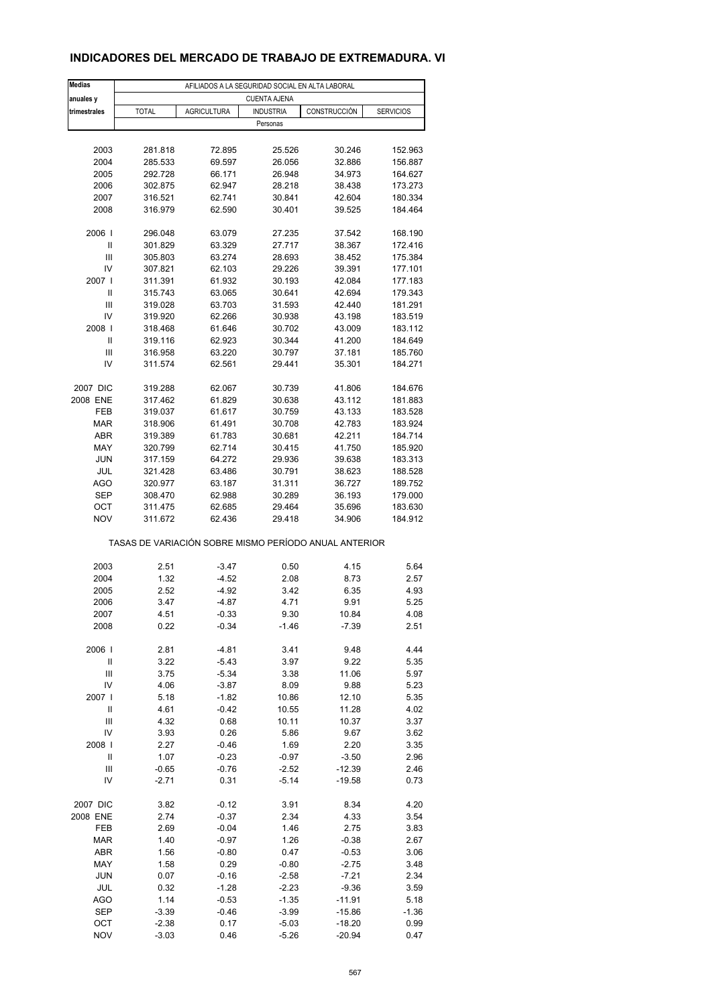## **INDICADORES DEL MERCADO DE TRABAJO DE EXTREMADURA. VI**

| <b>Medias</b>           | AFILIADOS A LA SEGURIDAD SOCIAL EN ALTA LABORAL       |                    |                    |                      |                    |  |  |  |
|-------------------------|-------------------------------------------------------|--------------------|--------------------|----------------------|--------------------|--|--|--|
| anuales y               | <b>CUENTA AJENA</b>                                   |                    |                    |                      |                    |  |  |  |
| trimestrales            | <b>TOTAL</b>                                          | <b>AGRICULTURA</b> | <b>INDUSTRIA</b>   | CONSTRUCCIÓN         | <b>SERVICIOS</b>   |  |  |  |
|                         |                                                       |                    | Personas           |                      |                    |  |  |  |
|                         |                                                       |                    |                    |                      |                    |  |  |  |
| 2003                    | 281.818                                               | 72.895             | 25.526             | 30.246               | 152.963            |  |  |  |
| 2004                    | 285.533                                               | 69.597             | 26.056             | 32.886               | 156.887            |  |  |  |
| 2005                    | 292.728                                               | 66.171             | 26.948             | 34.973               | 164.627            |  |  |  |
| 2006                    | 302.875                                               | 62.947             | 28.218             | 38.438               | 173.273            |  |  |  |
| 2007                    | 316.521                                               | 62.741             | 30.841             | 42.604               | 180.334            |  |  |  |
| 2008                    | 316.979                                               | 62.590             | 30.401             | 39.525               | 184.464            |  |  |  |
| 2006                    | 296.048                                               | 63.079             | 27.235             | 37.542               | 168.190            |  |  |  |
| Ш                       | 301.829                                               | 63.329             | 27.717             | 38.367               | 172.416            |  |  |  |
| Ш                       | 305.803                                               | 63.274             | 28.693             | 38.452               | 175.384            |  |  |  |
| IV                      | 307.821                                               | 62.103             | 29.226             | 39.391               | 177.101            |  |  |  |
| 2007 l                  | 311.391                                               | 61.932             | 30.193             | 42.084               | 177.183            |  |  |  |
| Ш                       | 315.743                                               | 63.065             | 30.641             | 42.694               | 179.343            |  |  |  |
| Ш                       | 319.028                                               | 63.703             | 31.593             | 42.440               | 181.291            |  |  |  |
| IV                      | 319.920                                               | 62.266             | 30.938             | 43.198               | 183.519            |  |  |  |
| 2008                    | 318.468                                               | 61.646             | 30.702             | 43.009               | 183.112            |  |  |  |
| Ш                       | 319.116                                               | 62.923             | 30.344             | 41.200               | 184.649            |  |  |  |
| Ш                       | 316.958                                               | 63.220             | 30.797             | 37.181               | 185.760            |  |  |  |
| IV                      | 311.574                                               | 62.561             | 29.441             | 35.301               | 184.271            |  |  |  |
|                         |                                                       |                    |                    |                      |                    |  |  |  |
| 2007 DIC                | 319.288                                               | 62.067             | 30.739             | 41.806               | 184.676            |  |  |  |
| 2008 ENE                | 317.462                                               | 61.829             | 30.638             | 43.112               | 181.883            |  |  |  |
| FEB<br><b>MAR</b>       | 319.037<br>318.906                                    | 61.617<br>61.491   | 30.759<br>30.708   | 43.133<br>42.783     | 183.528<br>183.924 |  |  |  |
| ABR                     | 319.389                                               | 61.783             | 30.681             | 42.211               | 184.714            |  |  |  |
| MAY                     | 320.799                                               | 62.714             | 30.415             | 41.750               | 185.920            |  |  |  |
| <b>JUN</b>              | 317.159                                               | 64.272             | 29.936             | 39.638               | 183.313            |  |  |  |
| JUL                     | 321.428                                               | 63.486             | 30.791             | 38.623               | 188.528            |  |  |  |
| AGO                     | 320.977                                               | 63.187             | 31.311             | 36.727               | 189.752            |  |  |  |
| <b>SEP</b>              | 308.470                                               | 62.988             | 30.289             | 36.193               | 179.000            |  |  |  |
| OCT                     | 311.475                                               | 62.685             | 29.464             | 35.696               | 183.630            |  |  |  |
| <b>NOV</b>              | 311.672                                               | 62.436             | 29.418             | 34.906               | 184.912            |  |  |  |
|                         | TASAS DE VARIACIÓN SOBRE MISMO PERÍODO ANUAL ANTERIOR |                    |                    |                      |                    |  |  |  |
| 2003                    | 2.51                                                  | $-3.47$            | 0.50               | 4.15                 | 5.64               |  |  |  |
| 2004                    | 1.32                                                  | $-4.52$            | 2.08               | 8.73                 | 2.57               |  |  |  |
| 2005                    | 2.52                                                  | $-4.92$            | 3.42               | 6.35                 | 4.93               |  |  |  |
| 2006                    | 3.47                                                  | $-4.87$            | 4.71               | 9.91                 | 5.25               |  |  |  |
| 2007                    | 4.51                                                  | $-0.33$            | 9.30               | 10.84                | 4.08               |  |  |  |
| 2008                    | 0.22                                                  | $-0.34$            | $-1.46$            | $-7.39$              | 2.51               |  |  |  |
|                         |                                                       |                    |                    |                      |                    |  |  |  |
| 2006                    | 2.81                                                  | $-4.81$            | 3.41               | 9.48                 | 4.44               |  |  |  |
| Ш                       | 3.22                                                  | $-5.43$            | 3.97               | 9.22                 | 5.35               |  |  |  |
| $\mathbf{III}$          | 3.75                                                  | $-5.34$            | 3.38               | 11.06                | 5.97               |  |  |  |
| IV                      | 4.06                                                  | $-3.87$            | 8.09               | 9.88                 | 5.23               |  |  |  |
| 2007  <br>$\mathsf{II}$ | 5.18                                                  | $-1.82$            | 10.86              | 12.10                | 5.35               |  |  |  |
| Ш                       | 4.61<br>4.32                                          | $-0.42$<br>0.68    | 10.55<br>10.11     | 11.28<br>10.37       | 4.02<br>3.37       |  |  |  |
| IV                      | 3.93                                                  | 0.26               | 5.86               | 9.67                 | 3.62               |  |  |  |
| 2008                    | 2.27                                                  | $-0.46$            | 1.69               | 2.20                 | 3.35               |  |  |  |
| Ш                       | 1.07                                                  | $-0.23$            | $-0.97$            | $-3.50$              | 2.96               |  |  |  |
| Ш                       | $-0.65$                                               | $-0.76$            | $-2.52$            | $-12.39$             | 2.46               |  |  |  |
| IV                      | $-2.71$                                               | 0.31               | $-5.14$            | $-19.58$             | 0.73               |  |  |  |
|                         |                                                       |                    |                    |                      |                    |  |  |  |
| 2007 DIC                | 3.82                                                  | $-0.12$            | 3.91               | 8.34                 | 4.20               |  |  |  |
| 2008 ENE                | 2.74                                                  | $-0.37$            | 2.34               | 4.33                 | 3.54               |  |  |  |
| FEB                     | 2.69                                                  | $-0.04$            | 1.46               | 2.75                 | 3.83               |  |  |  |
| <b>MAR</b>              | 1.40                                                  | $-0.97$            | 1.26               | $-0.38$              | 2.67               |  |  |  |
| ABR                     | 1.56                                                  | $-0.80$            | 0.47               | $-0.53$              | 3.06               |  |  |  |
| MAY                     | 1.58                                                  | 0.29               | $-0.80$            | $-2.75$              | 3.48               |  |  |  |
| <b>JUN</b>              | 0.07                                                  | $-0.16$            | $-2.58$            | $-7.21$              | 2.34               |  |  |  |
| JUL                     | 0.32                                                  | $-1.28$            | $-2.23$            | $-9.36$              | 3.59               |  |  |  |
| AGO                     | 1.14                                                  | $-0.53$            | $-1.35$            | $-11.91$             | 5.18               |  |  |  |
| SEP                     | $-3.39$                                               | $-0.46$            | $-3.99$            | $-15.86$             | $-1.36$            |  |  |  |
| OCT<br><b>NOV</b>       | $-2.38$<br>$-3.03$                                    | 0.17<br>0.46       | $-5.03$<br>$-5.26$ | $-18.20$<br>$-20.94$ | 0.99<br>0.47       |  |  |  |
|                         |                                                       |                    |                    |                      |                    |  |  |  |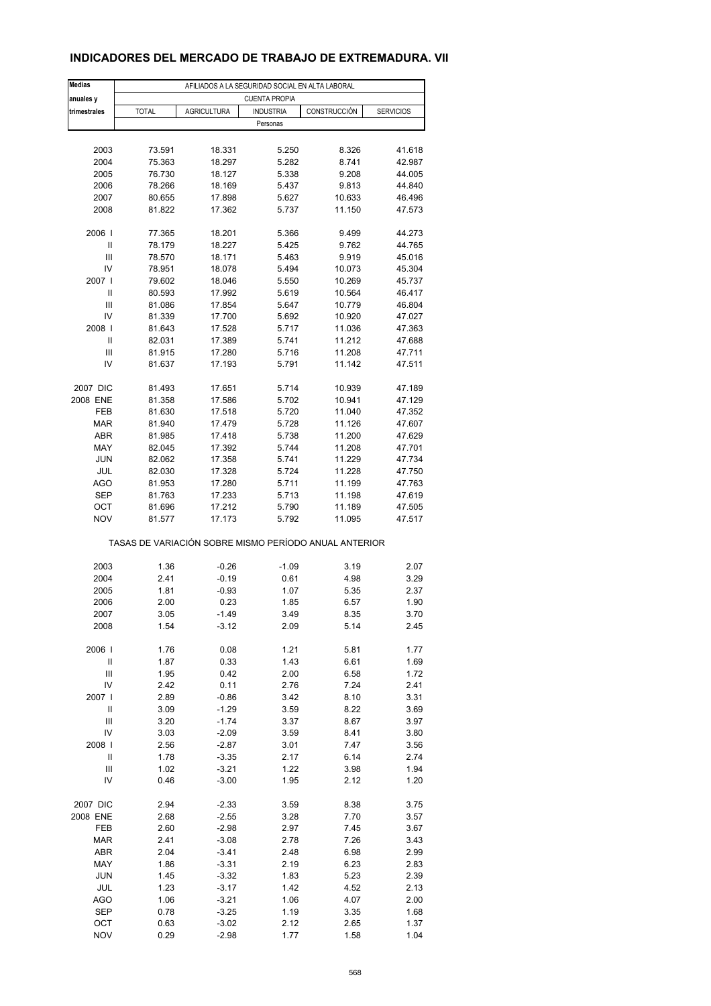## **INDICADORES DEL MERCADO DE TRABAJO DE EXTREMADURA. VII**

| <b>Medias</b>      | AFILIADOS A LA SEGURIDAD SOCIAL EN ALTA LABORAL       |                    |                  |                  |                  |  |  |  |
|--------------------|-------------------------------------------------------|--------------------|------------------|------------------|------------------|--|--|--|
| anuales y          | <b>CUENTA PROPIA</b>                                  |                    |                  |                  |                  |  |  |  |
| trimestrales       | <b>TOTAL</b>                                          | <b>AGRICULTURA</b> | <b>INDUSTRIA</b> | CONSTRUCCIÓN     | <b>SERVICIOS</b> |  |  |  |
|                    |                                                       |                    | Personas         |                  |                  |  |  |  |
|                    |                                                       |                    |                  |                  |                  |  |  |  |
| 2003               | 73.591                                                | 18.331             | 5.250            | 8.326            | 41.618           |  |  |  |
| 2004               | 75.363                                                | 18.297             | 5.282            | 8.741            | 42.987           |  |  |  |
| 2005               | 76.730                                                | 18.127             | 5.338            | 9.208            | 44.005           |  |  |  |
| 2006               | 78.266                                                | 18.169             | 5.437            | 9.813            | 44.840           |  |  |  |
| 2007               | 80.655                                                | 17.898             | 5.627            | 10.633           | 46.496           |  |  |  |
| 2008               | 81.822                                                | 17.362             | 5.737            | 11.150           | 47.573           |  |  |  |
| 2006               | 77.365                                                | 18.201             | 5.366            | 9.499            | 44.273           |  |  |  |
| Ш                  | 78.179                                                | 18.227             | 5.425            | 9.762            | 44.765           |  |  |  |
| Ш                  | 78.570                                                | 18.171             | 5.463            | 9.919            | 45.016           |  |  |  |
| IV                 | 78.951                                                | 18.078             | 5.494            | 10.073           | 45.304           |  |  |  |
| 2007 l             | 79.602                                                | 18.046             | 5.550            | 10.269           | 45.737           |  |  |  |
| Ш                  | 80.593                                                | 17.992             | 5.619            | 10.564           | 46.417           |  |  |  |
| Ш                  | 81.086                                                | 17.854             | 5.647            | 10.779           | 46.804           |  |  |  |
| IV                 | 81.339                                                | 17.700             | 5.692            | 10.920           | 47.027           |  |  |  |
| 2008               | 81.643                                                | 17.528             | 5.717            | 11.036           | 47.363           |  |  |  |
| Ш                  | 82.031                                                | 17.389             | 5.741            | 11.212           | 47.688           |  |  |  |
| Ш                  | 81.915                                                | 17.280             | 5.716            | 11.208           | 47.711           |  |  |  |
| IV                 | 81.637                                                | 17.193             | 5.791            | 11.142           | 47.511           |  |  |  |
| 2007 DIC           | 81.493                                                | 17.651             | 5.714            | 10.939           | 47.189           |  |  |  |
| 2008 ENE           | 81.358                                                | 17.586             | 5.702            | 10.941           | 47.129           |  |  |  |
| FEB                | 81.630                                                | 17.518             | 5.720            | 11.040           | 47.352           |  |  |  |
| <b>MAR</b>         | 81.940                                                | 17.479             | 5.728            | 11.126           | 47.607           |  |  |  |
| ABR                | 81.985                                                | 17.418             | 5.738            | 11.200           | 47.629           |  |  |  |
| MAY                | 82.045                                                | 17.392             | 5.744            | 11.208           | 47.701           |  |  |  |
| <b>JUN</b>         |                                                       |                    |                  |                  |                  |  |  |  |
|                    | 82.062                                                | 17.358             | 5.741            | 11.229           | 47.734           |  |  |  |
| JUL<br>AGO         | 82.030                                                | 17.328<br>17.280   | 5.724<br>5.711   | 11.228<br>11.199 | 47.750<br>47.763 |  |  |  |
| <b>SEP</b>         | 81.953                                                | 17.233             |                  | 11.198           | 47.619           |  |  |  |
| OCT                | 81.763<br>81.696                                      | 17.212             | 5.713<br>5.790   | 11.189           | 47.505           |  |  |  |
| <b>NOV</b>         | 81.577                                                | 17.173             | 5.792            | 11.095           | 47.517           |  |  |  |
|                    |                                                       |                    |                  |                  |                  |  |  |  |
|                    | TASAS DE VARIACIÓN SOBRE MISMO PERÍODO ANUAL ANTERIOR |                    |                  |                  |                  |  |  |  |
| 2003               | 1.36                                                  | $-0.26$            | $-1.09$          | 3.19             | 2.07             |  |  |  |
| 2004               | 2.41                                                  | $-0.19$            | 0.61             | 4.98             | 3.29             |  |  |  |
| 2005               | 1.81                                                  | $-0.93$            | 1.07             | 5.35             | 2.37             |  |  |  |
| 2006               | 2.00                                                  | 0.23               | 1.85             | 6.57             | 1.90             |  |  |  |
| 2007               | 3.05                                                  | -1.49              | 3.49             | 8.35             | 3.70             |  |  |  |
| 2008               | 1.54                                                  | $-3.12$            | 2.09             | 5.14             | 2.45             |  |  |  |
|                    |                                                       |                    |                  |                  |                  |  |  |  |
| 2006               | 1.76                                                  | 0.08               | 1.21             | 5.81             | 1.77             |  |  |  |
| $\mathbf{II}$      | 1.87                                                  | 0.33               | 1.43             | 6.61             | 1.69             |  |  |  |
| Ш                  | 1.95                                                  | 0.42               | 2.00             | 6.58             | 1.72             |  |  |  |
| IV                 | 2.42                                                  | 0.11               | 2.76             | 7.24             | 2.41             |  |  |  |
| 2007  <br>$\sf II$ | 2.89                                                  | $-0.86$            | 3.42             | 8.10             | 3.31             |  |  |  |
|                    | 3.09                                                  | $-1.29$            | 3.59             | 8.22             | 3.69             |  |  |  |
| Ш                  | 3.20                                                  | $-1.74$            | 3.37             | 8.67             | 3.97             |  |  |  |
| IV                 | 3.03                                                  | $-2.09$            | 3.59             | 8.41             | 3.80             |  |  |  |
| 2008               | 2.56                                                  | $-2.87$            | 3.01             | 7.47             | 3.56             |  |  |  |
| Ш                  | 1.78                                                  | $-3.35$            | 2.17             | 6.14             | 2.74             |  |  |  |
| Ш<br>IV            | 1.02<br>0.46                                          | $-3.21$<br>$-3.00$ | 1.22<br>1.95     | 3.98<br>2.12     | 1.94<br>1.20     |  |  |  |
|                    |                                                       |                    |                  |                  |                  |  |  |  |
| 2007 DIC           | 2.94                                                  | $-2.33$            | 3.59             | 8.38             | 3.75             |  |  |  |
| 2008 ENE           | 2.68                                                  | $-2.55$            | 3.28             | 7.70             | 3.57             |  |  |  |
| FEB                | 2.60                                                  | $-2.98$            | 2.97             | 7.45             | 3.67             |  |  |  |
| <b>MAR</b>         | 2.41                                                  | $-3.08$            | 2.78             | 7.26             | 3.43             |  |  |  |
| ABR                | 2.04                                                  | $-3.41$            | 2.48             | 6.98             | 2.99             |  |  |  |
| MAY                | 1.86                                                  | $-3.31$            | 2.19             | 6.23             | 2.83             |  |  |  |
| <b>JUN</b>         | 1.45                                                  | $-3.32$            | 1.83             | 5.23             | 2.39             |  |  |  |
| JUL                | 1.23                                                  | $-3.17$            | 1.42             | 4.52             | 2.13             |  |  |  |
| AGO                | 1.06                                                  | $-3.21$            | 1.06             | 4.07             | 2.00             |  |  |  |
| SEP                | 0.78                                                  | $-3.25$            | 1.19             | 3.35             | 1.68             |  |  |  |
| OCT                | 0.63                                                  | $-3.02$            | 2.12             | 2.65             | 1.37             |  |  |  |
| <b>NOV</b>         | 0.29                                                  | $-2.98$            | 1.77             | 1.58             | 1.04             |  |  |  |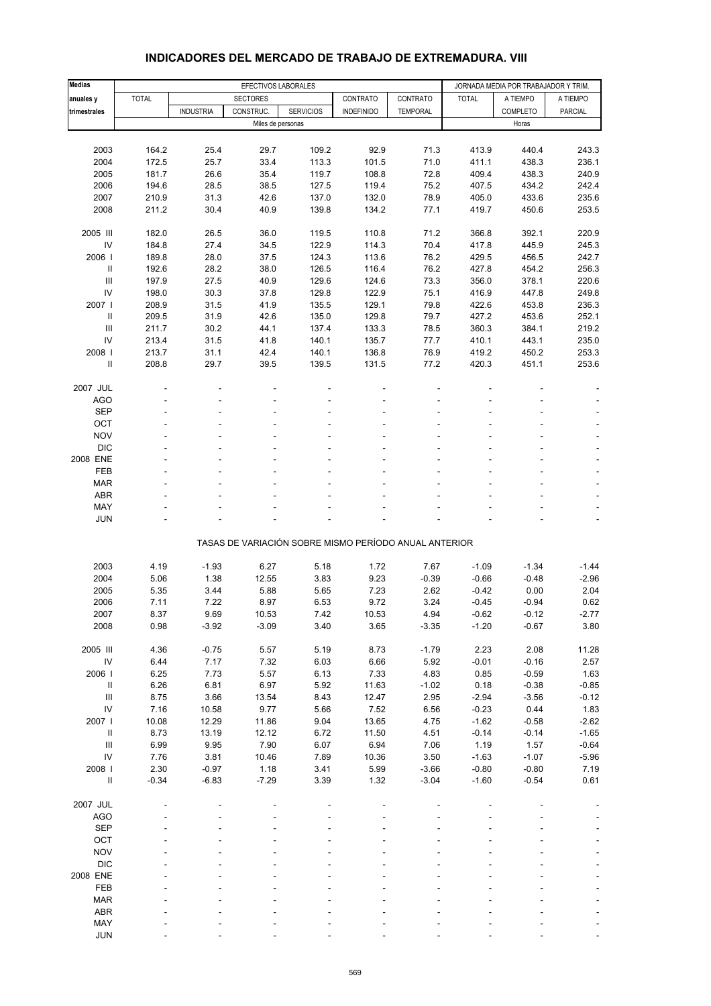| <b>Medias</b>                      |              |                  | EFECTIVOS LABORALES |                  |                                                       |                 |                    | JORNADA MEDIA POR TRABAJADOR Y TRIM. |                |
|------------------------------------|--------------|------------------|---------------------|------------------|-------------------------------------------------------|-----------------|--------------------|--------------------------------------|----------------|
| anuales y                          | <b>TOTAL</b> |                  | <b>SECTORES</b>     |                  | CONTRATO                                              | CONTRATO        | <b>TOTAL</b>       | A TIEMPO                             | A TIEMPO       |
| trimestrales                       |              | <b>INDUSTRIA</b> | CONSTRUC.           | <b>SERVICIOS</b> | <b>INDEFINIDO</b>                                     | <b>TEMPORAL</b> |                    | COMPLETO                             | PARCIAL        |
|                                    |              |                  | Miles de personas   |                  |                                                       |                 |                    | Horas                                |                |
|                                    |              |                  |                     |                  |                                                       |                 |                    |                                      |                |
| 2003                               | 164.2        | 25.4             | 29.7                | 109.2            | 92.9                                                  | 71.3            | 413.9              | 440.4                                | 243.3          |
| 2004                               | 172.5        | 25.7             | 33.4                | 113.3            | 101.5                                                 | 71.0            | 411.1              | 438.3                                | 236.1          |
| 2005                               | 181.7        | 26.6             | 35.4                | 119.7            | 108.8                                                 | 72.8            | 409.4              | 438.3                                | 240.9          |
| 2006                               | 194.6        | 28.5             | 38.5                | 127.5            | 119.4                                                 | 75.2            | 407.5              | 434.2                                | 242.4          |
| 2007                               | 210.9        | 31.3             | 42.6                | 137.0            | 132.0                                                 | 78.9            | 405.0              | 433.6                                | 235.6          |
| 2008                               | 211.2        | 30.4             | 40.9                | 139.8            | 134.2                                                 | 77.1            | 419.7              | 450.6                                | 253.5          |
|                                    |              |                  |                     |                  |                                                       |                 |                    |                                      |                |
| 2005 III                           | 182.0        | 26.5             | 36.0                | 119.5            | 110.8                                                 | 71.2            | 366.8              | 392.1                                | 220.9          |
| IV                                 | 184.8        | 27.4             | 34.5                | 122.9            | 114.3                                                 | 70.4            | 417.8              | 445.9                                | 245.3          |
| 2006                               | 189.8        | 28.0             | 37.5                | 124.3            | 113.6                                                 | 76.2            | 429.5              | 456.5                                | 242.7          |
| $\ensuremath{\mathsf{II}}$         | 192.6        | 28.2             | 38.0                | 126.5            | 116.4                                                 | 76.2            | 427.8              | 454.2                                | 256.3          |
| Ш                                  | 197.9        | 27.5             | 40.9                | 129.6            | 124.6                                                 | 73.3            | 356.0              | 378.1                                | 220.6          |
| IV                                 | 198.0        | 30.3             | 37.8                | 129.8            | 122.9                                                 | 75.1            | 416.9              | 447.8                                | 249.8          |
| 2007 l                             | 208.9        | 31.5             | 41.9                | 135.5            | 129.1                                                 | 79.8            | 422.6              | 453.8                                | 236.3          |
| $\mathbf{II}$                      | 209.5        | 31.9             | 42.6                | 135.0            | 129.8                                                 | 79.7            | 427.2              | 453.6                                | 252.1          |
| Ш                                  | 211.7        | 30.2             | 44.1                | 137.4            | 133.3                                                 | 78.5            | 360.3              | 384.1                                | 219.2          |
| IV                                 | 213.4        | 31.5             | 41.8                | 140.1            | 135.7                                                 | 77.7            | 410.1              | 443.1                                | 235.0          |
| 2008                               | 213.7        | 31.1             | 42.4                | 140.1            | 136.8                                                 | 76.9            | 419.2              | 450.2                                | 253.3          |
| Ш                                  | 208.8        | 29.7             | 39.5                | 139.5            | 131.5                                                 | 77.2            | 420.3              | 451.1                                | 253.6          |
|                                    |              |                  |                     |                  |                                                       |                 |                    |                                      |                |
| 2007 JUL<br>AGO                    |              |                  |                     |                  |                                                       |                 |                    |                                      |                |
| <b>SEP</b>                         |              |                  |                     |                  |                                                       |                 |                    |                                      |                |
| OCT                                |              |                  |                     |                  |                                                       |                 |                    |                                      |                |
| <b>NOV</b>                         |              |                  |                     |                  |                                                       |                 |                    |                                      |                |
| <b>DIC</b>                         |              |                  |                     |                  |                                                       |                 |                    |                                      |                |
| 2008 ENE                           |              |                  |                     |                  |                                                       |                 |                    |                                      | $\blacksquare$ |
| FEB                                |              |                  |                     |                  |                                                       |                 |                    |                                      |                |
| <b>MAR</b>                         |              |                  |                     |                  |                                                       |                 |                    |                                      |                |
| <b>ABR</b>                         |              |                  |                     |                  |                                                       |                 |                    |                                      |                |
| MAY                                |              |                  |                     |                  |                                                       |                 |                    |                                      |                |
| <b>JUN</b>                         |              |                  |                     |                  |                                                       |                 |                    |                                      |                |
|                                    |              |                  |                     |                  |                                                       |                 |                    |                                      |                |
|                                    |              |                  |                     |                  | TASAS DE VARIACIÓN SOBRE MISMO PERÍODO ANUAL ANTERIOR |                 |                    |                                      |                |
|                                    |              |                  |                     |                  |                                                       |                 |                    |                                      |                |
| 2003                               | 4.19         | $-1.93$          | 6.27                | 5.18             | 1.72                                                  | 7.67            | $-1.09$            | $-1.34$                              | $-1.44$        |
| 2004                               | 5.06         | 1.38             | 12.55               | 3.83             | 9.23                                                  | $-0.39$         | $-0.66$            | $-0.48$                              | $-2.96$        |
| 2005                               | 5.35         | 3.44<br>7.22     | 5.88                | 5.65             | 7.23                                                  | 2.62<br>3.24    | $-0.42$            | 0.00                                 | 2.04<br>0.62   |
| 2006                               | 7.11         |                  | 8.97                | 6.53             | 9.72                                                  |                 | $-0.45$            | $-0.94$<br>$-0.12$                   |                |
| 2007<br>2008                       | 8.37<br>0.98 | 9.69<br>$-3.92$  | 10.53<br>$-3.09$    | 7.42<br>3.40     | 10.53<br>3.65                                         | 4.94<br>$-3.35$ | $-0.62$<br>$-1.20$ | $-0.67$                              | -2.77<br>3.80  |
|                                    |              |                  |                     |                  |                                                       |                 |                    |                                      |                |
| 2005 III                           | 4.36         | $-0.75$          | 5.57                | 5.19             | 8.73                                                  | $-1.79$         | 2.23               | 2.08                                 | 11.28          |
| ${\sf IV}$                         | 6.44         | 7.17             | 7.32                | 6.03             | 6.66                                                  | 5.92            | $-0.01$            | $-0.16$                              | 2.57           |
| 2006                               | 6.25         | 7.73             | 5.57                | 6.13             | 7.33                                                  | 4.83            | 0.85               | $-0.59$                              | 1.63           |
| $\rm H$                            | 6.26         | 6.81             | 6.97                | 5.92             | 11.63                                                 | $-1.02$         | 0.18               | $-0.38$                              | $-0.85$        |
| $\ensuremath{\mathsf{III}}\xspace$ | 8.75         | 3.66             | 13.54               | 8.43             | 12.47                                                 | 2.95            | $-2.94$            | $-3.56$                              | $-0.12$        |
| IV                                 | 7.16         | 10.58            | 9.77                | 5.66             | 7.52                                                  | 6.56            | $-0.23$            | 0.44                                 | 1.83           |
| 2007 l                             | 10.08        | 12.29            | 11.86               | 9.04             | 13.65                                                 | 4.75            | $-1.62$            | $-0.58$                              | $-2.62$        |
| $\rm H$                            | 8.73         | 13.19            | 12.12               | 6.72             | 11.50                                                 | 4.51            | $-0.14$            | $-0.14$                              | $-1.65$        |
| $\ensuremath{\mathsf{III}}\xspace$ | 6.99         | 9.95             | 7.90                | 6.07             | 6.94                                                  | 7.06            | 1.19               | 1.57                                 | $-0.64$        |
| IV                                 | 7.76         | 3.81             | 10.46               | 7.89             | 10.36                                                 | 3.50            | $-1.63$            | $-1.07$                              | $-5.96$        |
| 2008                               | 2.30         | $-0.97$          | 1.18                | 3.41             | 5.99                                                  | $-3.66$         | $-0.80$            | $-0.80$                              | 7.19           |
| $\rm H$                            | $-0.34$      | $-6.83$          | $-7.29$             | 3.39             | 1.32                                                  | $-3.04$         | $-1.60$            | $-0.54$                              | 0.61           |
|                                    |              |                  |                     |                  |                                                       |                 |                    |                                      |                |
| 2007 JUL                           |              |                  |                     |                  |                                                       |                 |                    |                                      |                |
| <b>AGO</b>                         |              |                  |                     |                  |                                                       |                 |                    |                                      |                |
| <b>SEP</b>                         |              |                  |                     |                  |                                                       |                 |                    |                                      |                |
| OCT                                |              |                  |                     |                  |                                                       |                 |                    |                                      |                |
| <b>NOV</b>                         |              |                  |                     |                  |                                                       |                 |                    |                                      |                |
| <b>DIC</b><br>2008 ENE             |              |                  |                     |                  |                                                       |                 |                    |                                      |                |
| FEB                                |              |                  |                     |                  |                                                       |                 |                    |                                      |                |
| <b>MAR</b>                         |              |                  |                     |                  |                                                       |                 |                    |                                      |                |
| ABR                                |              |                  |                     |                  |                                                       |                 |                    |                                      |                |
| MAY                                |              |                  |                     |                  |                                                       |                 |                    |                                      |                |
| <b>JUN</b>                         |              |                  |                     |                  |                                                       |                 |                    |                                      |                |

#### **INDICADORES DEL MERCADO DE TRABAJO DE EXTREMADURA. VIII**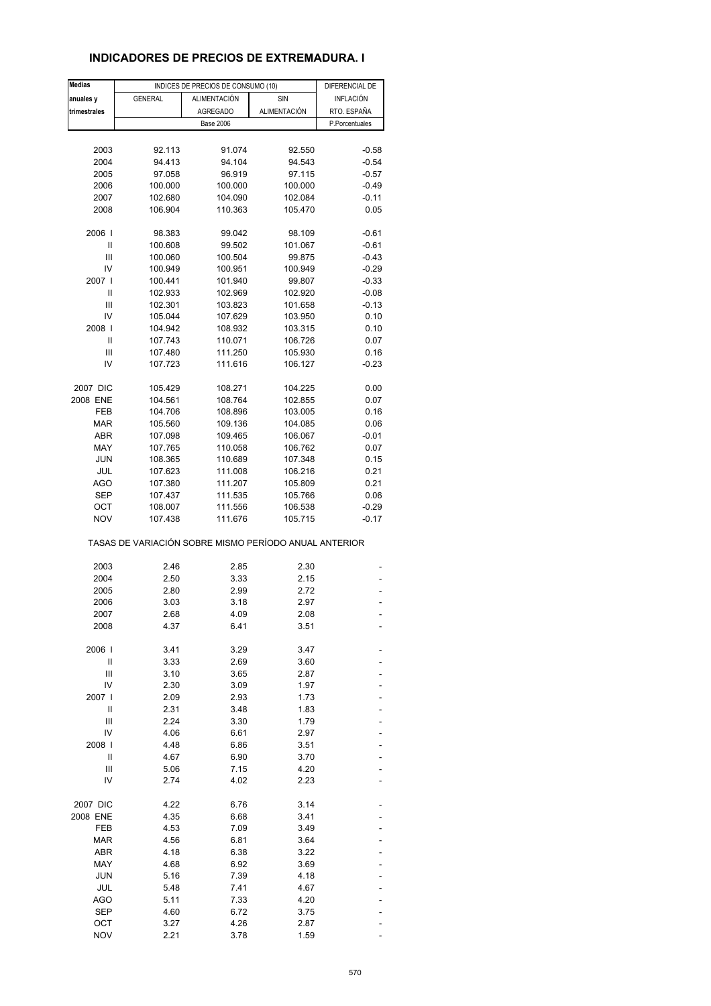## **INDICADORES DE PRECIOS DE EXTREMADURA. I**

| <b>Medias</b> |                                                       | INDICES DE PRECIOS DE CONSUMO (10) |                     | DIFERENCIAL DE   |
|---------------|-------------------------------------------------------|------------------------------------|---------------------|------------------|
| anuales y     | <b>GENERAL</b>                                        | <b>ALIMENTACIÓN</b>                | SIN                 | <b>INFLACIÓN</b> |
| trimestrales  |                                                       | <b>AGREGADO</b>                    | <b>ALIMENTACIÓN</b> | RTO. ESPAÑA      |
|               |                                                       | <b>Base 2006</b>                   |                     | P.Porcentuales   |
|               |                                                       |                                    |                     |                  |
|               |                                                       |                                    |                     |                  |
| 2003          | 92.113                                                | 91.074                             | 92.550              | $-0.58$          |
| 2004          | 94.413                                                | 94.104                             | 94.543              | $-0.54$          |
| 2005          | 97.058                                                | 96.919                             | 97.115              | $-0.57$          |
| 2006          | 100.000                                               | 100.000                            | 100.000             | $-0.49$          |
| 2007          | 102.680                                               | 104.090                            | 102.084             | $-0.11$          |
| 2008          | 106.904                                               | 110.363                            | 105.470             | 0.05             |
| 2006          | 98.383                                                | 99.042                             | 98.109              | $-0.61$          |
| Ш             | 100.608                                               | 99.502                             | 101.067             | $-0.61$          |
| Ш             | 100.060                                               | 100.504                            | 99.875              | $-0.43$          |
| IV            | 100.949                                               | 100.951                            | 100.949             | $-0.29$          |
| 2007 l        | 100.441                                               | 101.940                            | 99.807              | $-0.33$          |
| Ш             | 102.933                                               | 102.969                            | 102.920             | $-0.08$          |
| Ш             | 102.301                                               | 103.823                            | 101.658             |                  |
|               |                                                       |                                    |                     | $-0.13$          |
| IV            | 105.044                                               | 107.629                            | 103.950             | 0.10             |
| 2008          | 104.942                                               | 108.932                            | 103.315             | 0.10             |
| Ш             | 107.743                                               | 110.071                            | 106.726             | 0.07             |
| Ш             | 107.480                                               | 111.250                            | 105.930             | 0.16             |
| IV            | 107.723                                               | 111.616                            | 106.127             | $-0.23$          |
| 2007 DIC      | 105.429                                               | 108.271                            | 104.225             | 0.00             |
| 2008 ENE      | 104.561                                               | 108.764                            | 102.855             | 0.07             |
| FEB           | 104.706                                               | 108.896                            | 103.005             | 0.16             |
| <b>MAR</b>    | 105.560                                               | 109.136                            | 104.085             | 0.06             |
| ABR           | 107.098                                               | 109.465                            | 106.067             | $-0.01$          |
| MAY           | 107.765                                               | 110.058                            | 106.762             | 0.07             |
|               |                                                       |                                    |                     |                  |
| <b>JUN</b>    | 108.365                                               | 110.689                            | 107.348             | 0.15             |
| JUL           | 107.623                                               | 111.008                            | 106.216             | 0.21             |
| AGO           | 107.380                                               | 111.207                            | 105.809             | 0.21             |
| <b>SEP</b>    | 107.437                                               | 111.535                            | 105.766             | 0.06             |
| ОСТ           | 108.007                                               | 111.556                            | 106.538             | $-0.29$          |
| <b>NOV</b>    | 107.438                                               | 111.676                            | 105.715             | $-0.17$          |
|               | TASAS DE VARIACIÓN SOBRE MISMO PERÍODO ANUAL ANTERIOR |                                    |                     |                  |
| 2003          | 2.46                                                  | 2.85                               | 2.30                |                  |
| 2004          | 2.50                                                  | 3.33                               | 2.15                |                  |
| 2005          | 2.80                                                  | 2.99                               | 2.72                |                  |
| 2006          | 3.03                                                  | 3.18                               | 2.97                |                  |
| 2007          |                                                       |                                    |                     |                  |
| 2008          | 2.68<br>4.37                                          | 4.09<br>6.41                       | 2.08<br>3.51        |                  |
|               |                                                       |                                    |                     |                  |
| 2006          | 3.41                                                  | 3.29                               | 3.47                |                  |
| Ш             | 3.33                                                  | 2.69                               | 3.60                |                  |
| Ш             | 3.10                                                  | 3.65                               | 2.87                |                  |
| IV            | 2.30                                                  | 3.09                               | 1.97                |                  |
| 2007          | 2.09                                                  | 2.93                               | 1.73                |                  |
| Ш             | 2.31                                                  | 3.48                               | 1.83                |                  |
| Ш             | 2.24                                                  | 3.30                               | 1.79                |                  |
| IV            | 4.06                                                  | 6.61                               | 2.97                |                  |
| 2008          | 4.48                                                  | 6.86                               | 3.51                |                  |
| Ш             | 4.67                                                  | 6.90                               | 3.70                |                  |
| Ш             | 5.06                                                  | 7.15                               | 4.20                |                  |
| IV            | 2.74                                                  | 4.02                               | 2.23                |                  |
|               |                                                       |                                    |                     |                  |
| 2007 DIC      | 4.22                                                  | 6.76                               | 3.14                |                  |
| 2008 ENE      | 4.35                                                  | 6.68                               | 3.41                |                  |
| FEB           | 4.53                                                  | 7.09                               | 3.49                |                  |
| <b>MAR</b>    | 4.56                                                  | 6.81                               | 3.64                |                  |
| ABR           | 4.18                                                  | 6.38                               | 3.22                |                  |
| MAY           | 4.68                                                  | 6.92                               | 3.69                |                  |
| <b>JUN</b>    | 5.16                                                  | 7.39                               | 4.18                |                  |
| JUL           | 5.48                                                  | 7.41                               | 4.67                |                  |
| AGO           | 5.11                                                  | 7.33                               | 4.20                |                  |
| <b>SEP</b>    | 4.60                                                  | 6.72                               | 3.75                |                  |
| OCT           | 3.27                                                  | 4.26                               | 2.87                |                  |
| <b>NOV</b>    | 2.21                                                  | 3.78                               | 1.59                |                  |
|               |                                                       |                                    |                     |                  |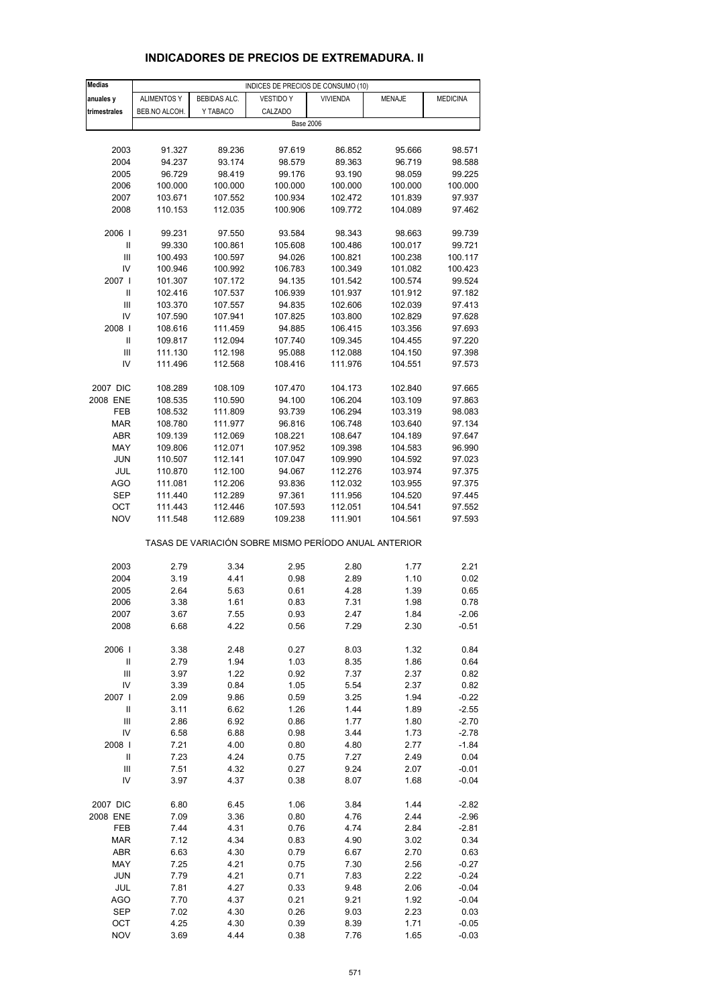| <b>Medias</b>              |                    |                    | INDICES DE PRECIOS DE CONSUMO (10)                    |                    |                    |                    |
|----------------------------|--------------------|--------------------|-------------------------------------------------------|--------------------|--------------------|--------------------|
| anuales y                  | <b>ALIMENTOS Y</b> | BEBIDAS ALC.       | <b>VESTIDO Y</b>                                      | <b>VIVIENDA</b>    | <b>MENAJE</b>      | <b>MEDICINA</b>    |
| trimestrales               | BEB.NO ALCOH.      | Y TABACO           | CALZADO                                               |                    |                    |                    |
|                            |                    |                    | <b>Base 2006</b>                                      |                    |                    |                    |
| 2003                       | 91.327             | 89.236             | 97.619                                                | 86.852             | 95.666             | 98.571             |
| 2004                       | 94.237             | 93.174             | 98.579                                                | 89.363             | 96.719             | 98.588             |
| 2005                       | 96.729             | 98.419             | 99.176                                                | 93.190             | 98.059             | 99.225             |
| 2006                       | 100.000            | 100.000            | 100.000                                               | 100.000            | 100.000            | 100.000            |
| 2007                       | 103.671            | 107.552            | 100.934                                               | 102.472            | 101.839            | 97.937             |
| 2008                       | 110.153            | 112.035            | 100.906                                               | 109.772            | 104.089            | 97.462             |
|                            |                    |                    |                                                       |                    |                    |                    |
| 2006                       | 99.231             | 97.550             | 93.584                                                | 98.343             | 98.663             | 99.739             |
| Ш<br>Ш                     | 99.330             | 100.861            | 105.608                                               | 100.486            | 100.017            | 99.721<br>100.117  |
| IV                         | 100.493<br>100.946 | 100.597<br>100.992 | 94.026<br>106.783                                     | 100.821<br>100.349 | 100.238<br>101.082 | 100.423            |
| 2007 l                     | 101.307            | 107.172            | 94.135                                                | 101.542            | 100.574            | 99.524             |
| $\mathbf{I}$               | 102.416            | 107.537            | 106.939                                               | 101.937            | 101.912            | 97.182             |
| Ш                          | 103.370            | 107.557            | 94.835                                                | 102.606            | 102.039            | 97.413             |
| IV                         | 107.590            | 107.941            | 107.825                                               | 103.800            | 102.829            | 97.628             |
| 2008                       | 108.616            | 111.459            | 94.885                                                | 106.415            | 103.356            | 97.693             |
| Ш                          | 109.817            | 112.094            | 107.740                                               | 109.345            | 104.455            | 97.220             |
| Ш                          | 111.130            | 112.198            | 95.088                                                | 112.088            | 104.150            | 97.398             |
| IV                         | 111.496            | 112.568            | 108.416                                               | 111.976            | 104.551            | 97.573             |
| 2007 DIC                   | 108.289            | 108.109            |                                                       |                    |                    | 97.665             |
| 2008 ENE                   | 108.535            | 110.590            | 107.470<br>94.100                                     | 104.173<br>106.204 | 102.840<br>103.109 | 97.863             |
| FEB                        | 108.532            | 111.809            | 93.739                                                | 106.294            | 103.319            | 98.083             |
| <b>MAR</b>                 | 108.780            | 111.977            | 96.816                                                | 106.748            | 103.640            | 97.134             |
| ABR                        | 109.139            | 112.069            | 108.221                                               | 108.647            | 104.189            | 97.647             |
| MAY                        | 109.806            | 112.071            | 107.952                                               | 109.398            | 104.583            | 96.990             |
| <b>JUN</b>                 | 110.507            | 112.141            | 107.047                                               | 109.990            | 104.592            | 97.023             |
| JUL                        | 110.870            | 112.100            | 94.067                                                | 112.276            | 103.974            | 97.375             |
| AGO                        | 111.081            | 112.206            | 93.836                                                | 112.032            | 103.955            | 97.375             |
| <b>SEP</b>                 | 111.440            | 112.289            | 97.361                                                | 111.956            | 104.520            | 97.445             |
| OCT<br><b>NOV</b>          | 111.443<br>111.548 | 112.446<br>112.689 | 107.593<br>109.238                                    | 112.051<br>111.901 | 104.541<br>104.561 | 97.552<br>97.593   |
|                            |                    |                    |                                                       |                    |                    |                    |
|                            |                    |                    | TASAS DE VARIACIÓN SOBRE MISMO PERÍODO ANUAL ANTERIOR |                    |                    |                    |
|                            |                    |                    |                                                       |                    |                    |                    |
| 2003                       | 2.79               | 3.34               | 2.95                                                  | 2.80               | 1.77               | 2.21               |
| 2004                       | 3.19               | 4.41               | 0.98                                                  | 2.89               | 1.10               | 0.02               |
| 2005<br>2006               | 2.64<br>3.38       | 5.63<br>1.61       | 0.61<br>0.83                                          | 4.28<br>7.31       | 1.39<br>1.98       | 0.65<br>0.78       |
| 2007                       | 3.67               | 7.55               | 0.93                                                  | 2.47               | 1.84               | $-2.06$            |
| 2008                       | 6.68               | 4.22               | 0.56                                                  | 7.29               | 2.30               | $-0.51$            |
|                            |                    |                    |                                                       |                    |                    |                    |
| 2006                       | 3.38               | 2.48               | 0.27                                                  | 8.03               | 1.32               | 0.84               |
| $\ensuremath{\mathsf{II}}$ | 2.79               | 1.94               | 1.03                                                  | 8.35               | 1.86               | 0.64               |
| $\mathsf{III}\,$           | 3.97               | 1.22               | 0.92                                                  | 7.37               | 2.37               | 0.82               |
| IV                         | 3.39               | 0.84               | 1.05                                                  | 5.54               | 2.37               | 0.82               |
| 2007 l<br>$\sf II$         | 2.09<br>3.11       | 9.86<br>6.62       | 0.59<br>1.26                                          | 3.25<br>1.44       | 1.94<br>1.89       | $-0.22$<br>$-2.55$ |
| Ш                          | 2.86               | 6.92               | 0.86                                                  | 1.77               | 1.80               | $-2.70$            |
| IV                         | 6.58               | 6.88               | 0.98                                                  | 3.44               | 1.73               | $-2.78$            |
| 2008                       | 7.21               | 4.00               | 0.80                                                  | 4.80               | 2.77               | $-1.84$            |
| $\sf II$                   | 7.23               | 4.24               | 0.75                                                  | 7.27               | 2.49               | 0.04               |
| $\mathsf{III}\,$           | 7.51               | 4.32               | 0.27                                                  | 9.24               | 2.07               | $-0.01$            |
| IV                         | 3.97               | 4.37               | 0.38                                                  | 8.07               | 1.68               | $-0.04$            |
|                            |                    |                    |                                                       |                    |                    |                    |
| 2007 DIC<br>2008 ENE       | 6.80<br>7.09       | 6.45<br>3.36       | 1.06<br>0.80                                          | 3.84<br>4.76       | 1.44<br>2.44       | $-2.82$<br>$-2.96$ |
| FEB                        | 7.44               | 4.31               | 0.76                                                  | 4.74               | 2.84               | $-2.81$            |
| <b>MAR</b>                 | 7.12               | 4.34               | 0.83                                                  | 4.90               | 3.02               | 0.34               |
| ABR                        | 6.63               | 4.30               | 0.79                                                  | 6.67               | 2.70               | 0.63               |
| MAY                        | 7.25               | 4.21               | 0.75                                                  | 7.30               | 2.56               | $-0.27$            |
| <b>JUN</b>                 | 7.79               | 4.21               | 0.71                                                  | 7.83               | 2.22               | $-0.24$            |
| JUL                        | 7.81               | 4.27               | 0.33                                                  | 9.48               | 2.06               | $-0.04$            |
| <b>AGO</b>                 | 7.70               | 4.37               | 0.21                                                  | 9.21               | 1.92               | $-0.04$            |
| <b>SEP</b>                 | 7.02               | 4.30               | 0.26                                                  | 9.03               | 2.23               | 0.03               |
| OCT                        | 4.25               | 4.30               | 0.39                                                  | 8.39               | 1.71               | $-0.05$            |
| <b>NOV</b>                 | 3.69               | 4.44               | 0.38                                                  | 7.76               | 1.65               | $-0.03$            |

#### **INDICADORES DE PRECIOS DE EXTREMADURA. II**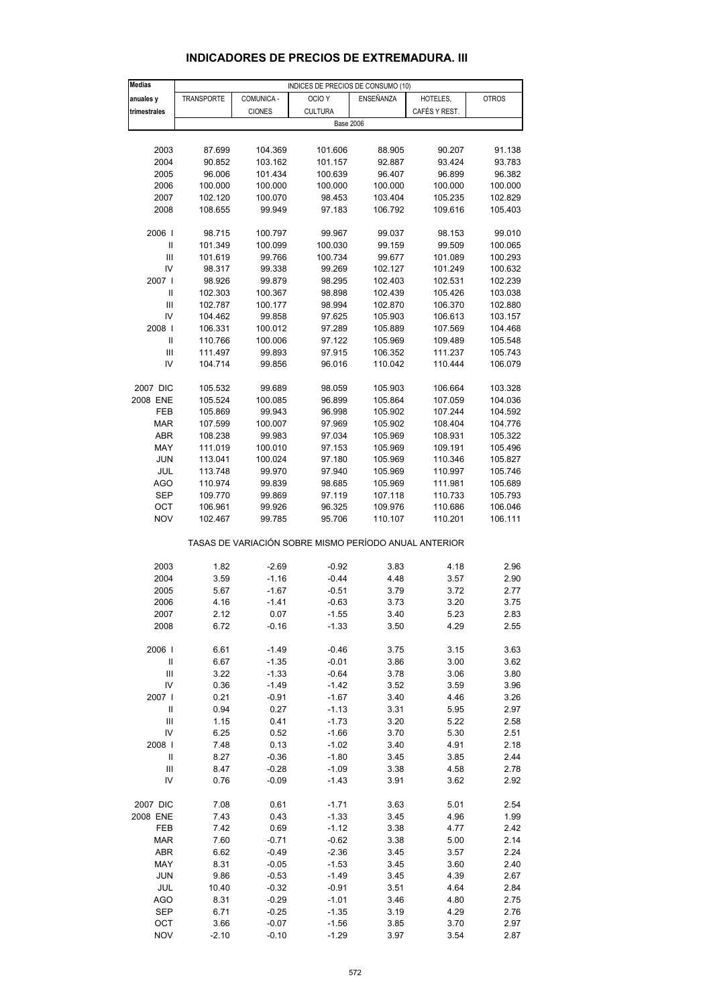| <b>Medias</b>                        |            |               | INDICES DE PRECIOS DE CONSUMO (10)                    |           |               |              |
|--------------------------------------|------------|---------------|-------------------------------------------------------|-----------|---------------|--------------|
| anuales y                            | TRANSPORTE | COMUNICA -    | OCIO <sub>Y</sub>                                     | ENSEÑANZA | HOTELES,      | <b>OTROS</b> |
|                                      |            |               |                                                       |           |               |              |
| trimestrales                         |            | <b>CIONES</b> | <b>CULTURA</b>                                        |           | CAFÉS Y REST. |              |
|                                      |            |               | <b>Base 2006</b>                                      |           |               |              |
|                                      |            |               |                                                       |           |               |              |
| 2003                                 | 87.699     | 104.369       | 101.606                                               | 88.905    | 90.207        | 91.138       |
| 2004                                 | 90.852     | 103.162       | 101.157                                               | 92.887    | 93.424        | 93.783       |
| 2005                                 | 96.006     | 101.434       | 100.639                                               | 96.407    | 96.899        | 96.382       |
| 2006                                 | 100.000    | 100.000       | 100.000                                               | 100.000   | 100.000       | 100.000      |
|                                      |            |               |                                                       |           |               |              |
| 2007                                 | 102.120    | 100.070       | 98.453                                                | 103.404   | 105.235       | 102.829      |
| 2008                                 | 108.655    | 99.949        | 97.183                                                | 106.792   | 109.616       | 105.403      |
|                                      |            | 100.797       |                                                       |           |               |              |
| 2006  <br>$\ensuremath{\mathsf{II}}$ | 98.715     |               | 99.967                                                | 99.037    | 98.153        | 99.010       |
|                                      | 101.349    | 100.099       | 100.030                                               | 99.159    | 99.509        | 100.065      |
| Ш                                    | 101.619    | 99.766        | 100.734                                               | 99.677    | 101.089       | 100.293      |
| IV                                   | 98.317     | 99.338        | 99.269                                                | 102.127   | 101.249       | 100.632      |
| 2007 l                               | 98.926     | 99.879        | 98.295                                                | 102.403   | 102.531       | 102.239      |
| $\ensuremath{\mathsf{II}}$           | 102.303    | 100.367       | 98.898                                                | 102.439   | 105.426       | 103.038      |
| Ш                                    | 102.787    | 100.177       | 98.994                                                | 102.870   | 106.370       | 102.880      |
| IV                                   | 104.462    | 99.858        | 97.625                                                | 105.903   | 106.613       | 103.157      |
|                                      |            |               |                                                       |           |               |              |
| 2008                                 | 106.331    | 100.012       | 97.289                                                | 105.889   | 107.569       | 104.468      |
| Ш                                    | 110.766    | 100.006       | 97.122                                                | 105.969   | 109.489       | 105.548      |
| Ш                                    | 111.497    | 99.893        | 97.915                                                | 106.352   | 111.237       | 105.743      |
| IV                                   | 104.714    | 99.856        | 96.016                                                | 110.042   | 110.444       | 106.079      |
|                                      |            |               |                                                       |           |               |              |
| 2007 DIC                             | 105.532    | 99.689        | 98.059                                                | 105.903   | 106.664       | 103.328      |
| 2008 ENE                             | 105.524    | 100.085       | 96.899                                                | 105.864   | 107.059       | 104.036      |
| FEB                                  | 105.869    | 99.943        | 96.998                                                | 105.902   | 107.244       | 104.592      |
| <b>MAR</b>                           | 107.599    | 100.007       | 97.969                                                | 105.902   | 108.404       | 104.776      |
| ABR                                  | 108.238    | 99.983        | 97.034                                                | 105.969   | 108.931       | 105.322      |
|                                      |            |               |                                                       |           |               |              |
| MAY                                  | 111.019    | 100.010       | 97.153                                                | 105.969   | 109.191       | 105.496      |
| <b>JUN</b>                           | 113.041    | 100.024       | 97.180                                                | 105.969   | 110.346       | 105.827      |
| JUL                                  | 113.748    | 99.970        | 97.940                                                | 105.969   | 110.997       | 105.746      |
| <b>AGO</b>                           | 110.974    | 99.839        | 98.685                                                | 105.969   | 111.981       | 105.689      |
| <b>SEP</b>                           | 109.770    | 99.869        | 97.119                                                | 107.118   | 110.733       | 105.793      |
| OCT                                  | 106.961    | 99.926        | 96.325                                                | 109.976   | 110.686       | 106.046      |
| <b>NOV</b>                           | 102.467    | 99.785        | 95.706                                                | 110.107   | 110.201       | 106.111      |
|                                      |            |               |                                                       |           |               |              |
|                                      |            |               | TASAS DE VARIACIÓN SOBRE MISMO PERÍODO ANUAL ANTERIOR |           |               |              |
|                                      |            |               |                                                       |           |               |              |
| 2003                                 | 1.82       | $-2.69$       | $-0.92$                                               | 3.83      | 4.18          | 2.96         |
| 2004                                 | 3.59       | $-1.16$       | $-0.44$                                               | 4.48      | 3.57          | 2.90         |
| 2005                                 | 5.67       | $-1.67$       | $-0.51$                                               | 3.79      | 3.72          | 2.77         |
| 2006                                 | 4.16       | $-1.41$       | $-0.63$                                               | 3.73      | 3.20          | 3.75         |
| 2007                                 | 2.12       | 0.07          | $-1.55$                                               | 3.40      | 5.23          | 2.83         |
|                                      |            |               |                                                       |           |               |              |
| 2008                                 | 6.72       | $-0.16$       | $-1.33$                                               | 3.50      | 4.29          | 2.55         |
| 2006                                 | 6.61       | $-1.49$       | $-0.46$                                               | 3.75      | 3.15          | 3.63         |
| $\ensuremath{\mathsf{II}}$           | 6.67       | $-1.35$       |                                                       | 3.86      | 3.00          | 3.62         |
|                                      |            |               | $-0.01$                                               |           |               |              |
| Ш                                    | 3.22       | $-1.33$       | $-0.64$                                               | 3.78      | 3.06          | 3.80         |
| IV                                   | 0.36       | $-1.49$       | $-1.42$                                               | 3.52      | 3.59          | 3.96         |
| 2007 l                               | 0.21       | $-0.91$       | $-1.67$                                               | 3.40      | 4.46          | 3.26         |
| $\ensuremath{\mathsf{II}}$           | 0.94       | 0.27          | $-1.13$                                               | 3.31      | 5.95          | 2.97         |
| Ш                                    | 1.15       | 0.41          | $-1.73$                                               | 3.20      | 5.22          | 2.58         |
| IV                                   | 6.25       | 0.52          | $-1.66$                                               | 3.70      | 5.30          | 2.51         |
|                                      |            |               |                                                       |           |               |              |
| 2008                                 | 7.48       | 0.13          | $-1.02$                                               | 3.40      | 4.91          | 2.18         |
| $\ensuremath{\mathsf{II}}$           | 8.27       | $-0.36$       | $-1.80$                                               | 3.45      | 3.85          | 2.44         |
| $\ensuremath{\mathsf{III}}\xspace$   | 8.47       | $-0.28$       | $-1.09$                                               | 3.38      | 4.58          | 2.78         |
| IV                                   | 0.76       | $-0.09$       | $-1.43$                                               | 3.91      | 3.62          | 2.92         |
|                                      |            |               |                                                       |           |               |              |
| 2007 DIC                             | 7.08       | 0.61          | $-1.71$                                               | 3.63      | 5.01          | 2.54         |
| 2008 ENE                             | 7.43       | 0.43          | $-1.33$                                               | 3.45      | 4.96          | 1.99         |
| FEB                                  | 7.42       | 0.69          | $-1.12$                                               | 3.38      | 4.77          | 2.42         |
| MAR                                  | 7.60       | $-0.71$       | $-0.62$                                               | 3.38      | 5.00          | 2.14         |
| ABR                                  | 6.62       | $-0.49$       | $-2.36$                                               | 3.45      | 3.57          | 2.24         |
| MAY                                  | 8.31       | $-0.05$       | $-1.53$                                               | 3.45      | 3.60          | 2.40         |
| JUN                                  | 9.86       | $-0.53$       | $-1.49$                                               | 3.45      | 4.39          | 2.67         |
| JUL                                  | 10.40      |               |                                                       | 3.51      | 4.64          | 2.84         |
|                                      |            | $-0.32$       | $-0.91$                                               |           |               |              |
| AGO                                  | 8.31       | $-0.29$       | $-1.01$                                               | 3.46      | 4.80          | 2.75         |
| SEP                                  | 6.71       | $-0.25$       | $-1.35$                                               | 3.19      | 4.29          | 2.76         |

#### **INDICADORES DE PRECIOS DE EXTREMADURA. III**

 OCT 3.66 -0.07 -1.56 3.85 3.70 2.97 NOV -2.10 -0.10 -1.29 3.97 3.54 2.87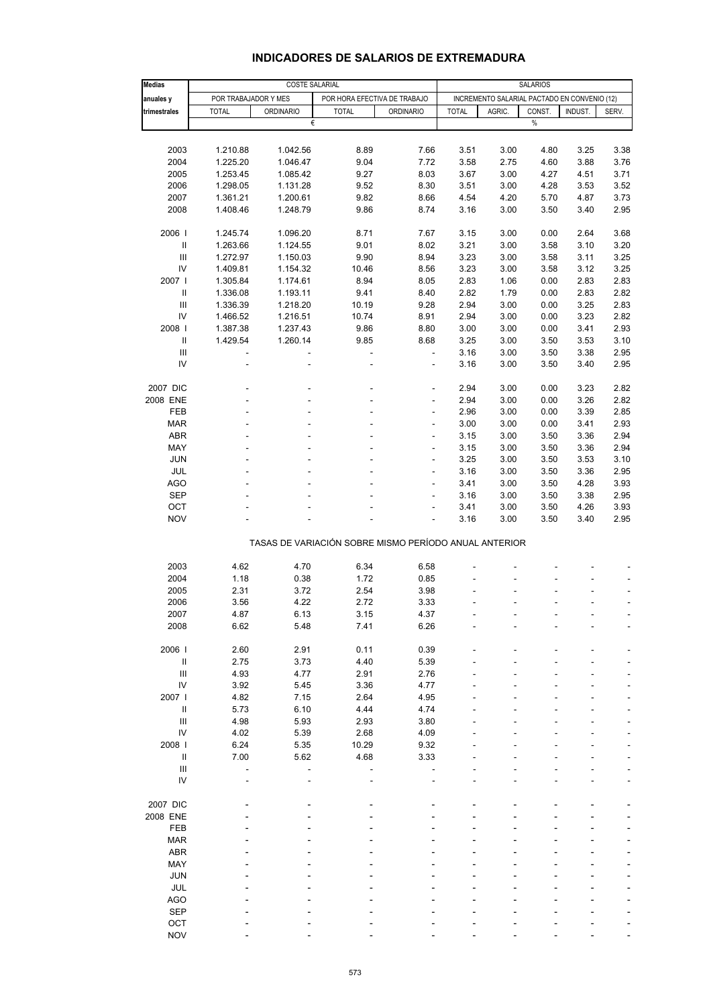| Medias                                    |                      | COSTE SALARIAL   |                                                       |                  |              | <b>SALARIOS</b>                              |        |         |                |  |
|-------------------------------------------|----------------------|------------------|-------------------------------------------------------|------------------|--------------|----------------------------------------------|--------|---------|----------------|--|
| anuales y                                 | POR TRABAJADOR Y MES |                  | POR HORA EFECTIVA DE TRABAJO                          |                  |              | INCREMENTO SALARIAL PACTADO EN CONVENIO (12) |        |         |                |  |
| trimestrales                              | <b>TOTAL</b>         | <b>ORDINARIO</b> | <b>TOTAL</b>                                          | <b>ORDINARIO</b> | <b>TOTAL</b> | AGRIC.                                       | CONST. | INDUST. | SERV.          |  |
|                                           |                      |                  | €                                                     |                  |              |                                              | $\%$   |         |                |  |
|                                           |                      |                  |                                                       |                  |              |                                              |        |         |                |  |
| 2003                                      | 1.210.88             | 1.042.56         | 8.89                                                  | 7.66             | 3.51         | 3.00                                         | 4.80   | 3.25    | 3.38           |  |
| 2004                                      | 1.225.20             | 1.046.47         | 9.04                                                  | 7.72             | 3.58         | 2.75                                         | 4.60   | 3.88    | 3.76           |  |
| 2005                                      | 1.253.45             | 1.085.42         | 9.27                                                  | 8.03             | 3.67         | 3.00                                         | 4.27   | 4.51    | 3.71           |  |
| 2006                                      | 1.298.05             | 1.131.28         | 9.52                                                  | 8.30             | 3.51         | 3.00                                         | 4.28   | 3.53    | 3.52           |  |
| 2007                                      | 1.361.21             | 1.200.61         | 9.82                                                  | 8.66             | 4.54         | 4.20                                         | 5.70   | 4.87    | 3.73           |  |
| 2008                                      | 1.408.46             | 1.248.79         | 9.86                                                  | 8.74             | 3.16         | 3.00                                         | 3.50   | 3.40    | 2.95           |  |
|                                           |                      |                  |                                                       |                  |              |                                              |        |         |                |  |
| 2006                                      | 1.245.74             | 1.096.20         | 8.71                                                  | 7.67             | 3.15         | 3.00                                         | 0.00   | 2.64    | 3.68           |  |
| $\mathsf{I}$                              | 1.263.66             | 1.124.55         | 9.01                                                  | 8.02             | 3.21         | 3.00                                         | 3.58   | 3.10    | 3.20           |  |
| $\label{eq:1} \prod_{i=1}^n \mathbb{I}^i$ | 1.272.97             | 1.150.03         | 9.90                                                  | 8.94             | 3.23         | 3.00                                         | 3.58   | 3.11    | 3.25           |  |
| IV                                        | 1.409.81             | 1.154.32         | 10.46                                                 | 8.56             | 3.23         | 3.00                                         | 3.58   | 3.12    | 3.25           |  |
| 2007                                      | 1.305.84             | 1.174.61         | 8.94                                                  | 8.05             | 2.83         | 1.06                                         | 0.00   | 2.83    | 2.83           |  |
| $\mathbf{I}$                              | 1.336.08             | 1.193.11         | 9.41                                                  | 8.40             | 2.82         | 1.79                                         | 0.00   | 2.83    | 2.82           |  |
| $\ensuremath{\mathsf{III}}\xspace$        | 1.336.39             | 1.218.20         | 10.19                                                 | 9.28             | 2.94         | 3.00                                         | 0.00   | 3.25    | 2.83           |  |
| IV                                        | 1.466.52             | 1.216.51         | 10.74                                                 | 8.91             | 2.94         | 3.00                                         | 0.00   | 3.23    | 2.82           |  |
| 2008                                      | 1.387.38             | 1.237.43         | 9.86                                                  | 8.80             | 3.00         | 3.00                                         | 0.00   | 3.41    | 2.93           |  |
|                                           | 1.429.54             | 1.260.14         | 9.85                                                  | 8.68             | 3.25         | 3.00                                         | 3.50   | 3.53    | 3.10           |  |
| III                                       |                      |                  | $\overline{a}$                                        | $\blacksquare$   | 3.16         | 3.00                                         | 3.50   | 3.38    | 2.95           |  |
| IV                                        |                      |                  | L,                                                    | ÷                | 3.16         | 3.00                                         | 3.50   | 3.40    | 2.95           |  |
| 2007 DIC                                  |                      |                  |                                                       | ÷                | 2.94         | 3.00                                         | 0.00   | 3.23    | 2.82           |  |
| 2008 ENE                                  |                      |                  |                                                       | ÷                | 2.94         | 3.00                                         | 0.00   | 3.26    | 2.82           |  |
| FEB                                       |                      |                  |                                                       | L,               | 2.96         | 3.00                                         | 0.00   | 3.39    | 2.85           |  |
| <b>MAR</b>                                |                      |                  |                                                       | ÷,               | 3.00         | 3.00                                         | 0.00   | 3.41    | 2.93           |  |
| <b>ABR</b>                                |                      |                  |                                                       | ÷                | 3.15         | 3.00                                         | 3.50   | 3.36    | 2.94           |  |
| MAY                                       |                      |                  |                                                       | ÷                | 3.15         | 3.00                                         | 3.50   | 3.36    | 2.94           |  |
| <b>JUN</b>                                |                      |                  |                                                       | ÷,               | 3.25         | 3.00                                         | 3.50   | 3.53    | 3.10           |  |
| JUL                                       |                      |                  |                                                       | ÷                | 3.16         | 3.00                                         | 3.50   | 3.36    | 2.95           |  |
| AGO                                       |                      |                  |                                                       | ٠                | 3.41         | 3.00                                         | 3.50   | 4.28    | 3.93           |  |
| <b>SEP</b>                                |                      |                  |                                                       | ÷,               | 3.16         | 3.00                                         | 3.50   | 3.38    | 2.95           |  |
| OCT                                       |                      |                  |                                                       | ÷                | 3.41         | 3.00                                         | 3.50   | 4.26    | 3.93           |  |
| <b>NOV</b>                                |                      |                  |                                                       |                  | 3.16         | 3.00                                         | 3.50   | 3.40    | 2.95           |  |
|                                           |                      |                  |                                                       |                  |              |                                              |        |         |                |  |
|                                           |                      |                  | TASAS DE VARIACIÓN SOBRE MISMO PERÍODO ANUAL ANTERIOR |                  |              |                                              |        |         |                |  |
|                                           |                      |                  |                                                       |                  |              |                                              |        |         |                |  |
| 2003                                      | 4.62                 | 4.70             | 6.34                                                  | 6.58             |              |                                              |        |         |                |  |
| 2004                                      | 1.18                 | 0.38             | 1.72                                                  | 0.85             |              |                                              |        |         |                |  |
| 2005                                      | 2.31                 | 3.72             | 2.54                                                  | 3.98             |              |                                              |        |         | ÷              |  |
| 2006                                      | 3.56                 | 4.22             | 2.72                                                  | 3.33             |              |                                              |        |         | $\overline{a}$ |  |
| 2007                                      | 4.87                 | 6.13             | 3.15                                                  | 4.37             |              |                                              |        |         |                |  |
| 2008                                      | 6.62                 | 5.48             | 7.41                                                  | 6.26             |              |                                              |        |         |                |  |
| 2006                                      | 2.60                 | 2.91             | 0.11                                                  | 0.39             |              |                                              |        |         |                |  |
| $\ensuremath{\mathsf{II}}$                | 2.75                 | 3.73             | 4.40                                                  | 5.39             |              |                                              |        |         |                |  |
| $\ensuremath{\mathsf{III}}\xspace$        | 4.93                 | 4.77             | 2.91                                                  | 2.76             |              |                                              |        |         |                |  |
| IV                                        | 3.92                 | 5.45             | 3.36                                                  | 4.77             |              |                                              |        |         |                |  |
| 2007 l                                    | 4.82                 | 7.15             | 2.64                                                  | 4.95             |              |                                              |        |         |                |  |
| $\sf II$                                  | 5.73                 | 6.10             | 4.44                                                  | 4.74             |              |                                              |        |         |                |  |
| $\ensuremath{\mathsf{III}}\xspace$        | 4.98                 | 5.93             | 2.93                                                  | 3.80             |              |                                              |        |         |                |  |
| IV                                        | 4.02                 | 5.39             | 2.68                                                  | 4.09             |              |                                              |        |         |                |  |
| 2008                                      | 6.24                 | 5.35             | 10.29                                                 | 9.32             |              |                                              |        |         |                |  |
|                                           | 7.00                 | 5.62             | 4.68                                                  | 3.33             |              |                                              |        |         |                |  |
| $\ensuremath{\mathsf{III}}\xspace$        |                      |                  |                                                       |                  |              |                                              |        |         |                |  |
| ${\sf IV}$                                |                      |                  |                                                       |                  |              |                                              |        |         |                |  |
|                                           |                      |                  |                                                       |                  |              |                                              |        |         |                |  |
| 2007 DIC                                  |                      |                  |                                                       |                  |              |                                              |        |         |                |  |
| 2008 ENE                                  |                      |                  |                                                       |                  |              |                                              |        |         |                |  |
| FEB                                       |                      |                  |                                                       |                  |              |                                              |        |         |                |  |
| <b>MAR</b>                                |                      |                  |                                                       |                  |              |                                              |        |         |                |  |
| <b>ABR</b>                                |                      |                  |                                                       |                  |              |                                              |        |         |                |  |
| MAY                                       |                      |                  |                                                       |                  |              |                                              |        |         |                |  |
| <b>JUN</b>                                |                      |                  |                                                       |                  |              |                                              |        |         |                |  |
| JUL                                       |                      |                  |                                                       |                  |              |                                              |        |         |                |  |
| <b>AGO</b>                                |                      |                  |                                                       |                  |              |                                              |        |         |                |  |
| <b>SEP</b>                                |                      |                  |                                                       |                  |              |                                              |        |         |                |  |
| OCT                                       |                      |                  |                                                       |                  |              |                                              |        |         |                |  |
| <b>NOV</b>                                |                      |                  |                                                       |                  |              |                                              |        |         |                |  |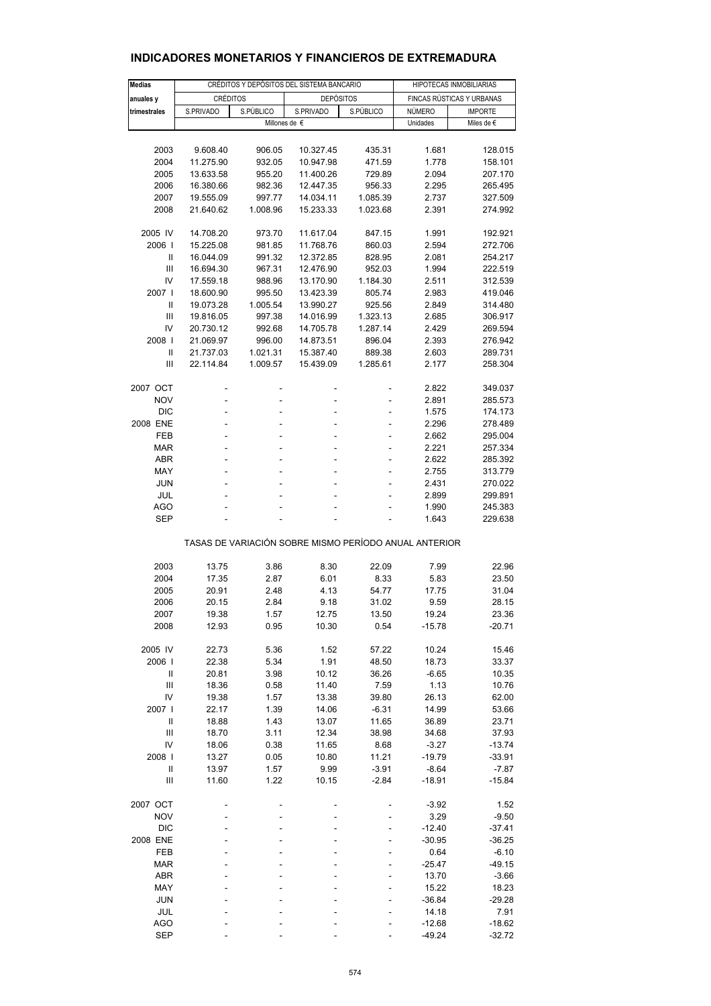| <b>Medias</b>       | CRÉDITOS Y DEPÓSITOS DEL SISTEMA BANCARIO |                  |                                                       |                                | HIPOTECAS INMOBILIARIAS |                           |  |
|---------------------|-------------------------------------------|------------------|-------------------------------------------------------|--------------------------------|-------------------------|---------------------------|--|
| anuales y           | <b>CRÉDITOS</b>                           |                  | <b>DEPÓSITOS</b>                                      |                                |                         | FINCAS RÚSTICAS Y URBANAS |  |
| trimestrales        | S.PRIVADO                                 | S.PÚBLICO        | S.PRIVADO                                             | S.PÚBLICO                      | NÚMERO                  | <b>IMPORTE</b>            |  |
|                     |                                           |                  | Millones de €                                         |                                | Unidades                | Miles de €                |  |
|                     |                                           |                  |                                                       |                                |                         |                           |  |
| 2003                | 9.608.40                                  | 906.05           | 10.327.45                                             | 435.31                         | 1.681                   | 128.015                   |  |
| 2004                | 11.275.90                                 | 932.05           | 10.947.98                                             | 471.59                         | 1.778                   | 158.101                   |  |
| 2005                | 13.633.58                                 | 955.20           | 11.400.26                                             | 729.89                         | 2.094                   | 207.170                   |  |
| 2006                | 16.380.66                                 | 982.36           | 12.447.35                                             | 956.33                         | 2.295                   | 265.495                   |  |
| 2007                | 19.555.09                                 | 997.77           | 14.034.11                                             | 1.085.39                       | 2.737                   | 327.509                   |  |
| 2008                | 21.640.62                                 | 1.008.96         | 15.233.33                                             | 1.023.68                       | 2.391                   | 274.992                   |  |
|                     |                                           |                  |                                                       |                                |                         |                           |  |
| 2005 IV             | 14.708.20                                 | 973.70           | 11.617.04                                             | 847.15                         | 1.991                   | 192.921                   |  |
| 2006                | 15.225.08                                 | 981.85           | 11.768.76                                             | 860.03                         | 2.594                   | 272.706                   |  |
| Ш<br>Ш              | 16.044.09<br>16.694.30                    | 991.32<br>967.31 | 12.372.85<br>12.476.90                                | 828.95<br>952.03               | 2.081<br>1.994          | 254.217<br>222.519        |  |
| IV                  | 17.559.18                                 | 988.96           | 13.170.90                                             | 1.184.30                       | 2.511                   | 312.539                   |  |
| 2007                | 18.600.90                                 | 995.50           | 13.423.39                                             | 805.74                         | 2.983                   | 419.046                   |  |
| Ш                   | 19.073.28                                 | 1.005.54         | 13.990.27                                             | 925.56                         | 2.849                   | 314.480                   |  |
| Ш                   | 19.816.05                                 | 997.38           | 14.016.99                                             | 1.323.13                       | 2.685                   | 306.917                   |  |
| IV                  | 20.730.12                                 | 992.68           | 14.705.78                                             | 1.287.14                       | 2.429                   | 269.594                   |  |
| 2008                | 21.069.97                                 | 996.00           | 14.873.51                                             | 896.04                         | 2.393                   | 276.942                   |  |
| $\mathbf{I}$        | 21.737.03                                 | 1.021.31         | 15.387.40                                             | 889.38                         | 2.603                   | 289.731                   |  |
| Ш                   | 22.114.84                                 | 1.009.57         | 15.439.09                                             | 1.285.61                       | 2.177                   | 258.304                   |  |
|                     |                                           |                  |                                                       |                                |                         |                           |  |
| 2007 OCT            |                                           |                  |                                                       | ä,                             | 2.822                   | 349.037                   |  |
| <b>NOV</b>          | ÷,                                        | ÷,               | ÷,                                                    | ÷                              | 2.891                   | 285.573                   |  |
| <b>DIC</b>          | ä,                                        |                  | L,                                                    | ä,                             | 1.575                   | 174.173                   |  |
| 2008 ENE            |                                           |                  |                                                       |                                | 2.296                   | 278.489                   |  |
| <b>FEB</b><br>MAR   | ÷,<br>ä,                                  | ä,               | ÷,                                                    | $\overline{\phantom{a}}$<br>ä, | 2.662<br>2.221          | 295.004<br>257.334        |  |
| ABR                 |                                           |                  |                                                       |                                | 2.622                   | 285.392                   |  |
| MAY                 | ÷,                                        | ä,               | ÷,                                                    | $\overline{\phantom{a}}$       | 2.755                   | 313.779                   |  |
| <b>JUN</b>          | ä,                                        |                  |                                                       |                                | 2.431                   | 270.022                   |  |
| JUL                 |                                           |                  |                                                       |                                | 2.899                   | 299.891                   |  |
| <b>AGO</b>          | ۰                                         |                  |                                                       |                                | 1.990                   | 245.383                   |  |
| <b>SEP</b>          |                                           |                  |                                                       |                                | 1.643                   | 229.638                   |  |
|                     |                                           |                  | TASAS DE VARIACIÓN SOBRE MISMO PERÍODO ANUAL ANTERIOR |                                |                         |                           |  |
|                     |                                           |                  |                                                       |                                |                         |                           |  |
| 2003                | 13.75                                     | 3.86             | 8.30                                                  | 22.09                          | 7.99                    | 22.96                     |  |
| 2004                | 17.35                                     | 2.87             | 6.01                                                  | 8.33                           | 5.83                    | 23.50                     |  |
| 2005                | 20.91                                     | 2.48             | 4.13                                                  | 54.77                          | 17.75                   | 31.04                     |  |
| 2006<br>2007        | 20.15<br>19.38                            | 2.84<br>1.57     | 9.18<br>12.75                                         | 31.02<br>13.50                 | 9.59<br>19.24           | 28.15<br>23.36            |  |
| 2008                | 12.93                                     | 0.95             | 10.30                                                 | 0.54                           | $-15.78$                | $-20.71$                  |  |
|                     |                                           |                  |                                                       |                                |                         |                           |  |
| 2005 IV             | 22.73                                     | 5.36             | 1.52                                                  | 57.22                          | 10.24                   | 15.46                     |  |
| 2006                | 22.38                                     | 5.34             | 1.91                                                  | 48.50                          | 18.73                   | 33.37                     |  |
| Ш                   | 20.81                                     | 3.98             | 10.12                                                 | 36.26                          | $-6.65$                 | 10.35                     |  |
| Ш                   | 18.36                                     | 0.58             | 11.40                                                 | 7.59                           | 1.13                    | 10.76                     |  |
| IV                  | 19.38                                     | 1.57             | 13.38                                                 | 39.80                          | 26.13                   | 62.00                     |  |
| 2007 l              | 22.17                                     | 1.39             | 14.06                                                 | $-6.31$                        | 14.99                   | 53.66                     |  |
| $\mathbf{I}$        | 18.88                                     | 1.43             | 13.07                                                 | 11.65                          | 36.89                   | 23.71                     |  |
| $\mathbf{III}$      | 18.70                                     | 3.11             | 12.34                                                 | 38.98                          | 34.68                   | 37.93                     |  |
| IV                  | 18.06                                     | 0.38             | 11.65                                                 | 8.68                           | $-3.27$                 | $-13.74$                  |  |
| 2008                | 13.27                                     | 0.05             | 10.80                                                 | 11.21                          | $-19.79$                | $-33.91$                  |  |
| Ш<br>$\mathbf{III}$ | 13.97<br>11.60                            | 1.57<br>1.22     | 9.99<br>10.15                                         | $-3.91$<br>$-2.84$             | $-8.64$<br>$-18.91$     | $-7.87$<br>$-15.84$       |  |
|                     |                                           |                  |                                                       |                                |                         |                           |  |
| 2007 OCT            |                                           |                  |                                                       |                                | $-3.92$                 | 1.52                      |  |
| <b>NOV</b>          |                                           |                  |                                                       |                                | 3.29                    | $-9.50$                   |  |
| <b>DIC</b>          |                                           |                  |                                                       |                                | $-12.40$                | $-37.41$                  |  |
| 2008 ENE<br>FEB     |                                           |                  |                                                       |                                | $-30.95$                | $-36.25$                  |  |
| <b>MAR</b>          |                                           |                  |                                                       |                                | 0.64<br>$-25.47$        | $-6.10$<br>$-49.15$       |  |
| ABR                 |                                           |                  |                                                       |                                | 13.70                   | $-3.66$                   |  |
| MAY                 |                                           |                  |                                                       |                                | 15.22                   | 18.23                     |  |
| JUN                 |                                           |                  |                                                       |                                | $-36.84$                | $-29.28$                  |  |
| JUL                 |                                           |                  |                                                       |                                | 14.18                   | 7.91                      |  |
| <b>AGO</b>          |                                           |                  |                                                       |                                | $-12.68$                | $-18.62$                  |  |
| SEP                 |                                           |                  |                                                       |                                | $-49.24$                | $-32.72$                  |  |

# **INDICADORES MONETARIOS Y FINANCIEROS DE EXTREMADURA**